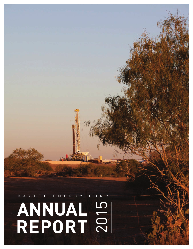# **ANNUAL REPORT** 2015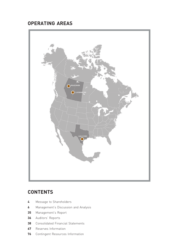# **OPERATING AREAS**



# **CONTENTS**

- Message to Shareholders
- Management's Discussion and Analysis
- Management's Report
- Auditors' Reports
- Consolidated Financial Statements
- Reserves Information
- Contingent Resources Information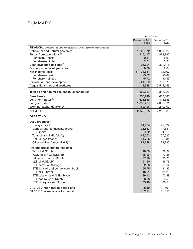# SUMMARY

|                                                                            | <b>Years Ended</b> |              |  |  |  |  |
|----------------------------------------------------------------------------|--------------------|--------------|--|--|--|--|
|                                                                            | December 31,       | December 31. |  |  |  |  |
|                                                                            | 2015               | 2014         |  |  |  |  |
| FINANCIAL (thousands of Canadian dollars, except per common share amounts) |                    |              |  |  |  |  |
| Petroleum and natural gas sales                                            | 1,129,872          | 1,969,022    |  |  |  |  |
| Funds from operations <sup>(1)</sup>                                       | 516,417            | 879,790      |  |  |  |  |
| Per share - basic                                                          | 2.61               | 5.91         |  |  |  |  |
| Per share - diluted                                                        | 2.61               | 5.91         |  |  |  |  |
| Cash dividends declared <sup>(2)</sup>                                     | 96,624             | 301,118      |  |  |  |  |
| Dividends declared per share                                               | 0.80               | 2.64         |  |  |  |  |
| Net income (loss)                                                          | (1, 133, 651)      | (132, 807)   |  |  |  |  |
| Per share - basic                                                          | (5.72)             | (0.89)       |  |  |  |  |
| Per share - diluted                                                        | (5.72)             | (0.89)       |  |  |  |  |
| <b>Exploration and development</b>                                         | 521,039            | 766,070      |  |  |  |  |
| Acquisitions, net of divestitures                                          | 1,648              | 2,545,156    |  |  |  |  |
| Total oil and natural gas capital expenditures                             | 522,687            | 3,311,226    |  |  |  |  |
|                                                                            |                    |              |  |  |  |  |
| Bank loan <sup>(3)</sup>                                                   | 256,749            | 666,886      |  |  |  |  |
| Long-term notes <sup>(3)</sup>                                             | 1,623,658          | 1,418,685    |  |  |  |  |
| Long-term debt                                                             | 1,880,407          | 2,085,571    |  |  |  |  |
| Working capital deficiency                                                 | 169,498            | 210,409      |  |  |  |  |
| Net debt $(4)$                                                             | 2,049,905          | 2,295,980    |  |  |  |  |
| <b>OPERATING</b>                                                           |                    |              |  |  |  |  |
| Daily production                                                           |                    |              |  |  |  |  |
| Heavy oil (bbl/d)                                                          | 34,974             | 45,022       |  |  |  |  |
| Light oil and condensate (bbl/d)                                           | 25,887             | 17,681       |  |  |  |  |
| NGL (bbl/d)                                                                | 8,492              | 4,819        |  |  |  |  |
| Total oil and NGL (bbl/d)                                                  | 69,353             | 67,522       |  |  |  |  |
| Natural gas (mcf/d)                                                        | 91,766             | 65,234       |  |  |  |  |
| Oil equivalent (boe/d @ 6:1)(5)                                            | 84,648             | 78,395       |  |  |  |  |
| Average prices (before hedging)                                            |                    |              |  |  |  |  |
| WTI oil (US\$/bbl)                                                         | 48.79              | 92.97        |  |  |  |  |
| WCS Heavy Oil (US\$/bbl)                                                   | 35.26              | 73.58        |  |  |  |  |
| Edmonton par oil (\$/bbl)                                                  | 57.20              | 95.28        |  |  |  |  |
| LLS oil (US\$/bbl)                                                         | 51.50              | 96.76        |  |  |  |  |
| BTE heavy oil (\$/bbl) <sup>(6)</sup>                                      | 32.23              | 69.64        |  |  |  |  |
| BTE light oil and condensate (\$/bbl)                                      | 55.75              | 91.37        |  |  |  |  |
| BTE NGL (\$/bbl)                                                           | 16.91              | 35.28        |  |  |  |  |
| BTE total oil and NGL (\$/bbl)                                             | 39.13              | 72.88        |  |  |  |  |
| BTE natural gas (\$/mcf)                                                   | 3.08               | 4.53         |  |  |  |  |
| BTE oil equivalent (\$/boe)                                                | 35.40              | 66.54        |  |  |  |  |
| CAD/USD noon rate at period end                                            | 1.3840             | 1.1601       |  |  |  |  |
| CAD/USD average rate for period                                            | 1.2811             | 1.1050       |  |  |  |  |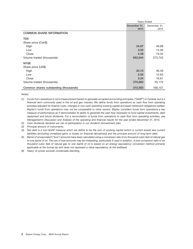|                                       | <b>Years Ended</b> |              |  |  |  |  |
|---------------------------------------|--------------------|--------------|--|--|--|--|
|                                       | December 31,       | December 31, |  |  |  |  |
|                                       | 2015               | 2014         |  |  |  |  |
| <b>COMMON SHARE INFORMATION</b>       |                    |              |  |  |  |  |
| <b>TSX</b>                            |                    |              |  |  |  |  |
| Share price (Cdn\$)                   |                    |              |  |  |  |  |
| High                                  | 24.87              | 49.88        |  |  |  |  |
| Low                                   | 3.50               | 14.56        |  |  |  |  |
| Close                                 | 4.48               | 19.32        |  |  |  |  |
| Volume traded (thousands)             | 652,044            | 273,743      |  |  |  |  |
| <b>NYSE</b>                           |                    |              |  |  |  |  |
| Share price (US\$)                    |                    |              |  |  |  |  |
| High                                  | 20.10              | 46.46        |  |  |  |  |
| Low                                   | 2.50               | 12.63        |  |  |  |  |
| Close                                 | 3.24               | 16.61        |  |  |  |  |
| Volume traded (thousands)             | 375,660            | 33,170       |  |  |  |  |
| Common shares outstanding (thousands) | 210,583            | 168,107      |  |  |  |  |

Notes:

- *(1) Funds from operations is not a measurement based on generally accepted accounting principles (''GAAP'') in Canada, but is a financial term commonly used in the oil and gas industry. We define funds from operations as cash flow from operating activities adjusted for finance costs, changes in non-cash operating working capital and asset retirement obligations settled. Baytex's funds from operations may not be comparable to other issuers. Baytex considers funds from operations a key measure of performance as it demonstrates its ability to generate the cash flow necessary to fund capital investments, debt repayment and future dividends. For a reconciliation of funds from operations to cash flow from operating activities, see Management's Discussion and Analysis of the operating and financial results for the year ended December 31, 2015.*
- *(2) Cash dividends declared are net of participation in our dividend reinvestment plan.*
- *(3) Principal amount of instruments.*

*(4) Net debt is a non-GAAP measure which we define to be the sum of working capital (which is current assets less current liabilities (excluding unrealized gains or losses on financial derivatives)) and the principal amount of long-term debt.*

- *(5) Barrel of oil equivalent (''boe'') amounts have been calculated using a conversion rate of six thousand cubic feet of natural gas to one barrel of oil. The use of boe amounts may be misleading, particularly if used in isolation. A boe conversion ratio of six thousand cubic feet of natural gas to one barrel of oil is based on an energy equivalency conversion method primarily applicable at the burner tip and does not represent a value equivalency at the wellhead.*
- *(6) Heavy oil prices exclude condensate blending.*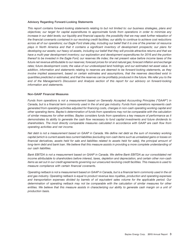#### **Advisory Regarding Forward-Looking Statements**

*This report contains forward-looking statements relating to but not limited to: our business strategies, plans and objectives; our target for capital expenditures to approximate funds from operations in order to minimize any increase in our debt levels; our liquidity and financial capacity; the possibility that we may seek further relaxation of the financial covenants contained in our revolving credit facilities; our ability to continue to achieve cost reductions across all of our operations; our Eagle Ford shale play, including our belief that it is one of the premier oil resource plays in North America and that it contains a significant inventory of development prospects; our plans for developing our assets; our heavy oil assets, including our belief that they will provide attractive returns and that we have a multi-year development inventory; our exploration and development expenditures for 2016 and the portion thereof to be invested in the Eagle Ford; our reserves life index; the net present value before income taxes of the future net revenue attributable to our reserves; forecast prices for oil and natural gas; forecast inflation and exchange rates; future development costs; the value of our undeveloped land holdings; and our estimated net asset value. In addition, information and statements relating to reserves are deemed to be forward-looking statements, as they involve implied assessment, based on certain estimates and assumptions, that the reserves described exist in quantities predicted or estimated, and that the reserves can be profitably produced in the future. We refer you to the end of the Management's Discussion and Analysis section of this report for our advisory on forward-looking information and statements.*

# **Non-GAAP Financial Measures**

*Funds from operations is not a measurement based on Generally Accepted Accounting Principles (''GAAP'') in Canada, but is a financial term commonly used in the oil and gas industry. Funds from operations represents cash generated from operating activities adjusted for financing costs, changes in non-cash operating working capital and other operating items. Baytex's determination of funds from operations may not be comparable with the calculation of similar measures for other entities. Baytex considers funds from operations a key measure of performance as it demonstrates its ability to generate the cash flow necessary to fund capital investments and future dividends to shareholders. The most directly comparable measures calculated in accordance with GAAP are cash flow from operating activities and net income.*

*Net debt is not a measurement based on GAAP in Canada. We define net debt as the sum of monetary working capital (which is current assets less current liabilities (excluding non-cash items such as unrealized gains or losses on financial derivatives, assets held for sale and liabilities related to assets held for sale)), the principal amount of long-term debt and bank loan. We believe that this measure assists in providing a more complete understanding of our cash liabilities.*

*Bank EBITDA is not a measurement based on GAAP in Canada. We define Bank EBITDA as our consolidated net income attributable to shareholders before interest, taxes, depletion and depreciation, and certain other non-cash items as set out in our credit agreements governing our unsecured revolving credit facilities. This measure is used to measure compliance with certain financial covenants.*

*Operating netback is not a measurement based on GAAP in Canada, but is a financial term commonly used in the oil and gas industry. Operating netback is equal to product revenue less royalties, production and operating expenses and transportation expenses divided by barrels of oil equivalent sales volume for the applicable period. Our determination of operating netback may not be comparable with the calculation of similar measures for other entities. We believe that this measure assists in characterizing our ability to generate cash margin on a unit of production basis.*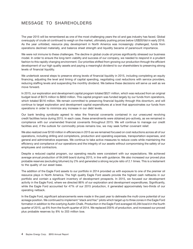# MESSAGE TO SHAREHOLDERS

The year 2015 will be remembered as one of the most challenging years the oil and gas industry has faced. Global oversupply of crude oil continued to weigh on the market, ultimately pushing prices below US\$30/bbl in early 2016. As the year unfolded, resource play development in North America was increasingly challenged, funds from operations declined materially, and balance sheet strength and liquidity became of paramount importance.

We were not immune to these challenges. The decline in global crude oil prices significantly stressed our business model. In order to ensure the long-term viability and success of our company, we needed to respond in a prudent fashion to this rapidly changing environment. Our priorities shifted from growing our production through the efficient development of our high quality assets and paying a meaningful dividend to our shareholders to preserving strong levels of financial liquidity.

We undertook several steps to preserve strong levels of financial liquidity in 2015, including completing an equity financing, adjusting the level and timing of capital spending, negotiating cost reductions with service providers, reducing staffing levels and suspending the monthly dividend. We believe these decisions will serve us well as we move forward.

In 2015, our exploration and development capital program totaled \$521 million, which was reduced from an original budget level of \$575 million to \$650 million. This capital program was funded largely by our funds from operations, which totaled \$516 million. We remain committed to preserving financial liquidity through this downturn, and will continue to target exploration and development capital expenditures at a level that approximates our funds from operations in order to minimize any increase in our debt levels.

Our bank lending syndicate agreed to relax the financial covenants contained in our unsecured revolving credit facilities twice during 2015. In each case, these amendments were obtained pro-actively, as we remained in compliance with our unamended financial covenants throughout 2015. We will continue to manage our credit facilities and, if the outlook for commodity prices remains low, we may seek further covenant relief.

We also realized over \$150 million in efficiencies in 2015 as we remained focused on cost reductions across all of our operations, including drilling and completions, production and operating expenses, transportation expenses, and general and administrative expenses. We continue to take active measures to reduce costs while maintaining the efficiency and compliance of our operations and the integrity of our assets without compromising the safety of our employees and contractors.

Despite a reduced capital program, our operating results were consistent with our expectations. We achieved average annual production of 84,648 boe/d during 2015, in line with guidance. We also increased our proved plus probable reserves (excluding bitumen) by 2% and generated a strong recycle ratio of 2.1 times. This is a testament to the quality of our asset base.

The addition of the Eagle Ford assets to our portfolio in 2014 provided us with exposure to one of the premier oil resource plays in North America. The high quality Eagle Ford assets provide the highest cash netbacks in our portfolio and contain a significant inventory of development prospects. In 2015, we focused our development activity in the Eagle Ford, where we directed 86% of our exploration and development expenditures. Significantly, while the Eagle Ford accounted for 47% of our 2015 production, it generated approximately two-thirds of our operating netback.

In the Eagle Ford, significant advancements were made in the past year to delineate the multi-zone potential of our acreage position. We continued to implement ''stack and frac'' pilots which target up to three zones in the Eagle Ford formation in addition to the overlying Austin Chalk. Production in the Eagle Ford averaged 40,284 boe/d in the fourth quarter of 2015, up 6% from the fourth quarter of 2014. We replaced 205% of production, and increased our proved plus probable reserves by 8% to 203 million boe.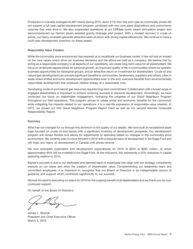Production in Canada averaged 44,691 boe/d during 2015, down 21% from the prior year as commodity prices did not support a full-year capital development program combined with non-core asset dispositions and uneconomic volumes that were shut-in. We also suspended operations at our Cliffdale cyclic steam stimulation project and decommissioned our Gemini steam-assisted gravity drainage pilot project. With a modest recovery in crude oil prices, our heavy oil assets generate attractive rates of return with strong capital efficiencies. We continue to have a multi-year development inventory on these assets.

# **Responsible Value Creation**

While the commodity price environment has required us to recalibrate our business model, it has not had an impact on the core values which drive our business decisions and the ethics we hold as a company. We believe that by acting as a responsible company in all aspects of our operations, we create long-term value for all stakeholders. We focus on employee opportunities for personal growth, an improved quality of life in communities where we operate, business opportunities for Aboriginal groups, and an attractive return on investment for shareholders. Crude oil and natural gas development can provide significant benefits to communities, landowners, suppliers and others, often in areas where limited economic development opportunities exist. In the end, everyone benefits from environmentally responsible development that produces reliable energy at a reasonable cost.

Developing crude oil and natural gas resources requires long-term commitment. Collaboration with a broad range of engaged stakeholders is important to achieve enduring success in resource development. Accordingly, we have continued our focus on stakeholder engagement, furthering the progress of our Good Neighbour Program throughout our field operations. This program strives to create social and economic benefits for the community while mitigating the impacts related to our operations; it is a real-life expression of responsible value creation. In 2015, we issued our first Good Neighbour Program Report Card as well as our second biennial Corporate Responsibility Report.

# **Summary**

What has not changed for us through this downturn is the quality of our assets. We have built an exceptional asset base focused on crude oil and liquids with a significant inventory of development prospects. Our development program will remain flexible and allows for adjustments to spending based on changes in the commodity price environment. We currently plan to move forward in 2016 with a reduced pace of development in the Eagle Ford and will forgo any heavy oil development in Canada until prices recover.

We now anticipate exploration and development expenditures for 2016 of \$225 to \$265 million, of which approximately 95% will be invested in the Eagle Ford. At the mid-point, this represents a 53% reduction in capital spending relative to 2015.

Baytex's success is due to our dedicated and talented team of employees who align with our strategy, consistently execute on our plans and drive the creation of shareholder value. Complementing our leadership team and committed employees, it is important to recognize that our Board of Directors is an indispensable source of guidance and support which contribute significantly to our success.

We look forward to executing our plans for 2016 for the ongoing benefit of all stakeholders and we thank you for your continued support.

On behalf of the Board of Directors,

James L. Bowzer President and Chief Executive Officer March 3, 2016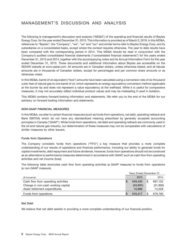# MANAGEMENT'S DISCUSSION AND ANALYSIS

The following is management's discussion and analysis (''MD&A'') of the operating and financial results of Baytex Energy Corp. for the year ended December 31, 2015. This information is provided as of March 2, 2016. In this MD&A, references to "Baytex", the "Company", "we", "us" and "our" and similar terms refer to Baytex Energy Corp. and its subsidiaries on a consolidated basis, except where the context requires otherwise. The year to date results have been compared with the corresponding period in 2014. This MD&A should be read in conjunction with the Company's audited consolidated financial statements (''consolidated financial statements'') for the years ended December 31, 2015 and 2014, together with the accompanying notes and its Annual Information Form for the year ended December 31, 2015. These documents and additional information about Baytex are accessible on the SEDAR website at www.sedar.com. All amounts are in Canadian dollars, unless otherwise stated, and all tabular amounts are in thousands of Canadian dollars, except for percentages and per common share amounts or as otherwise noted.

In this MD&A, barrel of oil equivalent (''boe'') amounts have been calculated using a conversion rate of six thousand cubic feet of natural gas to one barrel of oil, which represents an energy equivalency conversion method applicable at the burner tip and does not represent a value equivalency at the wellhead. While it is useful for comparative measures, it may not accurately reflect individual product values and may be misleading if used in isolation.

This MD&A contains forward-looking information and statements. We refer you to the end of the MD&A for our advisory on forward-looking information and statements.

# **NON-GAAP FINANCIAL MEASURES**

In this MD&A, we refer to certain financial measures (such as funds from operations, net debt, operating netback and Bank EBITDA) which do not have any standardized meaning prescribed by generally accepted accounting principles in Canada (''GAAP''). While funds from operations, net debt and operating netback are commonly used in the oil and natural gas industry, our determination of these measures may not be comparable with calculations of similar measures by other issuers.

# **Funds from Operations**

The Company considers funds from operations ("FFO") a key measure that provides a more complete understanding of our results of operations and financial performance, including our ability to generate funds for capital investments, debt repayment and future dividends. However, funds from operations should not be construed as an alternative to performance measures determined in accordance with GAAP, such as cash flow from operating activities and net income (loss).

The following table reconciles cash flow from operating activities (a GAAP measure) to funds from operations (a non-GAAP measure).

|                                     |   | <b>Years Ended December 31</b> |    |           |  |  |  |  |
|-------------------------------------|---|--------------------------------|----|-----------|--|--|--|--|
| (\$ thousands)                      |   | 2015                           |    | 2014      |  |  |  |  |
| Cash flow from operating activities |   | 549,420                        | \$ | 897.152   |  |  |  |  |
| Change in non-cash working capital  |   | (43, 891)                      |    | (31, 890) |  |  |  |  |
| Asset retirement expenditures       |   | 10,888                         |    | 14,528    |  |  |  |  |
| Funds from operations               | S | 516.417                        | S  | 879.790   |  |  |  |  |

# **Net Debt**

We believe that net debt assists in providing a more complete understanding of our financial position.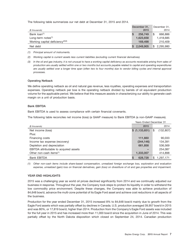The following table summarizes our net debt at December 31, 2015 and 2014.

| (\$ thousands)                               | December 31,<br>2015 | December 31,<br>2014 |
|----------------------------------------------|----------------------|----------------------|
| Bank loan <sup>(1)</sup>                     | 256,749              | \$<br>666,886        |
| Long-term notes $(1)$                        | 1,623,658            | 1,418,685            |
| Working capital deficiency <sup>(2)(3)</sup> | 169,498              | 210,409              |
| Net debt                                     | 2,049,905            | 2,295,980<br>\$      |

*(1) Principal amount of instruments.*

*(2) Working capital is current assets less current liabilities (excluding current financial derivatives).*

*(3) In the oil and gas industry, it is not unusual to have a working capital deficiency as accounts receivable arising from sales of production are usually settled within one or two months but accounts payable related to capital and operating expenditures are usually settled over a longer time span (often two to four months) due to vendor billing cycles and internal approval processes.*

# **Operating Netback**

We define operating netback as oil and natural gas revenue, less royalties, operating expenses and transportation expenses. Operating netback per boe is the operating netback divided by barrels of oil equivalent production volume for the applicable period. We believe that this measure assists in characterizing our ability to generate cash margin on a unit of production basis.

# **Bank EBITDA**

Bank EBITDA is used to assess compliance with certain financial covenants.

The following table reconciles net income (loss) (a GAAP measure) to Bank EBITDA (a non-GAAP measure).

|                                        | <b>Years Ended December 31</b> |                  |  |  |  |  |  |
|----------------------------------------|--------------------------------|------------------|--|--|--|--|--|
| (\$ thousands)                         | 2015                           | 2014             |  |  |  |  |  |
| Net income (loss)                      | \$(1,133,651)                  | (132, 807)<br>\$ |  |  |  |  |  |
| Plus:                                  |                                |                  |  |  |  |  |  |
| Financing costs                        | 111,660                        | 90,033           |  |  |  |  |  |
| Income tax expense (recovery)          | (344, 146)                     | 134,391          |  |  |  |  |  |
| Depletion and depreciation             | 661,858                        | 536,569          |  |  |  |  |  |
| EBITDA attributable to acquired assets |                                | 254,087          |  |  |  |  |  |
| Other non-cash items <sup>(1)</sup>    | 1,333,007                      | 414,898          |  |  |  |  |  |
| <b>Bank EBITDA</b>                     | S<br>628,728                   | 1,297,171<br>S   |  |  |  |  |  |

*(1) Other non-cash items include share-based compensation, unrealized foreign exchange loss, exploration and evaluation expense, unrealized (gain) loss on financial derivatives, gain (loss) on divestiture of oil and gas properties and impairment.*

# **YEAR END HIGHLIGHTS**

2015 was a challenging year as world oil prices declined significantly from 2014 and we continually adjusted our business in response. Throughout the year, the Company took steps to protect its liquidity in order to withstand the low commodity price environment. Despite these changes, the Company was able to achieve production of 84,648 boe/d, advance the multi-zone potential of its Eagle Ford asset and achieve cost reductions in all aspects of the business.

Production for the year ended December 31, 2015 increased 8% to 84,648 boe/d mainly due to growth from the Eagle Ford assets which was partially offset by declines in Canada. U.S. production averaged 39,957 boe/d in 2015 and was 80%, or 17,819 boe/d, higher than 2014. Production from the Company's Eagle Ford assets was included for the full year in 2015 and has increased more than 11,000 boe/d since the acquisition in June of 2014. This was partially offset by the North Dakota disposition which closed on September 24, 2014. Canadian production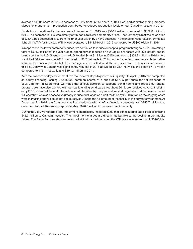averaged 44,691 boe/d in 2015, a decrease of 21%, from 56,257 boe/d in 2014. Reduced capital spending, property dispositions and shut-in production contributed to reduced production levels on our Canadian assets in 2015.

Funds from operations for the year ended December 31, 2015 was \$516.4 million, compared to \$879.8 million in 2014. The decrease in FFO was directly attributable to lower commodity prices. The Company's realized sales price of \$35.40/boe decreased 47% from the prior year driven by a 48% decrease in the price of West Texas Intermediate light oil (''WTI'') for the year. WTI prices averaged US\$48.79/bbl in 2015 compared to US\$92.97/bbl in 2014.

In response to the lower commodity prices, we continued to reduce our capital program throughout 2015 investing a total of \$521.0 million for the year. Capital spending was focused on our Eagle Ford assets with 86% of total capital being spent in the U.S. Spending in the U.S. totaled \$449.8 million in 2015 compared to \$371.8 million in 2014 where we drilled 50.2 net wells in 2015 compared to 33.2 net wells in 2014. In the Eagle Ford, we were able to further advance the multi-zone potential of the acreage which resulted in additional reserves and enhanced economics in this play. Activity in Canada was significantly reduced in 2015 as we drilled 31.4 net wells and spent \$71.3 million compared to 175.1 net wells and \$394.2 million in 2014.

With the low commodity environment, we took several steps to protect our liquidity. On April 2, 2015, we completed an equity financing, issuing 36,455,000 common shares at a price of \$17.35 per share for net proceeds of \$606.0 million. In September, we made the difficult decision to suspend our dividend and reduce our capital program. We have also worked with our bank lending syndicate throughout 2015. We received covenant relief in early 2015, extended the maturities of our credit facilities by one year in June and negotiated further covenant relief in December. We also chose to voluntarily reduce our Canadian credit facilities by \$200 million as the carrying costs were increasing and we could not see ourselves utilizing the full amount of the facility in the current environment. At December 31, 2015, the Company was in compliance with all of its financial covenants and \$256.7 million was drawn on the facilities leaving approximately \$820.0 million in undrawn credit capacity.

During the year, we recorded total impairment charges of \$1.0 billion (\$992.9 million related to Eagle Ford assets and \$45.7 million to Canadian assets). The impairment charges are directly attributable to the decline in commodity prices. The Eagle Ford assets were recorded at their fair values when the WTI price was more than US\$100/bbl.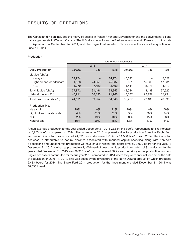# RESULTS OF OPERATIONS

The Canadian division includes the heavy oil assets in Peace River and Lloydminster and the conventional oil and natural gas assets in Western Canada. The U.S. division includes the Bakken assets in North Dakota up to the date of disposition on September 24, 2014, and the Eagle Ford assets in Texas since the date of acquisition on June 11, 2014.

# **Production**

|                          | Years Ended December 31 |        |        |        |        |        |  |  |  |  |  |  |  |
|--------------------------|-------------------------|--------|--------|--------|--------|--------|--|--|--|--|--|--|--|
|                          |                         | 2015   |        | 2014   |        |        |  |  |  |  |  |  |  |
| <b>Daily Production</b>  | Canada                  | U.S.   | Total  | Canada | U.S.   | Total  |  |  |  |  |  |  |  |
| Liquids (bbl/d)          |                         |        |        |        |        |        |  |  |  |  |  |  |  |
| Heavy oil                | 34,974                  |        | 34,974 | 45.022 |        | 45,022 |  |  |  |  |  |  |  |
| Light oil and condensate | 1,828                   | 24,059 | 25,887 | 2,621  | 15,060 | 17.681 |  |  |  |  |  |  |  |
| <b>NGL</b>               | 1,070                   | 7,422  | 8,492  | 1,441  | 3,378  | 4,819  |  |  |  |  |  |  |  |
| Total liquids (bbl/d)    | 37,872                  | 31.481 | 69.353 | 49.084 | 18.438 | 67,522 |  |  |  |  |  |  |  |
| Natural gas (mcf/d)      | 40,911                  | 50,855 | 91,766 | 43,037 | 22,197 | 65,234 |  |  |  |  |  |  |  |
| Total production (boe/d) | 44,691                  | 39,957 | 84,648 | 56,257 | 22,138 | 78,395 |  |  |  |  |  |  |  |
| <b>Production Mix</b>    |                         |        |        |        |        |        |  |  |  |  |  |  |  |
| Heavy oil                | 79%                     | $-$ %  | 41%    | 79%    | $-$ %  | 56%    |  |  |  |  |  |  |  |
| Light oil and condensate | 4%                      | 61%    | 31%    | 5%     | 68%    | 24%    |  |  |  |  |  |  |  |
| <b>NGL</b>               | 2%                      | 19%    | 10%    | 3%     | 15%    | 6%     |  |  |  |  |  |  |  |
| Natural gas              | 15%                     | 20%    | 18%    | 13%    | 17%    | 14%    |  |  |  |  |  |  |  |

Annual average production for the year ended December 31, 2015 was 84,648 boe/d, representing an 8% increase, or 6,253 boe/d, compared to 2014. The increase in 2015 is primarily due to production from the Eagle Ford acquisition. Canadian production of 44,691 boe/d decreased 21%, or 11,566 boe/d, from 2014. The Canadian decrease is attributable to natural declines associated with reduced capital spending along with non-core dispositions and uneconomic production we have shut-in which total approximately 2,900 boe/d for the year. At December 31, 2015, we had approximately 2,400 boe/d of uneconomic production shut-in. U.S. production for the year ended December 31, 2015 was 39,957 boe/d, an increase of 80% over the prior year as production from our Eagle Ford assets contributed for the full-year 2015 compared to 2014 where they were only included since the date of acquisition on June 11, 2014. This was offset by the divestiture of the North Dakota production which produced 2,483 boe/d for 2014. The Eagle Ford 2014 production for the three months ended December 31, 2014 was 38,035 boe/d.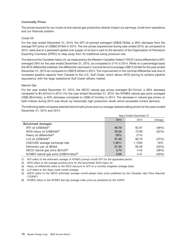#### **Commodity Prices**

The prices received for our crude oil and natural gas production directly impact our earnings, funds from operations and our financial position.

# *Crude Oil*

For the year ended December 31, 2015, the WTI oil prompt averaged US\$48.79/bbl, a 48% decrease from the average WTI price of US\$92.97/bbl in 2014. The low prices experienced during year ended 2015, as compared to 2014, were due to a persistent global over supply of oil due in part to the decision of the Organization of Petroleum Exporting Countries (OPEC) to step away from its traditional swing producer role.

The discount for Canadian heavy oil, as measured by the Western Canadian Select (''WCS'') price differential to WTI, averaged 29% for the year ended December 31, 2015, as compared to 21% in 2014. While on a percentage basis the WCS differential widened, the differential narrowed in nominal terms to average US\$13.52/bbl for the year ended December 31, 2015 as compared to US\$19.40/bbl in 2014. The improvement in the nominal differential was due to increased pipeline capacity from Canada to the U.S. Gulf Coast, which allows WCS pricing to achieve pipeline equivalency with the large waterborne Gulf Coast refinery market.

#### *Natural Gas*

For the year ended December 31, 2015, the AECO natural gas prices averaged \$2.74/mcf, a 38% decrease compared to \$4.42/mcf in 2014. For the year ended December 31, 2015, the NYMEX natural gas price averaged US\$2.66/mmbtu, a 40% decrease compared to US\$4.41/mmbtu in 2014. The decrease in natural gas prices on both indices during 2015 was driven by historically high production levels which exceeded current demand.

The following table compares selected benchmark prices and our average realized selling prices for the years ended December 31, 2015 and 2014.

|                                                     | Years Ended December 31 |        |        |  |  |  |  |  |
|-----------------------------------------------------|-------------------------|--------|--------|--|--|--|--|--|
|                                                     | 2015                    | 2014   | Change |  |  |  |  |  |
| <b>Benchmark Averages</b>                           |                         |        |        |  |  |  |  |  |
| WTI oil (US\$/bbl) <sup>(1)</sup>                   | 48.79                   | 92.97  | (48%)  |  |  |  |  |  |
| WCS heavy oil (US\$/bbl) <sup>(2)</sup>             | 35.26                   | 73.58  | (52%)  |  |  |  |  |  |
| Heavy oil differential <sup>(3)</sup>               | 29%                     | 21%    |        |  |  |  |  |  |
| LLS oil (US\$/bbl) <sup>(4)</sup>                   | 51.50                   | 96.76  | (47%)  |  |  |  |  |  |
| CAD/USD average exchange rate                       | 1.2811                  | 1.1050 | 16%    |  |  |  |  |  |
| Edmonton par oil (\$/bbl)                           | 57.20                   | 95.28  | (40%)  |  |  |  |  |  |
| AECO natural gas price (\$/mcf)(5)                  | 2.74                    | 4.42   | (38%)  |  |  |  |  |  |
| NYMEX natural gas price (US\$/mmbtu) <sup>(6)</sup> | 2.66                    | 4.41   | (40%)  |  |  |  |  |  |

*(1) WTI refers to the arithmetic average of NYMEX prompt month WTI for the applicable period.*

*(2) WCS refers to the average posting price for the benchmark WCS heavy oil.*

*(3) Heavy oil differential refers to the WCS discount to WTI on a monthly weighted average basis.*

*(4) LLS refers to the Argus trade month average.*

*(5) AECO refers to the AECO arithmetic average month-ahead index price published by the Canadian Gas Price Reporter (''CGPR'').*

*(6) NYMEX refers to the NYMEX last day average index price as published by the CGPR.*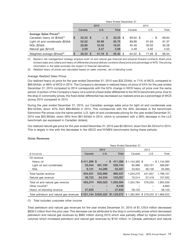|                                            | Years Ended December 31 |            |  |            |  |              |      |          |     |          |  |       |  |
|--------------------------------------------|-------------------------|------------|--|------------|--|--------------|------|----------|-----|----------|--|-------|--|
|                                            |                         |            |  | 2015       |  |              | 2014 |          |     |          |  |       |  |
|                                            |                         | Canada     |  | U.S.       |  | <b>Total</b> |      | Canada   |     | U.S.     |  | Total |  |
| Average Sales Prices <sup>(1)</sup>        |                         |            |  |            |  |              |      |          |     |          |  |       |  |
| Canadian heavy oil (\$/bbl) <sup>(1)</sup> | <b>S</b>                | $32.23$ \$ |  | $-$ \$     |  | $32.23$ \$   |      | 69.64 \$ |     | - \$     |  | 69.64 |  |
| Light oil and condensate (\$/bbl)          |                         | 52.52      |  | 55.99      |  | 55.75        |      | 89.88    |     | 91.63    |  | 91.37 |  |
| NGL (\$/bbl)                               |                         | 20.80      |  | 16.35      |  | 16.91        |      | 45.49    |     | 30.93    |  | 35.28 |  |
| Natural gas (\$/mcf)                       |                         | 2.59       |  | 3.47       |  | 3.08         |      | 4.49     |     | 4.62     |  | 4.53  |  |
| Weighted average (\$/boe) <sup>(2)</sup>   | <b>S</b>                | $30.24$ \$ |  | $41.16$ \$ |  | 35.40        | - \$ | 64.52    | \$. | 71.69 \$ |  | 66.54 |  |

*(1) Baytex's risk management strategy employs both oil and natural gas financial and physical forward contracts (fixed price forward sales and collars) and heavy oil differential physical delivery contracts (fixed price and percentage of WTI). The pricing information in the table excludes the impact of financial derivatives.*

*(2) Realized heavy oil prices are calculated based on sales volumes, net of blending costs.*

# *Average Realized Sales Prices*

Our realized heavy oil price for the year ended December 31, 2015 was \$32.23/bbl, or 71% of WCS, compared to \$69.64/bbl, or 86% of WCS in 2014. The Company's decrease in realized heavy oil price of 54% for the year ended December 31, 2015 compared to 2014 corresponds with the 52% change in WCS heavy oil price over the same period. A portion of the Company's heavy oil is sold at a fixed dollar differential to the WCS benchmark price. Due to the drop in commodity prices, the fixed dollar differential has decreased our realized price as a percentage of WCS during 2015 compared to 2014.

During the year ended December 31, 2015, our Canadian average sales price for light oil and condensate was \$52.52/bbl, down 42% from \$89.88/bbl in 2014. This corresponds with the 40% decrease in the benchmark Edmonton Par prices over the same period. U.S. light oil and condensate pricing for the year ended December 31, 2015 was \$55.99/bbl, down 39% from \$91.63/bbl in 2014, which is consistent with a 38% decrease in the LLS benchmark (as expressed in Canadian dollars).

Our realized natural gas price for the year ended December 31, 2015 was \$3.08/mcf, down from \$4.53/mcf in 2014. This is largely in line with the decreases in the AECO and NYMEX benchmarks during these periods.

|                                          | <b>Years Ended December 31</b> |         |                   |                                                                   |         |                 |  |  |  |  |  |  |  |
|------------------------------------------|--------------------------------|---------|-------------------|-------------------------------------------------------------------|---------|-----------------|--|--|--|--|--|--|--|
|                                          |                                | 2015    |                   | 2014                                                              |         |                 |  |  |  |  |  |  |  |
| (\$ thousands)                           | Canada                         | U.S.    | <b>Total</b>      | Canada                                                            | U.S.    | Total           |  |  |  |  |  |  |  |
| Oil revenue                              |                                |         |                   |                                                                   |         |                 |  |  |  |  |  |  |  |
| Heavy oil                                | \$411,386 \$                   |         | 411.386<br>$-$ \$ | $$1,144,360$ \$                                                   |         | $-$ \$1,144,360 |  |  |  |  |  |  |  |
| Light oil and condensate                 | 35,044                         | 491,700 | 526,744           | 85,986                                                            | 503.701 | 589,687         |  |  |  |  |  |  |  |
| <b>NGL</b>                               | 8,121                          | 44,286  | 52,407            | 23,924                                                            | 38,136  | 62,060          |  |  |  |  |  |  |  |
| Total liquids revenue                    | 454,551                        | 535,986 | 990,537           | 1,254,270                                                         | 541,837 | 1,796,107       |  |  |  |  |  |  |  |
| Natural gas revenue                      | 38,723                         | 64,334  | 103,057           | 70,514                                                            | 37,418  | 107,932         |  |  |  |  |  |  |  |
| Total oil and natural gas revenue        | 493,274                        | 600,320 | 1,093,594         | 1,324,784                                                         | 579,255 | 1,904,039       |  |  |  |  |  |  |  |
| Other income <sup>(1)</sup>              |                                |         | 8,448             |                                                                   |         | 6,863           |  |  |  |  |  |  |  |
| Heavy oil blending revenue               | 27,830                         | -       | 27,830            | 58.120                                                            |         | 58,120          |  |  |  |  |  |  |  |
| Total petroleum and natural gas revenues |                                |         |                   | \$521,104 \$600,320 \$1,129,872 \$1,382,904 \$579,255 \$1,969,022 |         |                 |  |  |  |  |  |  |  |

# **Gross Revenues**

#### *(1) Total includes corporate other income*

Total petroleum and natural gas revenues for the year ended December 31, 2015 of \$1,129.9 million decreased \$839.2 million from the prior year. This decrease can be attributed to the drop in commodity prices which decreased petroleum and natural gas revenues by \$962 million during 2015 which was partially offset by higher production volumes which increased petroleum and natural gas revenues by \$152 million. In Canada, petroleum and natural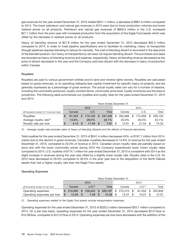gas revenues for the year ended December 31, 2015 totaled \$521.1 million, a decrease of \$861.8 million compared to 2014. The lower petroleum and natural gas revenues in 2015 were due to lower production volumes and lower realized prices on all products. Petroleum and natural gas revenues of \$600.3 million in the U.S. increased \$21.1 million from the prior year with increased production from the acquisition of the Eagle Ford assets which was offset by the decrease in realized prices on all products.

Heavy oil blending revenue of \$27.8 million for the year ended December 31, 2015 decreased \$30.3 million compared to 2014. In order to meet pipeline specifications and to facilitate its marketing, heavy oil transported through pipelines requires blending to reduce its viscosity. The cost of blending diluent is recovered in the sale price of the blended product. Our heavy oil transported by rail does not require blending diluent. The purchases and sales are recorded as heavy oil blending revenue and expense, respectively. Heavy oil blending revenue decreased as the price of diluent decreased in the year and the Company sold less diluent with the decrease in heavy oil production within Canada.

# **Royalties**

Royalties are paid to various government entities and to land and mineral rights owners. Royalties are calculated based on gross revenues, or on operating netbacks less capital investment for specific heavy oil projects, and are generally expressed as a percentage of gross revenue. The actual royalty rates can vary for a number of reasons, including the commodity produced, royalty contract terms, commodity price level, royalty incentives and the area or jurisdiction. The following table summarizes our royalties and royalty rates for the years ended December 31, 2015 and 2014.

|                                         | <b>Years Ended December 31</b> |          |    |               |  |                         |        |            |   |         |       |         |  |
|-----------------------------------------|--------------------------------|----------|----|---------------|--|-------------------------|--------|------------|---|---------|-------|---------|--|
|                                         |                                |          |    | 2015          |  |                         |        |            |   | 2014    |       |         |  |
| (\$ thousands except for % and per boe) |                                | Canada   |    | Total<br>U.S. |  |                         | Canada |            |   | U.S.    | Total |         |  |
| Royalties                               | S                              | 67.323   | S. |               |  | $174,102$ \$ 241,425 \$ |        | 265,066 \$ |   | 174.059 |       | 439.125 |  |
| Average royalty rate $(1)$              |                                | $13.6\%$ |    | 29.0%         |  | $22.1\%$                |        | 20.0%      |   | 30.0%   |       | 23.1%   |  |
| Royalty rate per boe                    | S                              | 4.13     |    | 11.94         |  | 7.81                    |        | 12.91      | S | 21.54   |       | 15.35   |  |

*(1) Average royalty rate excludes sales of heavy oil blending diluents and the effects of financial derivatives.*

Total royalties for the year ended December 31, 2015 of \$241.4 million decreased 45%, or \$197.7 million from 2014, mainly due to the decline in gross revenues. Canadian royalties decreased to 13.6% of revenue for the year ended December 31, 2015, compared to 20.0% of revenue in 2014. Canadian crown royalty rates are partially based on price and with the lower commodity prices during 2015 the Company experienced lower crown royalty rates compared to 2014. U.S. royalties of \$174.1 million for year ended December 31, 2015 is consistent with 2014 as the slight increase in revenues during the year was offset by a slightly lower royalty rate. Royalty rates in the U.S. for 2015 have decreased to 29.0% compared to 30.0% in the prior year due to the disposition of the North Dakota assets that had a higher royalty rate than the Eagle Ford assets.

# **Operating Expenses**

|                                   | Years Ended December 31 |               |  |                     |       |        |      |                                  |                     |        |          |         |
|-----------------------------------|-------------------------|---------------|--|---------------------|-------|--------|------|----------------------------------|---------------------|--------|----------|---------|
|                                   |                         |               |  | 2015                |       |        | 2014 |                                  |                     |        |          |         |
| (\$ thousands except for per boe) |                         | Canada        |  | U.S. <sup>(1)</sup> | Total | Canada |      |                                  | U.S. <sup>(1)</sup> | Total  |          |         |
| Operating expenses                |                         | $$210.945$ \$ |  |                     |       |        |      | 109,242 \$ 320,187 \$ 272,515 \$ |                     | 81.334 | <b>S</b> | 353.849 |
| Operating expenses per boe        | <b>S</b>                | 12.93         |  | 7.49                |       | 10.36  |      | 13.27                            |                     | 10.07  |          | 12.37   |

*(1) Operating expenses related to the Eagle Ford assets include transportation expenses.*

Operating expenses for the year ended December 31, 2015 of \$320.2 million decreased \$33.7 million compared to 2014. On a per boe basis, operating expenses for the year ended December 31, 2015 decreased \$2.01/boe to \$10.36/boe, compared to \$12.37/boe in 2014. Operating expenses per boe have decreased with the addition of the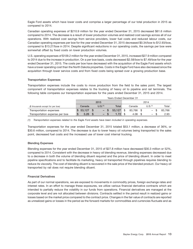Eagle Ford assets which have lower costs and comprise a larger percentage of our total production in 2015 as compared to 2014.

Canadian operating expenses of \$210.9 million for the year ended December 31, 2015 decreased \$61.6 million compared to 2014. The decrease is a result of lower production volumes and realized cost savings across all of our operations. With realized cost savings from service providers, lower fuel costs and reduced labour costs, our Canadian operating expenses per boe for the year ended December 31, 2015 decreased \$0.34/boe to \$12.93/boe, compared to \$13.27/boe in 2014. Despite significant reductions in our operating costs, the savings per boe were somewhat offset by fixed costs on lower production volumes.

U.S. operating expenses of \$109.2 million for the year ended December 31, 2015, increased \$27.9 million compared to 2014 due to the increase in production. On a per boe basis, costs decreased \$2.58/boe to \$7.49/boe for the year ended December 31, 2015. The costs per boe have decreased with the acquisition of the Eagle Ford assets which have a lower operating cost than the North Dakota properties. Costs in the Eagle Ford have also decreased since the acquisition through lower service costs and from fixed costs being spread over a growing production base.

# **Transportation Expenses**

Transportation expenses include the costs to move production from the field to the sales point. The largest component of transportation expenses relates to the trucking of heavy oil to pipeline and rail terminals. The following table compares our transportation expenses for the years ended December 31, 2015 and 2014.

|                                   | <b>Years Ended December 31</b> |  |                     |  |        |  |           |  |                          |  |        |  |  |
|-----------------------------------|--------------------------------|--|---------------------|--|--------|--|-----------|--|--------------------------|--|--------|--|--|
|                                   |                                |  | 2015                |  | 2014   |  |           |  |                          |  |        |  |  |
| (\$ thousands except for per boe) | Canada                         |  | U.S. <sup>(1)</sup> |  | Total  |  | Canada    |  | U.S. <sup>(1)</sup>      |  | Total  |  |  |
| Transportation expenses           | \$53.127                       |  | $- S$               |  | 53.127 |  | 83.766 \$ |  | $\overline{\phantom{m}}$ |  | 83.766 |  |  |
| Transportation expense per boe    | 3.26                           |  | -                   |  |        |  | 4.08      |  | -                        |  | 2.93   |  |  |

*(1) Transportation expenses related to the Eagle Ford assets have been included in operating expenses.*

Transportation expenses for the year ended December 31, 2015 totaled \$53.1 million, a decrease of 36%, or \$30.6 million, compared to 2014. The decrease is due to lower heavy oil volumes being transported to the sales point, decreased fuel costs and the increased use of lower cost internal trucking.

# **Blending Expenses**

Blending expenses for the year ended December 31, 2015 of \$27.8 million have decreased \$30.3 million or 52%, compared to 2014. Consistent with the decrease in heavy oil blending revenue, blending expenses decreased due to a decrease in both the volume of blending diluent required and the price of blending diluent. In order to meet pipeline specifications and to facilitate its marketing, heavy oil transported through pipelines requires blending to reduce its viscosity. The cost of blending diluent is recovered in the sale price of the blended product. Our heavy oil transported by rail does not require blending diluent.

#### **Financial Derivatives**

As part of our normal operations, we are exposed to movements in commodity prices, foreign exchange rates and interest rates. In an effort to manage these exposures, we utilize various financial derivative contracts which are intended to partially reduce the volatility in our funds from operations. Financial derivatives are managed at the corporate level and are not allocated between divisions. Contracts settled in the period result in realized gains or losses based on the market price compared to the contract price. Changes in the fair value of contracts are reported as unrealized gains or losses in the period as the forward markets for commodities and currencies fluctuate and as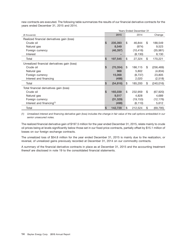new contracts are executed. The following table summarizes the results of our financial derivative contracts for the years ended December 31, 2015 and 2014.

|                                              | <b>Years Ended December 31</b> |     |           |    |            |  |  |  |  |
|----------------------------------------------|--------------------------------|-----|-----------|----|------------|--|--|--|--|
| (\$ thousands)                               | 2015                           |     | 2014      |    | Change     |  |  |  |  |
| Realized financial derivatives gain (loss)   |                                |     |           |    |            |  |  |  |  |
| Crude oil                                    | \$<br>235,393                  | Ι\$ | 46,844    | \$ | 188,549    |  |  |  |  |
| Natural gas                                  | 8,549                          |     | (974)     |    | 9,523      |  |  |  |  |
| Foreign currency                             | (46, 397)                      |     | (10, 416) |    | (35,981)   |  |  |  |  |
| Interest                                     |                                |     | (8, 130)  |    | 8,130      |  |  |  |  |
| Total                                        | \$<br>197,545                  | \$  | 27,324    | \$ | 170,221    |  |  |  |  |
| Unrealized financial derivatives gain (loss) |                                |     |           |    |            |  |  |  |  |
| Crude oil                                    | \$<br>(70, 354)                | \$  | 186,115   | \$ | (256, 469) |  |  |  |  |
| Natural gas                                  | 968                            |     | 5,802     |    | (4,834)    |  |  |  |  |
| Foreign currency                             | 15,068                         |     | (8,737)   |    | 23,805     |  |  |  |  |
| Interest and financing                       | (498)                          |     | 2,020     |    | (2,518)    |  |  |  |  |
| Total                                        | \$<br>(54, 816)                | \$  | 185,200   | \$ | (240, 016) |  |  |  |  |
| Total financial derivatives gain (loss)      |                                |     |           |    |            |  |  |  |  |
| Crude oil                                    | \$<br>165,039                  | \$  | 232,959   | \$ | (67, 920)  |  |  |  |  |
| Natural gas                                  | 9,517                          |     | 4,828     |    | 4,689      |  |  |  |  |
| Foreign currency                             | (31, 329)                      |     | (19, 153) |    | (12, 176)  |  |  |  |  |
| Interest and financing $(1)$                 | (498)                          |     | (6, 110)  |    | 5,612      |  |  |  |  |
| Total                                        | \$<br>142,729                  | \$  | 212,524   | \$ | (69, 795)  |  |  |  |  |

*(1) Unrealized interest and financing derivative gain (loss) includes the change in fair value of the call options embedded in our senior unsecured notes.*

The realized financial derivative gain of \$197.5 million for the year ended December 31, 2015, relate mainly to crude oil prices being at levels significantly below those set in our fixed price contracts, partially offset by \$15.1 million of losses on our foreign exchange contracts.

The unrealized loss of \$54.8 million for the year ended December 31, 2015 is mainly due to the realization, or reversal, of unrealized gains previously recorded at December 31, 2014 on our commodity contracts.

A summary of the financial derivative contracts in place as at December 31, 2015 and the accounting treatment thereof are disclosed in note 19 to the consolidated financial statements.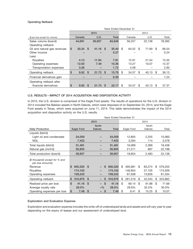# **Operating Netback**

|                                | Years Ended December 31 |        |               |            |          |              |      |        |    |        |      |        |  |
|--------------------------------|-------------------------|--------|---------------|------------|----------|--------------|------|--------|----|--------|------|--------|--|
|                                |                         |        |               | 2015       |          |              | 2014 |        |    |        |      |        |  |
| (\$ per boe except for volume) |                         | Canada |               | U.S.       |          | <b>Total</b> |      | Canada |    | U.S.   |      | Total  |  |
| Sales volume (boe/d)           |                         | 44,691 |               | 39,957     |          | 84,648       |      | 56,257 |    | 22,138 |      | 78,395 |  |
| Operating netback:             |                         |        |               |            |          |              |      |        |    |        |      |        |  |
| Oil and natural gas revenues   | \$                      | 30.24  | <sup>\$</sup> | 41.16      | - \$     | 35.40        | \$   | 64.52  | \$ | 71.69  | - \$ | 66.54  |  |
| Other income                   |                         |        |               |            |          | 0.27         |      |        |    |        |      | 0.24   |  |
| Less:                          |                         |        |               |            |          |              |      |        |    |        |      |        |  |
| Royalties                      |                         | 4.13   |               | 11.94      |          | 7.81         |      | 12.91  |    | 21.54  |      | 15.35  |  |
| Operating expenses             |                         | 12.93  |               | 7.49       |          | 10.36        |      | 13.27  |    | 10.07  |      | 12.37  |  |
| Transportation expenses        |                         | 3.26   |               |            |          | 1.72         |      | 4.08   |    |        |      | 2.93   |  |
| Operating netback              | \$                      | 9.92   | \$            | $21.73$ \$ |          | 15.78        | \$   | 34.57  | \$ | 40.13  | \$   | 36.13  |  |
| Financial derivatives gain     |                         |        |               |            |          | 6.39         |      |        |    |        |      | 1.24   |  |
| Operating netback after        |                         |        |               |            |          |              |      |        |    |        |      |        |  |
| financial derivatives          | S                       | 9.92   | <b>S</b>      | 21.73      | <b>S</b> | 22.17        | \$   | 34.57  | \$ | 40.13  | -S   | 37.37  |  |

# **U.S. RESULTS – IMPACT OF 2014 ACQUISITION AND DISPOSITION ACTIVITY**

In 2015, the U.S. division is comprised of the Eagle Ford assets. The results of operations for the U.S. division in 2014 included the Bakken assets in North Dakota, which were disposed of on September 24, 2014, and the Eagle Ford assets in Texas, which were acquired on June 11, 2014. This table demonstrates the impact of the 2014 acquisition and disposition activity on the U.S. results.

|                                                    | Years Ended December 31 |              |       |         |      |            |    |        |    |         |  |
|----------------------------------------------------|-------------------------|--------------|-------|---------|------|------------|----|--------|----|---------|--|
|                                                    |                         | 2015         |       |         | 2014 |            |    |        |    |         |  |
|                                                    |                         | <b>North</b> |       |         |      |            |    | North  |    |         |  |
| <b>Daily Production</b>                            | Eagle Ford              | Dakota       |       | Total   |      | Eagle Ford |    | Dakota |    | Total   |  |
| Liquids (bbl/d)                                    |                         |              |       |         |      |            |    |        |    |         |  |
| Light oil and condensate                           | 24,059                  |              |       | 24,059  |      | 12,805     |    | 2,255  |    | 15,060  |  |
| <b>NGL</b>                                         | 7,422                   |              |       | 7,422   |      | 3,264      |    | 114    |    | 3,378   |  |
| Total liquids (bbl/d)                              | 31,481                  |              |       | 31,481  |      | 16,069     |    | 2,369  |    | 18,438  |  |
| Natural gas (mcf/d)                                | 50,855                  |              |       | 50,855  |      | 21,511     |    | 687    |    | 22,198  |  |
| Total production (boe/d)                           | 39,957                  |              |       | 39,957  |      | 19,654     |    | 2,483  |    | 22,138  |  |
| (\$ thousands except for % and<br>per boe amounts) |                         |              |       |         |      |            |    |        |    |         |  |
| Revenue                                            | \$<br>600,320           | \$.          | \$    | 600,320 | \$   | 495.981    | \$ | 83.274 | \$ | 579,255 |  |
| Royalties                                          | 174,102                 |              |       | 174,102 |      | 146,954    |    | 27,105 |    | 174,059 |  |
| Operating expenses                                 | 109,242                 |              |       | 109,242 |      | 67,508     |    | 13,826 |    | 81,334  |  |
| Operating netback                                  | \$<br>316,976           | -S<br>-      | S     | 316,976 | \$   | 281,519    | \$ | 42,343 | \$ | 323,862 |  |
| Realized price per boe                             | \$<br>41.16             | \$<br>Ξ.     | \$    | 41.16   | \$   | 69.14      | \$ | 91.88  | \$ | 71.69   |  |
| Average royalty rate                               | 29.0%                   |              | $-$ % | 29.0%   |      | 29.6%      |    | 32.5%  |    | 30.0%   |  |
| Operating expenses per boe                         | \$<br>7.49              | S            | \$    | 7.49    | \$   | 9.41       | \$ | 15.25  | \$ | 10.07   |  |

# **Exploration and Evaluation Expense**

Exploration and evaluation expense includes the write-off of undeveloped lands and assets and will vary year to year depending on the expiry of leases and our assessment of undeveloped land.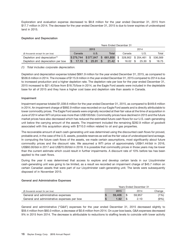Exploration and evaluation expense decreased to \$8.8 million for the year ended December 31, 2015 from \$17.7 million in 2014. The decrease for the year ended December 31, 2015 is due to lower expiries of undeveloped land in 2015.

# **Depletion and Depreciation**

|                                           | <b>Years Ended December 31</b> |       |                                                   |        |              |                |  |  |  |  |  |
|-------------------------------------------|--------------------------------|-------|---------------------------------------------------|--------|--------------|----------------|--|--|--|--|--|
|                                           |                                | 2015  |                                                   | 2014   |              |                |  |  |  |  |  |
| (\$ thousands except for per boe)         | Canada                         | U.S.  | Total                                             | Canada | U.S.         | Total          |  |  |  |  |  |
| Depletion and depreciation <sup>(1)</sup> |                                |       | \$279,744 \$377,847 \$661,858 \$328,902 \$204,461 |        |              | - S<br>536,569 |  |  |  |  |  |
| Depletion and depreciation per boe        | $17.15$ \$                     | 25.91 | $21.42 \text{ } $s$<br>-S                         | 16.02  | 25.30<br>-\$ | 18.75          |  |  |  |  |  |

# *(1) Total includes corporate depreciation.*

Depletion and depreciation expense totaled \$661.9 million for the year ended December 31, 2015, as compared to \$536.6 million in 2014. The increase of \$115.9 million in the year ended December 31, 2015 compared to 2014 is due to increased production and a higher depletion rate. The depletion rate per boe for the year ended December 31, 2015 increased to \$21.42/boe from \$18.75/boe in 2014, as the Eagle Ford assets were included in the depletable base for all of 2015 and they have a higher cost base and depletion rate than assets in Canada.

# **Impairment**

Impairment expense totaled \$1,038.6 million for the year ended December 31, 2015, as compared to \$449.6 million in 2014. An impairment charge of \$992.9 million was recorded on our Eagle Ford assets and is directly attributable to lower commodity prices. The Eagle Ford assets were originally recorded at their fair value at the time of acquisition in June of 2014 when WTI oil price was more than US\$100/bbl. Commodity prices have declined in 2015 and the future market prices have also decreased which has reduced the estimated future cash flows for our U.S. cash-generating unit below the carrying amount of the assets. The impairment included the remaining \$282.9 million of goodwill associated with this acquisition along with \$710.0 million related to oil and gas properties.

The recoverable amount of each cash-generating unit was determined using the discounted cash flows for proved, probable and, in the case of the U.S. assets, possible reserves as well as the fair value of undeveloped land acreage. In computing the future cash flows of the assets, we made certain assumptions, most significantly about future commodity prices and the discount rate. We assumed a WTI price of approximately US\$41.44/bbl in 2016, US\$60.00/bbl in 2017 and US\$70.00/bbl in 2018. It is possible that commodity prices in those years may be lower than the current estimate which could result in further impairments. A discount rate of 10% before tax has been applied to the cash flows.

During the year it was determined that access to explore and develop certain lands in our Lloydminster cash-generating unit was going to be limited, as a result we recorded an impairment charge of \$45.7 million on certain Canadian assets that were part of our Lloydminster cash-generating unit. The lands were subsequently disposed of in November 2015.

# **General and Administrative Expenses**

|                                             | Years Ended December 31 |  |        |         |  |  |  |  |  |
|---------------------------------------------|-------------------------|--|--------|---------|--|--|--|--|--|
| (\$ thousands except for per boe)           | 2015                    |  | 2014   | Change  |  |  |  |  |  |
| General and administrative expenses         | 59,406                  |  | 59.957 | $(1\%)$ |  |  |  |  |  |
| General and administrative expenses per boe | 1.92                    |  | 2.10   | $(9\%)$ |  |  |  |  |  |

General and administrative (''G&A'') expenses for the year ended December 31, 2015 decreased slightly to \$59.4 million from \$60.0 million, a decrease of \$0.6 million from 2014. On a per boe basis, G&A expenses decreased 9% in 2015 from 2014. The decrease is attributable to reductions to staffing levels to coincide with lower activity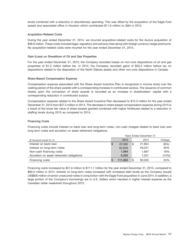levels combined with a reduction in discretionary spending. This was offset by the acquisition of the Eagle Ford assets and associated office in Houston which contributed \$11.8 million to G&A in 2015.

# **Acquisition-Related Costs**

During the year ended December 31, 2014, we incurred acquisition-related costs for the Aurora acquisition of \$38.6 million. These costs included legal, regulatory and advisory fees along with foreign currency hedge premiums. No acquisition-related costs were incurred for the year ended December 31, 2015.

# **Gain (Loss) on Divestiture of Oil and Gas Properties**

For the year ended December 31, 2015, the Company recorded losses on non-core dispositions of oil and gas properties of \$1.5 million before tax. In 2014, the Company recorded gains of \$50.2 million before tax on dispositions related to the disposition of the North Dakota assets and other non-core dispositions in Canada.

# **Share-Based Compensation Expense**

Compensation expense associated with the Share Award Incentive Plan is recognized in income (loss) over the vesting period of the share awards with a corresponding increase in contributed surplus. The issuance of common shares upon the conversion of share awards is recorded as an increase in shareholders' capital with a corresponding reduction in contributed surplus.

Compensation expense related to the Share Award Incentive Plan decreased to \$15.3 million for the year ended December 31, 2015 from \$27.5 million in 2014. The decrease in share-based compensation expense during 2015 is a result of the lower fair value of share awards granted combined with higher forfeitures related to a reduction in staffing levels during 2015 as compared to 2014.

# **Financing Costs**

Financing costs include interest on bank loan and long-term notes, non-cash charges related to bank loan and long-term notes and accretion on asset retirement obligations.

|                                           | <b>Years Ended December 31</b> |         |     |        |        |  |  |  |  |
|-------------------------------------------|--------------------------------|---------|-----|--------|--------|--|--|--|--|
| (\$ thousands except for %)               |                                | 2015    |     | 2014   | Change |  |  |  |  |
| Interest on bank loan                     |                                | 20.566  | Ι\$ | 21,854 | (6%)   |  |  |  |  |
| Interest on long-term notes               |                                | 82,838  |     | 59.231 | 40%    |  |  |  |  |
| Non-cash financing costs                  |                                | 1,994   |     | 1.697  | 18%    |  |  |  |  |
| Accretion on asset retirement obligations |                                | 6,262   |     | 7.251  | (14%)  |  |  |  |  |
| Financing costs                           |                                | 111,660 | \$  | 90.033 | 24%    |  |  |  |  |

Financing costs increased by \$21.6 million to \$111.7 million for the year ended December 31, 2015, compared to \$90.0 million in 2014. Interest on long-term notes increased with increased debt levels as the Company issued US\$800 million of senior unsecured notes in conjunction with the Eagle Ford acquisition in June 2014. In addition, a large portion of the Company's borrowings are in U.S. dollars which resulted in higher interest expense as the Canadian dollar weakened throughout 2015.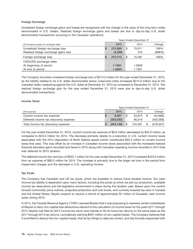# **Foreign Exchange**

Unrealized foreign exchange gains and losses are recognized with the change in the value of the long-term notes denominated in U.S. dollars. Realized foreign exchange gains and losses are due to day-to-day U.S. dollar denominated transactions occurring in the Canadian operations.

|                                          | <b>Years Ended December 31</b> |          |   |        |        |  |  |  |  |
|------------------------------------------|--------------------------------|----------|---|--------|--------|--|--|--|--|
| (\$ thousands except for exchange rates) |                                | 2015     |   | 2014   | Change |  |  |  |  |
| Unrealized foreign exchange loss         | ъ.                             | 213.999  | S | 75.011 | 185%   |  |  |  |  |
| Realized foreign exchange (gain) loss    |                                | (3, 286) |   | 370    | (988%) |  |  |  |  |
| Foreign exchange loss                    | <b>S</b>                       | 210,713  | S | 75.381 | 180%   |  |  |  |  |
| CAD/USD exchange rates:                  |                                |          |   |        |        |  |  |  |  |
| At beginning of period                   |                                | 1.1601   |   | 1.0636 |        |  |  |  |  |
| At end of period                         |                                | 1.3840   |   | 1.1601 |        |  |  |  |  |

The Company recorded unrealized foreign exchange loss of \$214.0 million for the year ended December 31, 2015, as the liability related to its U.S. dollar denominated senior unsecured notes increased \$214.0 million due to the Canadian dollar weakening against the U.S. dollar at December 31, 2015 as compared to December 31, 2014. The realized foreign exchange gain for the year ended December 31, 2015 were due to day-to-day U.S. dollar denominated transactions.

# **Income Taxes**

|                                        | Years Ended December 31 |  |         |  |            |  |  |  |  |
|----------------------------------------|-------------------------|--|---------|--|------------|--|--|--|--|
| (\$ thousands)                         | 2015                    |  | 2014    |  | Change     |  |  |  |  |
| Current income tax expense             | 8.907                   |  | 53.875  |  | (44,968)   |  |  |  |  |
| Deferred income tax (recovery) expense | (353.053)               |  | 80.516  |  | (433, 569) |  |  |  |  |
| Total income tax (recovery) expense    | (344.146)               |  | 134.391 |  | (478.537)  |  |  |  |  |

For the year ended December 31, 2015, current income tax expense of \$8.9 million decreased by \$45.0 million, as compared to \$53.9 million for 2014. The decrease primarily relates to a reduction in U.S. current income taxes associated with the 2014 disposition of North Dakota assets (which contributed \$52.5 million to current income taxes that year). This was offset by an increase in Canadian income taxes associated with the increased realized financial derivative gains recorded and taxed in 2015 along with Canadian operating income recorded in 2014 that was deferred to 2015 taxation.

The deferred income tax recovery of \$353.1 million for the year ended December 31, 2015 increased \$433.6 million from an expense of \$80.5 million for 2014. The increase is primarily due to the larger net loss in the period from impairment charges and the decrease in U.S. operating income.

# **Tax Pools**

The Company has Canadian and US tax pools, which are available to reduce future taxable income. Our cash income tax liability is dependent upon many factors, including the prices at which we sell our production, available income tax deductions and the legislative environment in place during the taxation year. Based upon the current forward commodity price outlook, projected production and cost levels, and currently enacted tax laws in Canada and the United States, Baytex expects to receive a refund of approximately \$7 million of Canadian cash income taxes during 2016.

In 2014, the Canada Revenue Agency ("CRA") advised Baytex that it was proposing to reassess certain subsidiaries of Baytex to deny non-capital loss deductions relevant to the calculation of income taxes for the years 2011 through 2013. Baytex has filed its 2014 income tax return and intends to file its future tax returns on the same basis as the 2011 through 2013 tax returns, cumulatively claiming \$591 million of non-capital losses. The Company believes that it is entitled to deduct the non-capital losses, that its tax filings to-date are correct, and has formally responded with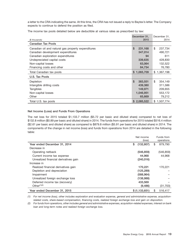a letter to the CRA indicating the same. At this time, the CRA has not issued a reply to Baytex's letter. The Company expects to continue to defend the position as filed.

The income tax pools detailed below are deductible at various rates as prescribed by law:

|                                                    | December 31,            | December 31,    |
|----------------------------------------------------|-------------------------|-----------------|
| (\$ thousands)                                     | 2015                    | 2014            |
| <b>Canadian Tax Pools</b>                          |                         |                 |
| Canadian oil and natural gas property expenditures | \$<br>231,168           | \$<br>237,734   |
| Canadian development expenditures                  | 347,014                 | 490.721         |
| Canadian exploration expenditures                  | 94                      | 611             |
| Undepreciated capital costs                        | 339,635                 | 428,830         |
| Non-capital losses                                 | 63,064                  | 132,522         |
| Financing costs and other                          | 84,734                  | 76,780          |
| Total Canadian tax pools                           | \$1,065,709             | \$1,367,198     |
| U.S. Tax Pools                                     |                         |                 |
| Depletion                                          | $\mathbf{s}$<br>383,551 | \$<br>354.149   |
| Intangible drilling costs                          | 439,380                 | 311,586         |
| Tangibles                                          | 149,971                 | 209,655         |
| Non-capital losses                                 | 1,046,951               | 553,172         |
| Other                                              | 65,669                  | 79,212          |
| Total U.S. tax pools                               | \$2,085,522             | 1,507,774<br>\$ |

#### **Net Income (Loss) and Funds From Operations**

The net loss for 2015 totaled \$1,133.7 million (\$5.72 per basic and diluted share) compared to net loss of \$132.8 million (\$0.89 per basic and diluted share) in 2014. The funds from operations for 2015 totaled \$516.4 million (\$2.61 per basic and diluted share) as compared to \$879.8 million (\$5.91 per basic and diluted share) in 2014. The components of the change in net income (loss) and funds from operations from 2014 are detailed in the following table:

|                                       | Net income<br>(loss) | Funds from<br>operations |
|---------------------------------------|----------------------|--------------------------|
| Year ended December 31, 2014          | \$<br>(132, 807)     | \$<br>879.790            |
| Decrease in                           |                      |                          |
| Operating netback                     | (546, 859)           | (546, 859)               |
| Current income tax expense            | 44,968               | 44,968                   |
| Unrealized financial derivatives gain | (240, 016)           |                          |
| Increase in                           |                      |                          |
| Realized financial derivatives gain   | 170,221              | 170.221                  |
| Depletion and depreciation            | (125, 289)           |                          |
| Impairment                            | (588, 964)           |                          |
| Unrealized foreign exchange loss      | (138,988)            |                          |
| Deferred income tax (recovery)        | 433,569              |                          |
| Other $(1)(2)$                        | (9, 486)             | (31,703)                 |
| Year ended December 31, 2015          | \$(1,133,651)        | \$<br>516.417            |

*(1) For net income (loss), other includes exploration and evaluation expense, general and administrative expense, acquisitionrelated costs, share-based compensation, financing costs, realized foreign exchange loss and gain on disposition.*

*(2) For funds from operations, other includes general and administrative expenses, acquisition-related expenses, interest on bank loan and long-term notes and realized foreign exchange loss.*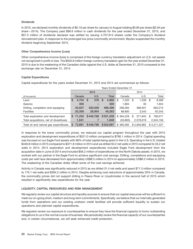# **Dividends**

In 2015, we declared monthly dividends of \$0.10 per share for January to August totaling \$0.80 per share (\$2.64 per share – 2014). The Company paid \$96.6 million in cash dividends for the year ended December 31, 2015, and \$57.3 million of dividends declared was settled by issuing 4,707,914 shares under the Company's dividend reinvestment plan. In response to the prolonged low price commodity environment, Baytex suspended the monthly dividend beginning September 2015.

# **Other Comprehensive Income (Loss)**

Other comprehensive income (loss) is comprised of the foreign currency translation adjustment on U.S. net assets not recognized in profit or loss. The \$505.8 million foreign currency translation gain for the year ended December 31, 2015 is due to the weakening of the Canadian dollar against the U.S. dollar at December 31, 2015 compared to the exchange rate on December 31, 2014.

# **Capital Expenditures**

Capital expenditures for the years ended December 31, 2015 and 2014 are summarized as follows:

|                                         |   |          |           |   |    | Years Ended December 31 |      |           |    |             |      |             |  |
|-----------------------------------------|---|----------|-----------|---|----|-------------------------|------|-----------|----|-------------|------|-------------|--|
|                                         |   | 2015     |           |   |    |                         | 2014 |           |    |             |      |             |  |
| (\$ thousands)                          |   | Canada   | U.S.      |   |    | <b>Total</b>            |      | Canada    |    | U.S.        |      | Total       |  |
| Land                                    | S | 4,704    | 276<br>S. |   | -S | 4,980                   | \$   | 7.250     | \$ | 1,339       | - \$ | 8,589       |  |
| Seismic                                 |   | 300      |           | - |    | 300                     |      | 1.894     |    | 30          |      | 1,924       |  |
| Drilling, completion and equipping      |   | 45.937   | 420,559   |   |    | 466,496                 |      | 296.284   |    | 366,931     |      | 663,215     |  |
| <b>Facilities</b>                       |   | 20,309   | 28,954    |   |    | 49,263                  |      | 88,800    |    | 3.543       |      | 92,343      |  |
| Total exploration and development       |   | \$71.250 | \$449.789 |   |    | \$521,039               |      | \$394.228 | \$ | 371.843     | S    | 766,071     |  |
| Total acquisitions, net of divestitures |   | 1.641    |           |   |    | 1.648                   |      | (33, 863) |    | 2,579,019   |      | 2,545,156   |  |
| Total oil and natural gas expenditures  |   | \$72,891 | \$449,796 |   |    | \$522,687               |      | \$360,365 |    | \$2.950.862 |      | \$3.311.227 |  |

In response to the lower commodity prices, we reduced our capital program throughout the year with 2015 exploration and development expenditures of \$521.0 million compared to \$766.1 million in 2014. Capital spending was focused on our Eagle Ford assets with 86% of total capital being spent in the U.S. Spending in the U.S. totaled \$449.8 million in 2015 compared to \$371.8 million in 2014 and we drilled 50.2 net wells in 2015 compared to 33.2 net wells in 2014. 2014 exploration and development expenditures included Eagle Ford development from the acquisition date in June of 2014 and included \$56.2 million of expenditures on the North Dakota assets. In 2015, we worked with our partner in the Eagle Ford to achieve significant cost savings. Drilling, completions and equipping costs per well have decreased from approximately US\$8.5 million in 2014 to approximately US\$6.2 million in 2015. The weakening of the Canadian dollar offset some of the cost savings achieved.

Activity in Canada was significantly reduced in 2015 as we drilled 31.4 net wells and spent \$71.3 million compared to 175.1 net wells and \$394.2 million in 2014. Despite achieving cost reductions of approximately 20% in Canada, the commodity prices did not support drilling in Peace River or Lloydminster in the second half of 2015 which resulted in significantly less expenditures for the year.

# **LIQUIDITY, CAPITAL RESOURCES AND RISK MANAGEMENT**

We regularly review our capital structure and liquidity sources to ensure that our capital resources will be sufficient to meet our on-going short, medium and long-term commitments. Specifically, we believe that our internally generated funds from operations and our existing undrawn credit facilities will provide sufficient liquidity to sustain our operations and planned capital expenditures.

We regularly review our exposure to counterparties to ensure they have the financial capacity to honor outstanding obligations to us in the normal course of business. We periodically review the financial capacity of our counterparties and, in certain circumstances, we will seek enhanced credit protection.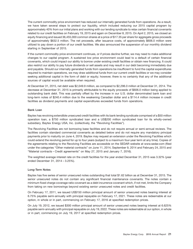The current commodity price environment has reduced our internally generated funds from operations. As a result, we have taken several steps to protect our liquidity, which included reducing our 2015 capital program by approximately 40% from our initial plans and working with our lending syndicate to relax certain financial covenants related to our credit facilities on February 19, 2015 and again on December 8, 2015. On April 2, 2015, we closed an equity financing and issued 36,455,000 common shares at a price of \$17.35 per share for aggregate gross proceeds of approximately \$632.5 million. The net proceeds, after issuance costs, of approximately \$606.0 million were utilized to pay down a portion of our credit facilities. We also announced the suspension of our monthly dividend starting in September of 2015.

If the current commodity price environment continues, or if prices decline further, we may need to make additional changes to our capital program. A sustained low price environment could lead to a default of certain financial covenants, which could impact our ability to borrow under existing credit facilities or obtain new financing. It could also restrict our ability to pay future dividends or sell assets and may result in our debt becoming immediately due and payable. Should our internally generated funds from operations be insufficient to fund the capital expenditures required to maintain operations, we may draw additional funds from our current credit facilities or we may consider seeking additional capital in the form of debt or equity; however, there is no certainty that any of the additional sources of capital would be available when required.

At December 31, 2015, net debt was \$2,049.9 million, as compared to \$2,296.0 million at December 31, 2014. The decrease at December 31, 2015 is primarily attributable to the equity proceeds of \$606.0 million being applied to outstanding bank debt. This was partially offset by the increase in our U.S. dollar denominated bank loan and long-term notes of \$240.4 million due to the weakening Canadian dollar and a \$114.4 million increase in credit facilities as dividend payments and capital expenditures exceeded funds from operations.

#### **Bank Loan**

Baytex has revolving extendible unsecured credit facilities with its bank lending syndicate comprised of a \$50 million operation loan, a \$750 million syndicated loan and a US\$200 million syndicated loan for its wholly-owned subsidiary, Baytex Energy USA, Inc. (collectively, the "Revolving Facilities").

The Revolving Facilities are not borrowing base facilities and do not require annual or semi-annual reviews. The facilities contain standard commercial covenants as detailed below and do not require any mandatory principal payments prior to maturity on June 4, 2019. Baytex may request an extension under the Revolving Facilities which could extend the revolving period for up to four years (subject to a maximum four-year term at any time). Copies of the agreements relating to the Revolving Facilities are accessible on the SEDAR website at www.sedar.com (filed under the categories "Other material contracts" on June 11, 2014, September 9, 2014 and February 24, 2015 and ''Material contracts – Credit agreements'' on May 27, 2015 and January 7, 2016).

The weighted average interest rate on the credit facilities for the year ended December 31, 2015 was 3.32% (year ended December 31, 2014 – 3.25%).

# **Long-Term Notes**

Baytex has five series of senior unsecured notes outstanding that total \$1.62 billion as at December 31, 2015. The senior unsecured notes do not contain any significant financial maintenance covenants. The notes contain a minimum fixed charge coverage ratio covenant as a debt incurrence covenant which, if not met, limits the Company from taking on new borrowings beyond existing senior unsecured notes and credit facilities.

On February 17, 2011, we issued US\$150 million principal amount of senior unsecured notes bearing interest at 6.75% payable semi-annually with principal repayable on February 17, 2021. These notes are redeemable at our option, in whole or in part, commencing on February 17, 2016 at specified redemption prices.

On July 19, 2012, we issued \$300 million principal amount of senior unsecured notes bearing interest at 6.625% payable semi-annually with principal repayable on July 19, 2022. These notes are redeemable at our option, in whole or in part, commencing on July 19, 2017 at specified redemption prices.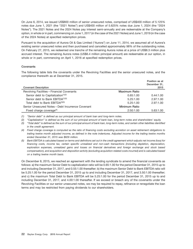On June 6, 2014, we issued US\$800 million of senior unsecured notes, comprised of US\$400 million of 5.125% notes due June 1, 2021 (the ''2021 Notes'') and US\$400 million of 5.625% notes due June 1, 2024 (the ''2024 Notes''). The 2021 Notes and the 2024 Notes pay interest semi-annually and are redeemable at the Company's option, in whole or in part, commencing on June 1, 2017 (in the case of the 2021 Notes) and June 1, 2019 (in the case of the 2024 Notes) at specified redemption prices.

Pursuant to the acquisition of Aurora Oil & Gas Limited (''Aurora'') on June 11, 2014, we assumed all of Aurora's existing senior unsecured notes and then purchased and cancelled approximately 98% of the outstanding notes. On February 27, 2015, we redeemed one tranche of the remaining Aurora notes at a price of US\$8.3 million plus accrued interest. The remaining Aurora notes (US\$6.4 million principal amount) are redeemable at our option, in whole or in part, commencing on April 1, 2016 at specified redemption prices.

# **Covenants**

The following table lists the covenants under the Revolving Facilities and the senior unsecured notes, and the compliance therewith as at December 31, 2015.

|                                                   |                      | Position as at       |
|---------------------------------------------------|----------------------|----------------------|
| <b>Covenant Description</b>                       |                      | December 31,<br>2015 |
|                                                   |                      |                      |
| Revolving Facilities - Financial Covenants        | <b>Maximum Ratio</b> |                      |
| Senior debt to Capitalization <sup>(1)(2)</sup>   | 0.65:1.00            | 0.44:1.00            |
| Senior debt to Bank EBITDA <sup>(1)(5)</sup>      | 5.25:1.00            | 2.97:1.00            |
| Total debt to Bank EBITDA(3)(5)                   | 5.25:1.00            | 2.97:1.00            |
| Senior Unsecured Notes - Debt Incurrence Covenant | Minimum Ratio        |                      |
| Fixed charge coverage <sup>(4)</sup>              | 2:50:1.00            | 5.63:1.00            |

*(1) ''Senior debt'' is defined as our principal amount of bank loan and long-term notes.*

*(2) ''Capitalization'' is defined as the sum of our principal amount of bank loan, long-term notes and shareholders' equity.*

*(3) ''Total debt'' is defined as the sum of our principal amount of bank loan, long-term notes, and certain other liabilities identified in the credit agreement.*

*(4) Fixed charge coverage is computed as the ratio of financing costs excluding accretion on asset retirement obligations to trailing twelve month adjusted income, as defined in the note indentures. Adjusted income for the trailing twelve months ended December 31, 2015 was \$629 million.*

*(5) Bank EBITDA is calculated based on terms and definitions set out in the credit agreement which adjusts net income (loss) for financing costs, income tax, certain specific unrealized and non-cash transactions (including depletion, depreciation, exploration expenses, unrealized gains and losses on financial derivatives and foreign exchange and stock based compensation), and acquisition and disposition activity (excluding acquisition-related costs incurred) and is calculated based on a trailing twelve month basis.*

On December 8, 2015, we reached an agreement with the lending syndicate to amend the financial covenants as follows: a) the maximum Senior Debt to capitalization ratio will be 0.65:1.00 for the period December 31, 2015 up to and including December 31, 2017, and 0.55:1.00 thereafter; b) the maximum Senior Debt to Bank EBITDA ratio will be 5.25:1.00 for the period December 31, 2015 up to and including December 31, 2017, and 3.50:1.00 thereafter; and c) the maximum Total Debt to Bank EBITDA will be 5.25:1.00 for the period December 31, 2015 up to and including December 31, 2017, and 4.00:1.00 thereafter. If we exceed or breach any of the covenants under the Revolving Facilities or our senior unsecured notes, we may be required to repay, refinance or renegotiate the loan terms and may be restricted from paying dividends to our shareholders.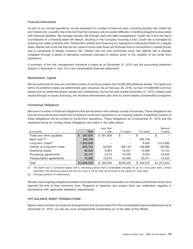#### **Financial Instruments**

As part of our normal operations, we are exposed to a number of financial risks, including liquidity risk, credit risk and market risk. Liquidity risk is the risk that the Company will encounter difficulty in meeting obligations associated with financial liabilities. We manage liquidity risk through cash and debt management. Credit risk is the risk that a counterparty to a financial asset will default, resulting in the Company incurring a loss. Credit risk is managed by entering into sales contracts with creditworthy entities and reviewing our exposure to individual entities on a regular basis. Market risk is the risk that the fair value of future cash flows will fluctuate due to movements in market prices, and is comprised of foreign currency risk, interest rate risk and commodity price risk. Market risk is partially mitigated through a series of derivative contracts intended to reduce some of the volatility of our funds from operations.

A summary of the risk management contracts in place as at December 31, 2015 and the accounting treatment thereof is disclosed in note 19 to the consolidated financial statements.

#### **Shareholders' Capital**

We are authorized to issue an unlimited number of common shares and 10,000,000 preferred shares. The rights and terms of preferred shares are determined upon issuance. As at February 28, 2016, we had 210,688,856 common shares and no preferred shares issued and outstanding. During the year ended December 31, 2015, shares were issued through an equity financing, the dividend reinvestment plan and our share-based compensation programs.

#### **Contractual Obligations**

We have a number of financial obligations that are incurred in the ordinary course of business. These obligations are of a recurring nature and impact the Company's funds from operations in an ongoing manner. A significant portion of these obligations will be funded by funds from operations. These obligations as of December 31, 2015 and the expected timing for funding these obligations are noted in the table below.

|                             |               | Beyond     |           |           |             |  |  |
|-----------------------------|---------------|------------|-----------|-----------|-------------|--|--|
| (\$ thousands)              | <b>Total</b>  | year       | 1-3 years | 3-5 years | 5 years     |  |  |
| Trade and other payables    | 267,838<br>\$ | \$267,838  | \$        | \$        | \$          |  |  |
| Bank loan <sup>(1)(2)</sup> | 256,749       |            |           | 256.749   |             |  |  |
| Long-term notes $(2)$       | 1,623,658     |            |           | 8.858     | 1,614,800   |  |  |
| Interest on long-term notes | 620,144       | 94,064     | 188,129   | 186,969   | 150,982     |  |  |
| Operating leases            | 50,305        | 8,063      | 16,501    | 15,589    | 10,152      |  |  |
| Processing agreements       | 52,147        | 9.219      | 10.340    | 9.043     | 23,545      |  |  |
| Transportation agreements   | 75,392        | 13,910     | 24,556    | 23,371    | 13,555      |  |  |
| Total                       | \$2,946,233   | \$ 393,094 | \$239,526 | \$500.579 | \$1,813,034 |  |  |

*(1) The bank loan is covenant-based with a revolving period that is extendible annually for up to a four-year term. Unless extended, the revolving period will end on June 4, 2019, with all amounts to be repaid on such date.*

*(2) Principal amount of instruments.*

We also have ongoing obligations related to the abandonment and reclamation of well sites and facilities which have reached the end of their economic lives. Programs to abandon and reclaim them are undertaken regularly in accordance with applicable legislative requirements.

# **OFF BALANCE SHEET TRANSACTIONS**

Baytex does not have any financial arrangements that are excluded from the consolidated financial statements as at December 31, 2015, nor are any such arrangements outstanding as of the date of this MD&A.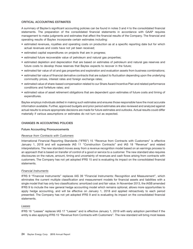# **CRITICAL ACCOUNTING ESTIMATES**

A summary of Baytex's significant accounting policies can be found in notes 3 and 4 to the consolidated financial statements. The preparation of the consolidated financial statements in accordance with GAAP requires management to make judgments and estimates that affect the financial results of the Company. The financial and operating results of Baytex incorporate certain estimates including:

- estimated revenues, royalties and operating costs on production as at a specific reporting date but for which actual revenues and costs have not yet been received;
- estimated capital expenditures on projects that are in progress;
- estimated future recoverable value of petroleum and natural gas properties;
- estimated depletion and depreciation that are based on estimates of petroleum and natural gas reserves and future costs to develop those reserves that Baytex expects to recover in the future;
- estimated fair value of oil and gas properties and exploration and evaluation assets from business combinations;
- estimated fair value of financial derivative contracts that are subject to fluctuation depending upon the underlying commodity prices, interest rates and foreign exchange rates;
- estimated value of share-based compensation related to our Share Award Incentive Plan and related performance conditions and forfeiture rates; and
- estimated value of asset retirement obligations that are dependent upon estimates of future costs and timing of expenditures.

Baytex employs individuals skilled in making such estimates and ensures those responsible have the most accurate information available. Further, approved budgets and prior period estimates are also reviewed and analyzed against actual results to ensure appropriate decisions are made for future estimates and outlooks. Actual results could differ materially if various assumptions or estimates do not turn out as expected.

# **CHANGES IN ACCOUNTING POLICIES**

# **Future Accounting Pronouncements**

# *Revenue from Contracts with Customers*

International Financial Reporting Standards (''IFRS'') 15 ''Revenue from Contracts with Customers'' is effective January 1, 2018 and will supersede IAS 11 ''Construction Contracts'' and IAS 18 ''Revenue'' and related interpretations. The new standard moves away from a revenue recognition model based on an earnings process to an approach that is based on transfer of control of a good or service to a customer. The new standard also requires disclosures on the nature, amount, timing and uncertainty of revenues and cash flows arising from contracts with customers. The Company has not yet adopted IFRS 15 and is evaluating its impact on the consolidated financial statements.

# *Financial Instruments*

IFRS 9 ''Financial Instruments'' replaces IAS 39 ''Financial Instruments: Recognition and Measurement'', which eliminates the current multiple classification and measurement models for financial assets and liabilities with a single model that has only two classifications: amortized cost and fair value. In November 2013, the IASB amended IFRS 9 to include the new general hedge accounting model which remains optional, allows more opportunities to apply hedge accounting, and will be effective on January 1, 2018 and applied retroactively to each period presented. The Company has not yet adopted IFRS 9 and is evaluating its impact on the consolidated financial statements.

# *Leases*

IFRS 16 "Leases" replaces IAS 17 "Leases" and is effective January 1, 2019 with early adoption permitted if the entity is also applying IFRS 15 "Revenue from Contracts with Customers". The new standard will bring most leases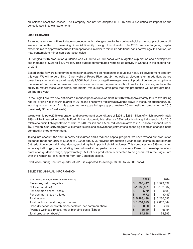on-balance sheet for lessees. The Company has not yet adopted IFRS 16 and is evaluating its impact on the consolidated financial statements.

#### **2016 GUIDANCE**

As an industry, we continue to face unprecedented challenges due to the continued global oversupply of crude oil. We are committed to preserving financial liquidity through this downturn. In 2016, we are targeting capital expenditures to approximate funds from operations in order to minimize additional bank borrowings. In addition, we may contemplate minor non-core asset sales.

Our original 2016 production guidance was 74,000 to 78,000 boe/d with budgeted exploration and development expenditures of \$325 to \$400 million. This budget contemplated ramping up activity in Canada in the second half of 2016.

Based on the forward strip for the remainder of 2016, we do not plan to execute our heavy oil development program this year. We will forgo drilling 12 net wells at Peace River and 24 net wells at Lloydminster. In addition, we are proactively shutting-in approximately 7,500 bbl/d of low or negative margin heavy oil production in order to optimize the value of our resource base and maximize our funds from operations. Should netbacks improve, we have the ability to restart these wells within one month. We currently anticipate that this production will be brought back on-line mid-year.

In the Eagle Ford, we now anticipate a reduced pace of development in 2016 with approximately four to five drilling rigs (six drilling rigs in fourth quarter of 2015) and one to two frac crews (two frac crews in the fourth quarter of 2015) working on our lands. At this pace, we anticipate bringing approximately 30 net wells on production in 2016 (previously 35 to 40 net wells).

We now anticipate 2016 exploration and development expenditures of \$225 to \$265 million, of which approximately 95% will be invested in the Eagle Ford. At the mid-point, this reflects a 33% reduction in capital spending for 2016 relative to our initial expectation of \$325 to \$400 million and a 53% reduction relative to 2015 capital expenditures of \$521 million. Our 2016 program will remain flexible and allows for adjustments to spending based on changes in the commodity price environment.

Taking into account the shut-in heavy oil volumes and a reduced capital program, we have revised our production guidance range for 2016 to 68,000 to 72,000 boe/d. Our revised production guidance represents an approximate 5% reduction to our original guidance, excluding the impact of shut-in volumes. This compares to a 33% reduction in our capital budget, demonstrating the continued strong performance of our assets. Based on the mid-point of our production guidance range, approximately 55% of our production is expected to be generated in the Eagle Ford with the remaining 45% coming from our Canadian assets.

Production during the first quarter of 2016 is expected to average 73,000 to 75,000 boe/d.

# **SELECTED ANNUAL INFORMATION**

| (\$ thousands, except per common share amounts)           | 2015           | 2014             |
|-----------------------------------------------------------|----------------|------------------|
| Revenues, net of royalties                                | 888,447<br>S   | \$1,529,897      |
| Net income (loss)                                         | \$ (1,133,651) | (132, 807)<br>\$ |
| Per common share – basic                                  | \$<br>(5.72)   | \$<br>(0.89)     |
| Per common share – diluted                                | (5.72)<br>S    | (0.89)<br>\$     |
| Total assets                                              | \$5,488,498    | \$6,230,596      |
| Total bank loan and long-term notes                       | \$1,854,929    | \$2,062,344      |
| Cash dividends or distributions declared per common share | S<br>0.80      | \$<br>2.64       |
| Average wellhead prices, net of blending costs (\$/boe)   | S<br>35.40     | \$<br>66.54      |
| Total production (boe/d)                                  | 84,648         | 78,395           |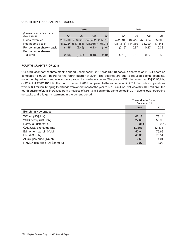# **QUARTERLY FINANCIAL INFORMATION**

|                                                    |         | 2015                   |        |                         | 2014                 |                 |         |         |  |  |  |
|----------------------------------------------------|---------|------------------------|--------|-------------------------|----------------------|-----------------|---------|---------|--|--|--|
| (\$ thousands, except per common<br>share amounts) | Q4      | Q <sub>3</sub>         | Q2     | Q1                      | Q4                   | Q3              | Q2      | Q1      |  |  |  |
| Gross revenues                                     | 230,200 |                        |        | 268,625 345,432 285,615 |                      | 472,394 634,415 | 476.404 | 385,809 |  |  |  |
| Net income (loss)                                  |         | $(412, 924)$ (517,856) |        | $(26,955)$ $(175,916)$  | $(361, 816)$ 144,369 |                 | 36.799  | 47.841  |  |  |  |
| Per common share - basic                           | (1.96)  | (2.49)                 | (0.13) | (1.04)                  | (2.16)               | 0.87            | 0.27    | 0.38    |  |  |  |
| Per common share -                                 |         |                        |        |                         |                      |                 |         |         |  |  |  |
| diluted                                            | (1.96)  | (2.49)                 | (0.13) | (1.04)                  | (2.16)               | 0.86            | 0.27    | 0.38    |  |  |  |

# **FOURTH QUARTER OF 2015**

Our production for the three months ended December 31, 2015 was 81,110 boe/d, a decrease of 11,161 boe/d as compared to 92,271 boe/d for the fourth quarter of 2014. The declines are due to reduced capital spending, non-core dispositions and uneconomic production we have shut-in. The price of WTI decreased by US\$30.96/bbl, or 42%, to US\$42.18/bbl in the fourth quarter of 2015 compared to the same period in 2014. Funds from operations were \$93.1 million, bringing total funds from operations for the year to \$516.4 million. Net loss of \$410.0 million in the fourth quarter of 2015 increased from a net loss of \$361.8 million for the same period in 2014 due to lower operating netbacks and a larger impairment in the current period.

|                              | <b>Three Months Ended</b><br>December 31 |        |  |
|------------------------------|------------------------------------------|--------|--|
|                              | 2015                                     | 2014   |  |
| <b>Benchmark Averages</b>    |                                          |        |  |
| WTI oil (US\$/bbl)           | 42.18                                    | 73.14  |  |
| WCS heavy (US\$/bbl)         | 27.69                                    | 58.90  |  |
| Heavy oil differential       | 35%                                      | 20%    |  |
| CAD/USD exchange rate        | 1.3353                                   | 1.1378 |  |
| Edmonton par oil (\$/bbl)    | 52.94                                    | 75.69  |  |
| LLS (US\$/bbl)               | 43.33                                    | 76.34  |  |
| AECO gas price (\$/mcf)      | 2.65                                     | 4.01   |  |
| NYMEX gas price (US\$/mmbtu) | 2.27                                     | 4.00   |  |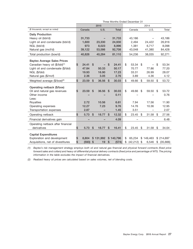|                                            | Three Months Ended December 31 |            |                           |           |                           |              |      |           |    |           |    |           |
|--------------------------------------------|--------------------------------|------------|---------------------------|-----------|---------------------------|--------------|------|-----------|----|-----------|----|-----------|
|                                            | 2015                           |            |                           |           |                           |              | 2014 |           |    |           |    |           |
| (\$ thousands, except as noted)            |                                | Canada     |                           | U.S.      |                           | <b>Total</b> |      | Canada    |    | U.S.      |    | Total     |
| <b>Daily Production</b>                    |                                |            |                           |           |                           |              |      |           |    |           |    |           |
| Heavy oil (bbl/d)                          |                                | 31,733     |                           |           |                           | 31,733       |      | 43,186    |    |           |    | 43,186    |
| Light oil and condensate (bbl/d)           |                                | 1,600      |                           | 23,330    |                           | 24,930       |      | 2,494     |    | 24,422    |    | 26,916    |
| NGL (bbl/d)                                |                                | 973        |                           | 8,023     |                           | 8,996        |      | 1,381     |    | 6,717     |    | 8,098     |
| Natural gas (mcf/d)                        |                                | 39,122     |                           | 53,586    |                           | 92,708       |      | 43,048    |    | 41,380    |    | 84,428    |
| Total production (boe/d)                   |                                | 40,826     |                           | 40,284    |                           | 81,110       |      | 54,236    |    | 38,035    |    | 92,271    |
| <b>Baytex Average Sales Prices</b>         |                                |            |                           |           |                           |              |      |           |    |           |    |           |
| Canadian heavy oil (\$/bbl) <sup>(1)</sup> | \$                             | 24.41      | $\mathfrak{s}$            |           | \$                        | 24.41        | \$   | 53.34     | \$ |           | \$ | 53.34     |
| Light oil and condensate (\$/bbl)          |                                | 47.84      |                           | 50.33     |                           | 50.17        |      | 70.77     |    | 77.86     |    | 77.20     |
| NGL (\$/bbl)                               |                                | 19.93      |                           | 16.90     |                           | 17.23        |      | 33.31     |    | 26.99     |    | 28.07     |
| Natural gas (\$/mcf)                       |                                | 2.36       |                           | 3.05      |                           | 2.76         |      | 3.89      |    | 4.36      |    | 4.12      |
| Weighted average (\$/boe) <sup>(2)</sup>   | \$                             | 23.59      | $\mathsf{\$}$             | 36.56     | $\mathfrak{s}$            | 30.03        | \$   | 49.66     | \$ | 59.50     | \$ | 53.72     |
|                                            |                                |            |                           |           |                           |              |      |           |    |           |    |           |
| Operating netback (\$/boe)                 |                                |            |                           |           |                           |              |      |           |    |           |    |           |
| Oil and natural gas revenues               | \$                             | 23.59      | \$                        | 36.56     | \$                        | 30.03        | \$   | 49.66     | \$ | 59.50     | \$ | 53.72     |
| Other income                               |                                |            |                           |           |                           | 0.11         |      |           |    |           |    | 0.76      |
| Less:                                      |                                |            |                           |           |                           |              |      |           |    |           |    |           |
| Royalties                                  |                                | 2.72       |                           | 10.56     |                           | 6.61         |      | 7.94      |    | 17.56     |    | 11.90     |
| Operating expenses                         |                                | 12.27      |                           | 7.23      |                           | 9.76         |      | 14.76     |    | 10.36     |    | 12.95     |
| Transportation expenses                    |                                | 2.87       |                           |           |                           | 1.45         |      | 3.51      |    |           |    | 2.07      |
| Operating netback                          | \$                             | 5.73       | \$                        | 18.77     | \$                        | 12.32        | \$   | 23.45     | \$ | 31.58     | \$ | 27.56     |
| Financial derivatives gain                 |                                |            |                           |           |                           | 4.09         |      |           |    |           |    | 6.48      |
| Operating netback after financial          |                                |            |                           |           |                           |              |      |           |    |           |    |           |
| derivatives                                | \$                             | 5.73       | $\boldsymbol{\mathsf{S}}$ | 18.77     | \$                        | 16.41        | \$   | 23.45     | \$ | 31.58     | \$ | 34.04     |
| <b>Capital Expenditures</b>                |                                |            |                           |           |                           |              |      |           |    |           |    |           |
| Exploration and development                | \$                             | 8,804      |                           | \$131,992 |                           | \$140,796    | \$   | 65,234    |    | \$149,463 |    | \$214,697 |
| Acquisitions, net of divestitures          | \$                             | $(593)$ \$ |                           | 19        | $\boldsymbol{\mathsf{S}}$ | (574)        | \$   | (42, 212) | \$ | 6.546     | \$ | (35,666)  |

*(1) Baytex's risk management strategy employs both oil and natural gas financial and physical forward contracts (fixed price forward sales and collars) and heavy oil differential physical delivery contracts (fixed price and percentage of WTI). The pricing information in the table excludes the impact of financial derivatives.*

*(2) Realized heavy oil prices are calculated based on sales volumes, net of blending costs.*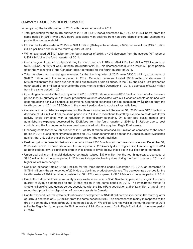# **SUMMARY FOURTH QUARTER INFORMATION**

In comparing the fourth quarter of 2015 with the same period in 2014:

- Total production for the fourth quarter of 2015 of 81,110 boe/d decreased by 12%, or 11,161 boe/d, from the same period in 2014, with 3,900 boe/d associated with declines from non-core dispositions and uneconomic production we have shut-in.
- FFO for the fourth quarter of 2015 was \$93.1 million (\$0.44 per basic share), a 62% decrease from \$245.5 million (\$1.47 per basic share) in the fourth quarter of 2014.
- WTI oil averaged US\$42.18/bbl for the fourth quarter of 2015, a 42% decrease from the average WTI price of US\$73.14/bbl in the fourth quarter of 2014.
- Our average realized heavy oil price during the fourth quarter of 2015 was \$24.41/bbl, or 66% of WCS, compared to \$53.34/bbl, or 80% of WCS, in the fourth quarter of 2014. This decrease was due to a lower WTI price partially offset the weakening of the Canadian dollar compared to the fourth quarter of 2014.
- Total petroleum and natural gas revenues for the fourth quarter of 2015 were \$230.2 million, a decrease of \$242.2 million from the same period in 2014. Canadian revenues totaled \$93.9 million, a decrease of \$163.9 million from the fourth quarter of 2014 due to lower crude oil prices. In the U.S., the Eagle Ford properties contributed \$135.5 million of revenue for the three months ended December 31, 2015, a decrease of \$72.7 million from the same period in 2014.
- Operating expenses for the fourth quarter of 2015 of \$72.9 million decreased \$37.0 million compared to the same period in 2014 primarily due to lower production volumes associated with our Canadian assets combined with cost reductions achieved across all operations. Operating expenses per boe decreased by \$3.19/boe from the fourth quarter of 2014 to \$9.76/boe in the current period due to cost savings initiatives.
- General and administrative expenses for the three months ended December 31, 2015 were \$12.8 million, a decrease of \$4.2 million from the same period in 2014 due to reductions to staffing levels to coincide with lower activity levels combined with a reduction in discretionary spending. On a per boe basis, general and administrative expenses decreased by \$0.28/boe from the fourth quarter of 2014 to \$1.72/boe due to cost controls and the low incremental overhead associated with the acquired Eagle Ford assets.
- Financing costs for the fourth quarter of 2015 of \$27.9 million increased \$0.6 million as compared to the same period in 2014 due to higher interest expense on U.S. dollar denominated debt as the Canadian dollar weakened against the U.S. dollar offset by lower borrowings on the credit facilities.
- Realized gains on financial derivative contracts totaled \$30.5 million for the three months ended December 31, 2015, a decrease of \$24.5 million from the same period in 2014 mainly due to higher oil volumes hedged in 2014 as both periods saw a significant drop in WTI prices to levels below those set in our fixed price contracts.
- Unrealized gains on financial derivative contracts totaled \$37.9 million for the fourth quarter, a decrease of \$91.5 million from the same period in 2014 due to larger decline in prices during the fourth quarter of 2014 and higher oil volumes hedged.
- Depletion expense totaled \$163.8 million for the three months ended December 31, 2015, as compared to \$176.4 million in the same period of 2014 due to declining production volumes. The depletion rate per boe for the fourth quarter of 2015 remained consistent at \$21.12/boe compared to \$20.78/boe for the same period in 2014.
- Due to the further decline in commodity prices, we have recorded a \$545.3 million impairment charge in the fourth quarter of 2015 as compared to the \$449.6 million in the same period in 2014. The impairment relates to \$499.6 million of oil and gas properties associated with the Eagle Ford acquisition and \$45.7 million of impairment recognized prior to the disposition of non-core assets in Canada.
- Capital expenditures related to exploration and development of \$140.8 million were incurred in the fourth quarter of 2015, a decrease of \$73.9 million from the same period in 2014. The decrease was mainly in response to the drop in commodity prices during 2015 compared to 2014. We drilled 12.6 net wells in the fourth quarter of 2015 (all in the Eagle Ford), compared to 28.3 net wells (12.9 in Canada and 15.4 in Eagle Ford) during the same period in 2014.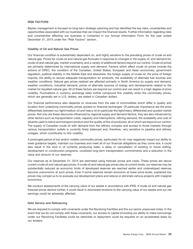# **RISK FACTORS**

Baytex management is focused on long-term strategic planning and has identified the key risks, uncertainties and opportunities associated with our business that can impact the financial results. Further information regarding risks and uncertainties affecting our business is contained in our Annual Information Form for the year ended December 31, 2015 under the "Risk Factors" section.

#### **Volatility of Oil and Natural Gas Prices**

Our financial condition is substantially dependent on, and highly sensitive to the prevailing prices of crude oil and natural gas. Prices for crude oil and natural gas fluctuate in response to changes in the supply of, and demand for, crude oil and natural gas, market uncertainty and a variety of additional factors beyond our control. Crude oil prices are primarily determined by international supply and demand. Factors which affect crude oil prices include the actions of OPEC, the condition of the Canadian, United States, European and Asian economies, government regulation, political stability in the Middle East and elsewhere, the foreign supply of crude oil, the price of foreign imports, the ability to secure adequate transportation for products, the availability of alternate fuel sources and weather conditions. Natural gas prices realized are affected primarily in North America by supply and demand, weather conditions, industrial demand, prices of alternate sources of energy and developments related to the market for liquefied natural gas. All of these factors are beyond our control and can result in a high degree of price volatility. Fluctuations in currency exchange rates further compound this volatility when the commodity prices, which are generally set in U.S. dollars, are stated in Canadian dollars.

Our financial performance also depends on revenues from the sale of commodities which differ in quality and location from underlying commodity prices quoted on financial exchanges. Of particular importance are the price differentials between our light/medium oil and heavy oil (in particular the light/heavy differential) and quoted market prices. Not only are these discounts influenced by regional supply and demand factors, they are also influenced by other factors such as transportation costs, capacity and interruptions, refining demand, the availability and cost of diluents used to blend and transport product and the quality of the oil produced, all of which are beyond our control. The supply of Canadian crude oil with demand from the refinery complex and access to those markets through various transportation outlets is currently finely balanced and, therefore, very sensitive to pipeline and refinery outages, which contributes to this volatility.

A prolonged period of low and/or volatile commodity prices, particularly for oil, may negatively impact our ability to meet guidance targets, maintain our business and meet all of our financial obligations as they come due, it could also result in the shut in of currently producing wells, a delay or cancellation of existing or future drilling, development or construction programs, unutilized long-term transportation commitments and a reduction in the value and amount of our reserves.

Our reserves as at December 31, 2015 are estimated using forecast prices and costs. These prices are above current crude oil and natural gas prices. If crude oil and natural gas prices stay at current levels, our reserves may be substantially reduced as economic limits of developed reserves are reached earlier and undeveloped reserves become uneconomic at such prices. Even if some reserves remain economic at lower price levels, sustained low prices may compel us to re-evaluate our development plans and reduce or eliminate various projects with marginal economics.

We conduct assessments of the carrying value of our assets in accordance with IFRS. If crude oil and natural gas forecast prices decline further, it could result in downward revisions to the carrying value of our assets and our net earnings could be adversely affected.

# **Debt Service and Refinancing**

We are required to comply with covenants under the Revolving Facilities and the our senior unsecured notes. In the event that we do not comply with these covenants, our access to capital (including our ability to make borrowings under our Revolving Facilities) could be restricted or repayment could be required on an accelerated basis by our lenders.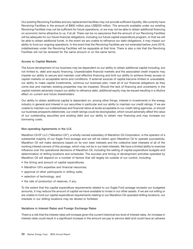Our existing Revolving Facilities and any replacement facilities may not provide sufficient liquidity. We currently have Revolving Facilities in the amount of \$800 million plus US\$200 million. The amounts available under our existing Revolving Facilities may not be sufficient for future operations, or we may not be able to obtain additional financing on economic terms attractive to us, if at all. There can be no assurance that the amount of our Revolving Facilities will be adequate for our future financial obligations, including our future capital expenditure program, or that we will be able to obtain additional funds. In the event we are unable to refinance our debt obligations, it may impact our ability to fund our ongoing operations. In the event that the Revolving Facilities are not extended before June 2019, indebtedness under the Revolving Facilities will be repayable at that time. There is also a risk that the Revolving Facilities will not be renewed for the same amount or on the same terms.

# **Access to Capital Markets**

The future development of our business may be dependent on our ability to obtain additional capital including, but not limited to, debt and equity financing. Unpredictable financial markets and the associated credit impacts may impede our ability to secure and maintain cost effective financing and limit our ability to achieve timely access to capital markets on acceptable terms and conditions. If external sources of capital become limited or unavailable, our ability to make capital investments, continue our business plan, meet all of our financial obligations as they come due and maintain existing properties may be impaired. Should the lack of financing and uncertainty in the capital markets adversely impact our ability to refinance debt, additional equity may be issued resulting in a dilutive effect on current and future shareholders.

Our ability to obtain additional capital is dependent on, among other things, interest in investments in the energy industry in general and interest in our securities in particular and our ability to maintain our credit ratings. If we are unable to maintain our indebtedness and financial ratios at levels acceptable to our credit rating agencies, or should our business prospects deteriorate, our credit ratings could be downgraded, which would adversely affect the value of our outstanding securities and existing debt and our ability to obtain new financing and may increase our borrowing costs.

# **Non-operating Agreements in the U.S.**

Marathon Oil EF LLC (''Marathon Oil''), a wholly-owned subsidiary of Marathon Oil Corporation, is the operator of a substantial majority of our Eagle Ford acreage and we will be reliant upon Marathon Oil to operate successfully. Marathon Oil will make decisions based on its own best interests and the collective best interests of all of the working interest owners of this acreage, which may not be in our best interests. We have a limited ability to exercise influence over the operational decisions of Marathon Oil, including the setting of capital expenditure budgets and determination of drilling locations and schedules. The success and timing of development activities operated by Marathon Oil will depend on a number of factors that will largely be outside of our control, including:

- the timing and amount of capital expenditures;
- Marathon Oil's expertise and financial resources;
- approval of other participants in drilling wells;
- selection of technology; and
- the rate of production of reserves, if any.

To the extent that the capital expenditure requirements related to our Eagle Ford acreage exceeds our budgeted amounts, it may reduce the amount of capital we have available to invest in our other assets. If we are not willing or are unable to fund our capital expenditure requirements relating to our Marathon Oil-operated drilling locations, our interests in our drilling locations may be diluted or forfeited.

# **Variations in Interest Rates and Foreign Exchange Rates**

There is a risk that the interest rates will increase given the current historical low level of interest rates. An increase in interest rates could result in a significant increase in the amount we pay to service debt and could have an adverse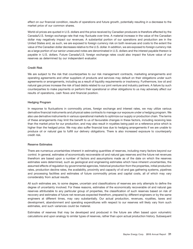effect on our financial condition, results of operations and future growth, potentially resulting in a decrease to the market price of our common shares.

World oil prices are quoted in U.S. dollars and the price received by Canadian producers is therefore affected by the Canada/U.S. foreign exchange rate that may fluctuate over time. A material increase in the value of the Canadian dollar may negatively impact our revenues. A substantial portion of our operations and production are in the United States and, as such, we are exposed to foreign currency risk on both revenues and costs to the extent the value of the Canadian dollar decreases relative to the U.S. dollar. In addition, we are exposed to foreign currency risk as a large portion of our senior unsecured notes are denominated in U.S. dollars and the interest payable thereon is payable in U.S. dollars. Future Canada/U.S. foreign exchange rates could also impact the future value of our reserves as determined by our independent evaluator.

#### **Credit Risk**

We are subject to the risk that counterparties to our risk management contracts, marketing arrangements and operating agreements and other suppliers of products and services may default on their obligations under such agreements or arrangements, including as a result of liquidity requirements or insolvency. Furthermore, low oil and natural gas prices increase the risk of bad debts related to our joint venture and industry partners. A failure by such counterparties to make payments or perform their operational or other obligations to us may adversely affect our results of operations, cash flows and financial position.

#### **Hedging Program**

In response to fluctuations in commodity prices, foreign exchange and interest rates, we may utilize various derivative financial instruments and physical sales contracts to manage our exposure under a hedging program. We also use derivative instruments in various operational markets to optimize our supply or production chain. The terms of these arrangements may limit the benefit to us of favourable changes in these factors, including receiving less than the market price for our production, and may also result in royalties being paid on a reference price which is higher than the hedged price. We may also suffer financial loss due to hedging arrangements if we are unable to produce oil or natural gas to fulfill our delivery obligations. There is also increased exposure to counterparty credit risk.

#### **Reserve Estimates**

There are numerous uncertainties inherent in estimating quantities of reserves, including many factors beyond our control. In general, estimates of economically recoverable oil and natural gas reserves and the future net revenues therefrom are based upon a number of factors and assumptions made as of the date on which the reserves estimates were determined, such as geological and engineering estimates which have inherent uncertainties, the assumed effects of regulation by governmental agencies, historical production from the properties, initial production rates, production decline rates, the availability, proximity and capacity of oil and gas gathering systems, pipelines and processing facilities and estimates of future commodity prices and capital costs, all of which may vary considerably from actual results.

All such estimates are, to some degree, uncertain and classifications of reserves are only attempts to define the degree of uncertainty involved. For these reasons, estimates of the economically recoverable oil and natural gas reserves attributable to any particular group of properties, the classification of such reserves based on risk of recovery and estimates of future net revenues expected therefrom, prepared by different engineers or by the same engineers at different times, may vary substantially. Our actual production, revenues, royalties, taxes and development, abandonment and operating expenditures with respect to our reserves will likely vary from such estimates, and such variances could be material.

Estimates of reserves that may be developed and produced in the future are often based upon volumetric calculations and upon analogy to similar types of reserves, rather than upon actual production history. Subsequent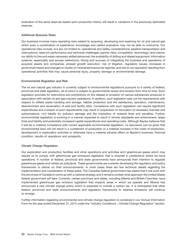evaluation of the same reserves based upon production history will result in variations in the previously estimated reserves.

# **Additional Business Risks**

Our business involves many operating risks related to acquiring, developing and exploring for oil and natural gas which even a combination of experience, knowledge and careful evaluation may not be able to overcome. Our operational risks include, but are not limited to: operational and safety considerations; pipeline transportation and interruptions; reservoir performance and technical challenges; partner risks; competition; technology; land claims; our ability to hire and retain necessary skilled personnel; the availability of drilling and related equipment; information systems; seasonality and access restrictions; timing and success of integrating the business and operations of acquired assets and companies; phased growth execution; risk of litigation, regulatory issues, increases in government taxes and changes to royalty or mineral/severance tax regimes; and risk to our reputation resulting from operational activities that may cause personal injury, property damage or environmental damage.

#### **Environmental Regulation and Risk**

The oil and natural gas industry is currently subject to environmental regulations pursuant to a variety of federal, provincial and state legislation, all of which is subject to governmental review and revision from time to time. Such legislation provides for restrictions and prohibitions on the release or emission of various substances produced in association with certain oil and gas industry operations. In addition, such legislation sets out the requirements with respect to oilfield waste handling and storage, habitat protection and the satisfactory operation, maintenance, abandonment and reclamation of well and facility sites. Compliance with such legislation can require significant expenditures and a breach of such requirements may result in suspension or revocation of necessary licenses and authorizations, civil liability for pollution damage and the imposition of material fines and penalties. Further, environmental legislation is evolving in a manner expected to result in stricter standards and enforcement, larger fines and liability and potentially increased capital expenditures and operating costs. Although Baytex believes that it will be in material compliance with current applicable environmental legislation, no assurance can be given that environmental laws will not result in a curtailment of production or a material increase in the costs of production, development or exploration activities or otherwise have a material adverse effect on Baytex's business, financial condition, results of operations and prospects.

# **Climate Change Regulation**

Our exploration and production facilities and other operations and activities emit greenhouse gases which may require us to comply with greenhouse gas emissions legislation that is enacted in jurisdictions where we have operations. A number of federal, provincial and state governments have announced their intention to regulate greenhouse gases and certain air pollutants. These governments are currently developing the regulatory and policy frameworks to deliver on their announcements. In most cases there are few technical details regarding the implementation and coordination of these plans. The Canadian federal government has stated that it will work with the provinces of Canada to come up with a national strategy and it remains unclear what approach the United States federal government will take. Currently, certain provinces and states, including Alberta and British Columbia, have implemented greenhouse gas emission legislation that impacts areas in which we operate and Alberta has announced a new climate change policy which is expected to include a carbon tax. It is anticipated that other federal, provincial and state announcements and regulatory frameworks to address emissions will continue to emerge.

Further information regarding environmental and climate change regulation is contained in our Annual Information Form for the year ended December 31, 2015 under the ''Industry Conditions – Climate Change Regulation'' section.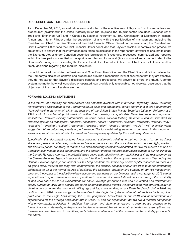# **DISCLOSURE CONTROLS AND PROCEDURES**

As of December 31, 2015, an evaluation was conducted of the effectiveness of Baytex's ''disclosure controls and procedures'' (as defined in the United States by Rules 13a-15(e) and 15d-15(e) under the Securities Exchange Act of 1934 (the ''Exchange Act'') and in Canada by National Instrument 52-109, Certification of Disclosure in Issuers' Annual and Interim Filings) under the supervision of and with the participation of management, including the President and Chief Executive Officer and the Chief Financial Officer. Based on that evaluation, the President and Chief Executive Officer and the Chief Financial Officer concluded that Baytex's disclosure controls and procedures are effective to ensure that the information required to be disclosed in the reports that Baytex files or submits under the Exchange Act or under Canadian securities legislation is (i) recorded, processed, summarized and reported within the time periods specified in the applicable rules and forms and (ii) accumulated and communicated to the Company's management, including the President and Chief Executive Officer and Chief Financial Officer, to allow timely decisions regarding the required disclosure.

It should be noted that while the President and Chief Executive Officer and the Chief Financial Officer believe that the Company's disclosure controls and procedures provide a reasonable level of assurance that they are effective, they do not expect that Baytex's disclosure controls and procedures will prevent all errors and fraud. A control system, no matter how well conceived or operated, can provide only reasonable, not absolute, assurance that the objectives of the control system are met.

# **FORWARD-LOOKING STATEMENTS**

*In the interest of providing our shareholders and potential investors with information regarding Baytex, including management's assessment of the Company's future plans and operations, certain statements in this document are ''forward-looking statements'' within the meaning of the United States Private Securities Litigation Reform Act of 1995 and ''forward-looking information'' within the meaning of applicable Canadian securities legislation (collectively, ''forward-looking statements''). In some cases, forward-looking statements can be identified by terminology such as ''anticipate'', ''believe'', ''continue'', ''could'', ''estimate'', ''expect'', ''forecast'', ''intend'', ''may'', ''objective'', ''ongoing'', ''outlook'', ''potential'', ''project'', ''plan'', ''should'', ''target'', ''would'', ''will'' or similar words suggesting future outcomes, events or performance. The forward-looking statements contained in this document speak only as of the date of this document and are expressly qualified by this cautionary statement.*

*Specifically, this document contains forward-looking statements relating to but not limited to: our business strategies, plans and objectives; crude oil and natural gas prices and the price differentials between light, medium and heavy oil prices; our ability to reduced our fixed operating costs; our expectation that we will receive a refund of Canadian cash income taxes during 2016 and the amount thereof; the proposed reassessment of our tax filings by the Canada Revenue Agency; the potential taxes owing and reduction of non-capital losses if the reassessment by the Canada Revenue Agency is successful; our intention to defend the proposed reassessments if issued by the Canada Revenue Agency; our view of our tax filing position; the sufficiency of our capital resources to meet our on-going short, medium and long-term commitments; the financial capacity of counterparties to honor outstanding obligations to us in the normal course of business; the existence, operation and strategy of our risk management program; the impact of the adoption of new accounting standards on our financial results; our target for 2016 capital expenditures to approximate funds from operations in order to minimize additional bank borrowings; the possibility of non-core asset sales; our expectations for annual average production rate and exploration and development capital budget for 2016 (both original and revised); our expectation that we will not proceed with our 2016 heavy oil development program; the number of drilling rigs and frac crews working on our Eagle Ford lands during 2016; the portion of our 2016 capital budget to be invested in the Eagle Ford; the number of net wells to be brought on production in the Eagle Ford during 2016; the geographic breakdown of our 2016 annual production; our expectations for the average production rate in Q1/2016; and our expectation that we are in material compliance with environmental legislation. In addition, information and statements relating to reserves are deemed to be forward-looking statements, as they involve implied assessment, based on certain estimates and assumptions, that the reserves described exist in quantities predicted or estimated, and that the reserves can be profitably produced in the future.*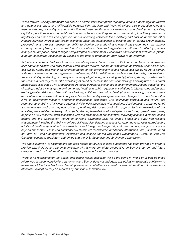*These forward-looking statements are based on certain key assumptions regarding, among other things: petroleum and natural gas prices and differentials between light, medium and heavy oil prices; well production rates and reserve volumes; our ability to add production and reserves through our exploration and development activities; capital expenditure levels; our ability to borrow under our credit agreements; the receipt, in a timely manner, of regulatory and other required approvals for our operating activities; the availability and cost of labour and other industry services; interest and foreign exchange rates; the continuance of existing and, in certain circumstances, proposed tax and royalty regimes; our ability to develop our crude oil and natural gas properties in the manner currently contemplated; and current industry conditions, laws and regulations continuing in effect (or, where changes are proposed, such changes being adopted as anticipated). Readers are cautioned that such assumptions, although considered reasonable by Baytex at the time of preparation, may prove to be incorrect.*

*Actual results achieved will vary from the information provided herein as a result of numerous known and unknown risks and uncertainties and other factors. Such factors include, but are not limited to: the volatility of oil and natural gas prices; further declines or an extended period of the currently low oil and natural gas prices; failure to comply with the covenants in our debt agreements; refinancing risk for existing debt and debt service costs; risks related to the accessibility, availability, proximity and capacity of gathering, processing and pipeline systems; uncertainties in the credit markets may restrict the availability of credit or increase the cost of borrowing; a downgrade of our credit ratings; risks associated with properties operated by third parties; changes in government regulations that affect the oil and gas industry; changes in environmental, health and safety regulations; variations in interest rates and foreign exchange rates; risks associated with our hedging activities; the cost of developing and operating our assets; risks associated with the exploitation of our properties and our ability to acquire reserves; changes in income tax or other laws or government incentive programs; uncertainties associated with estimating petroleum and natural gas reserves; our inability to fully insure against all risks; risks associated with acquiring, developing and exploring for oil and natural gas and other aspects of our operations; risks associated with large projects or expansion of our activities; risks related to heavy oil projects; the implementation of strategies for reducing greenhouse gases; depletion of our reserves; risks associated with the ownership of our securities, including changes in market-based factors and the discretionary nature of dividend payments; risks for United States and other non-resident shareholders, including the ability to enforce civil remedies, differing practices for reporting reserves and production, additional taxation applicable to non-residents and foreign exchange risk; and other factors, many of which are beyond our control. These and additional risk factors are discussed in our Annual Information Form, Annual Report on Form 40-F and Management's Discussion and Analysis for the year ended December 31, 2015, as filed with Canadian securities regulatory authorities and the U.S. Securities and Exchange Commission.*

*The above summary of assumptions and risks related to forward-looking statements has been provided in order to provide shareholders and potential investors with a more complete perspective on Baytex's current and future operations and such information may not be appropriate for other purposes.*

*There is no representation by Baytex that actual results achieved will be the same in whole or in part as those referenced in the forward-looking statements and Baytex does not undertake any obligation to update publicly or to revise any of the included forward-looking statements, whether as a result of new information, future events or otherwise, except as may be required by applicable securities law.*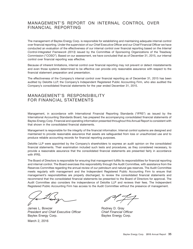## MANAGEMENT'S REPORT ON INTERNAL CONTROL OVER FINANCIAL REPORTING

The management of Baytex Energy Corp. is responsible for establishing and maintaining adequate internal control over financial reporting. Under the supervision of our Chief Executive Officer and our Chief Financial Officer we have conducted an evaluation of the effectiveness of our internal control over financial reporting based on the *Internal Control-Integrated Framework (2013)* issued by the Committee of Sponsoring Organizations of the Treadway Commission (''COSO''). Based on our assessment, we have concluded that as of December 31, 2015, our internal control over financial reporting was effective.

Because of inherent limitations, internal control over financial reporting may not prevent or detect misstatements and even those systems determined to be effective can provide only reasonable assurance with respect to the financial statement preparation and presentation.

The effectiveness of the Company's internal control over financial reporting as of December 31, 2015 has been audited by Deloitte LLP, the Company's Independent Registered Public Accounting Firm, who also audited the Company's consolidated financial statements for the year ended December 31, 2015.

## MANAGEMENT'S RESPONSIBILITY FOR FINANCIAL STATEMENTS

Management, in accordance with International Financial Reporting Standards (''IFRS'') as issued by the International Accounting Standards Board, has prepared the accompanying consolidated financial statements of Baytex Energy Corp. Financial and operating information presented throughout this Annual Report is consistent with that shown in the consolidated financial statements.

Management is responsible for the integrity of the financial information. Internal control systems are designed and maintained to provide reasonable assurance that assets are safeguarded from loss or unauthorized use and to produce reliable accounting records for financial reporting purposes.

Deloitte LLP were appointed by the Company's shareholders to express an audit opinion on the consolidated financial statements. Their examination included such tests and procedures, as they considered necessary, to provide a reasonable assurance that the consolidated financial statements are presented fairly in accordance with IFRS.

The Board of Directors is responsible for ensuring that management fulfills its responsibilities for financial reporting and internal control. The Board exercises this responsibility through the Audit Committee, with assistance from the Reserves Committee regarding the annual review of our petroleum and natural gas reserves. The Audit Committee meets regularly with management and the Independent Registered Public Accounting Firm to ensure that management's responsibilities are properly discharged, to review the consolidated financial statements and recommend that the consolidated financial statements be presented to the Board of Directors for approval. The Audit Committee also considers the independence of Deloitte LLP and reviews their fees. The Independent Registered Public Accounting Firm has access to the Audit Committee without the presence of management.

James L. Bowzer **Roman Communist Communist Communist Communist Communist Communist Communist Communist Communist Communist Communist Communist Communist Communist Communist Communist Communist Communist Communist Communist** *President and Chief Executive Officer Chief Financial Officer* Baytex Energy Corp. **Baytex Energy Corp.** Baytex Energy Corp.

March 2, 2016

 $\frac{1}{\sqrt{2}}$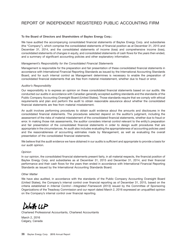# REPORT OF INDEPENDENT REGISTERED PUBLIC ACCOUNTING FIRM

## **To the Board of Directors and Shareholders of Baytex Energy Corp.:**

We have audited the accompanying consolidated financial statements of Baytex Energy Corp. and subsidiaries (the ''Company''), which comprise the consolidated statements of financial position as at December 31, 2015 and December 31, 2014, and the consolidated statements of income (loss) and comprehensive income (loss), consolidated statements of changes in equity, and consolidated statements of cash flows for the years then ended, and a summary of significant accounting policies and other explanatory information.

#### *Management's Responsibility for the Consolidated Financial Statements*

Management is responsible for the preparation and fair presentation of these consolidated financial statements in accordance with International Financial Reporting Standards as issued by the International Accounting Standards Board, and for such internal control as Management determines is necessary to enable the preparation of consolidated financial statements that are free from material misstatement, whether due to fraud or error.

#### *Auditor's Responsibility*

Our responsibility is to express an opinion on these consolidated financial statements based on our audits. We conducted our audits in accordance with Canadian generally accepted auditing standards and the standards of the Public Company Accounting Oversight Board (United States). Those standards require that we comply with ethical requirements and plan and perform the audit to obtain reasonable assurance about whether the consolidated financial statements are free from material misstatement.

An audit involves performing procedures to obtain audit evidence about the amounts and disclosures in the consolidated financial statements. The procedures selected depend on the auditor's judgment, including the assessment of the risks of material misstatement of the consolidated financial statements, whether due to fraud or error. In making those risk assessments, the auditor considers internal control relevant to the entity's preparation and fair presentation of the consolidated financial statements in order to design audit procedures that are appropriate in the circumstances. An audit also includes evaluating the appropriateness of accounting policies used and the reasonableness of accounting estimates made by Management, as well as evaluating the overall presentation of the consolidated financial statements.

We believe that the audit evidence we have obtained in our audits is sufficient and appropriate to provide a basis for our audit opinion.

## *Opinion*

In our opinion, the consolidated financial statements present fairly, in all material respects, the financial position of Baytex Energy Corp. and subsidiaries as at December 31, 2015 and December 31, 2014, and their financial performance and their cash flows for the years then ended in accordance with International Financial Reporting Standards as issued by the International Accounting Standards Board.

#### *Other Matter*

We have also audited, in accordance with the standards of the Public Company Accounting Oversight Board (United States), the Company's internal control over financial reporting as of December 31, 2015, based on the criteria established in *Internal Control – Integrated Framework (2013)* issued by the Committee of Sponsoring Organizations of the Treadway Commission and our report dated March 2, 2016 expressed an unqualified opinion on the Company's internal control over financial reporting.

 $u$ wike LLP

Chartered Professional Accountants, Chartered Accountants

March 2, 2016 Calgary, Canada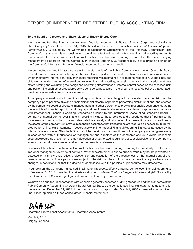## REPORT OF INDEPENDENT REGISTERED PUBLIC ACCOUNTING FIRM

### **To the Board of Directors and Shareholders of Baytex Energy Corp.:**

We have audited the internal control over financial reporting of Baytex Energy Corp. and subsidiaries (the ''Company'') as of December 31, 2015, based on the criteria established in *Internal Control-Integrated Framework (2013)* issued by the Committee of Sponsoring Organizations of the Treadway Commission. The Company's management is responsible for maintaining effective internal control over financial reporting and for its assessment of the effectiveness of internal control over financial reporting, included in the accompanying Management's Report on Internal Control over Financial Reporting. Our responsibility is to express an opinion on the Company's internal control over financial reporting based on our audit.

We conducted our audit in accordance with the standards of the Public Company Accounting Oversight Board (United States). Those standards require that we plan and perform the audit to obtain reasonable assurance about whether effective internal control over financial reporting was maintained in all material respects. Our audit included obtaining an understanding of internal control over financial reporting, assessing the risk that a material weakness exists, testing and evaluating the design and operating effectiveness of internal control based on the assessed risk, and performing such other procedures as we considered necessary in the circumstances. We believe that our audit provides a reasonable basis for our opinion.

A company's internal control over financial reporting is a process designed by, or under the supervision of, the company's principal executive and principal financial officers, or persons performing similar functions, and effected by the company's board of directors, management, and other personnel to provide reasonable assurance regarding the reliability of financial reporting and the preparation of financial statements for external purposes in accordance with International Financial Reporting Standards as issued by the International Accounting Standards Board. A company's internal control over financial reporting includes those policies and procedures that (1) pertain to the maintenance of records that, in reasonable detail, accurately and fairly reflect the transactions and dispositions of the assets of the company; (2) provide reasonable assurance that transactions are recorded as necessary to permit preparation of financial statements in accordance with International Financial Reporting Standards as issued by the International Accounting Standards Board, and that receipts and expenditures of the company are being made only in accordance with authorizations of management and directors of the company; and (3) provide reasonable assurance regarding prevention or timely detection of unauthorized acquisition, use, or disposition of the company's assets that could have a material effect on the financial statements.

Because of the inherent limitations of internal control over financial reporting, including the possibility of collusion or improper management override of controls, material misstatements due to error or fraud may not be prevented or detected on a timely basis. Also, projections of any evaluation of the effectiveness of the internal control over financial reporting to future periods are subject to the risk that the controls may become inadequate because of changes in conditions, or that the degree of compliance with the policies or procedures may deteriorate.

In our opinion, the Company maintained, in all material respects, effective internal control over financial reporting as of December 31, 2015, based on the criteria established in *Internal Control – Integrated Framework (2013)* issued by the Committee of Sponsoring Organizations of the Treadway Commission.

We have also audited, in accordance with Canadian generally accepted auditing standards and the standards of the Public Company Accounting Oversight Board (United States<sup>)</sup>, the consolidated financial statements as at and for the year ended December 31, 2015 of the Company and our report dated March 2, 2016 expressed an unmodified/ unqualified opinion on those consolidated financial statements.

 $n$ wike LLP

Chartered Professional Accountants, Chartered Accountants

March 2, 2016 Calgary, Canada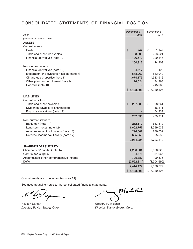# CONSOLIDATED STATEMENTS OF FINANCIAL POSITION

| As at                                      | December 31,<br>2015 | December 31,<br>2014 |
|--------------------------------------------|----------------------|----------------------|
| (thousands of Canadian dollars)            |                      |                      |
| <b>ASSETS</b>                              |                      |                      |
| Current assets                             |                      |                      |
| Cash                                       | \$<br>247            | \$<br>1,142          |
| Trade and other receivables                | 98,093               | 203,521              |
| Financial derivatives (note 19)            | 106,573              | 220,146              |
|                                            | 204,913              | 424,809              |
| Non-current assets                         |                      |                      |
| Financial derivatives (note 19)            | 4,417                | 498                  |
| Exploration and evaluation assets (note 7) | 578,969              | 542,040              |
| Oil and gas properties (note 8)            | 4,674,175            | 4,983,916            |
| Other plant and equipment (note 9)         | 26,024               | 34,268               |
| Goodwill (note 10)                         |                      | 245,065              |
|                                            | \$5,488,498          | \$6,230,596          |
|                                            |                      |                      |
| <b>LIABILITIES</b>                         |                      |                      |
| <b>Current liabilities</b>                 |                      |                      |
| Trade and other payables                   | \$<br>267,838        | \$<br>398,261        |
| Dividends payable to shareholders          |                      | 16,811               |
| Financial derivatives (note 19)            |                      | 54,839               |
|                                            | 267,838              | 469,911              |
| Non-current liabilities                    |                      |                      |
| Bank loan (note 11)                        | 252,172              | 663,312              |
| Long-term notes (note 12)                  | 1,602,757            | 1,399,032            |
| Asset retirement obligations (note 13)     | 296,002              | 286,032              |
| Deferred income tax liability (note 17)    | 655,255              | 905,532              |
|                                            | 3,074,024            | 3,723,819            |
| <b>SHAREHOLDERS' EQUITY</b>                |                      |                      |
| Shareholders' capital (note 14)            | 4,296,831            | 3,580,825            |
| Contributed surplus                        | 4,575                | 31,067               |
| Accumulated other comprehensive income     | 705,382              | 199,575              |
| <b>Deficit</b>                             | (2,592,314)          | (1,304,690)          |
|                                            | 2,414,474            | 2,506,777            |
|                                            | \$5,488,498          | \$6,230,596          |

Commitments and contingencies (note 21)

 $\boldsymbol{\mu}$ 

Naveen Dargan Gregory K. Melchin *Director, Baytex Energy Corp. Director, Baytex Energy Corp.*

Melhi

 $\sim$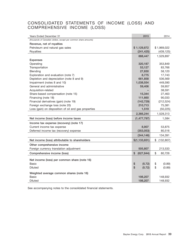## CONSOLIDATED STATEMENTS OF INCOME (LOSS) AND COMPREHENSIVE INCOME (LOSS)

| Years Ended December 31                                          | 2015             | 2014             |
|------------------------------------------------------------------|------------------|------------------|
| (thousands of Canadian dollars, except per common share amounts) |                  |                  |
| Revenue, net of royalties                                        |                  |                  |
| Petroleum and natural gas sales                                  | \$1,129,872      | \$1,969,022      |
| Royalties                                                        | (241, 425)       | (439, 125)       |
|                                                                  | 888,447          | 1,529,897        |
| <b>Expenses</b>                                                  |                  |                  |
| Operating                                                        | 320,187          | 353,849          |
| Transportation                                                   | 53,127           | 83,766           |
| Blending                                                         | 27,830           | 58,120           |
| Exploration and evaluation (note 7)                              | 8,775            | 17,743           |
| Depletion and depreciation (note 8 and 9)                        | 661,858          | 536,569          |
| Impairment (notes 8 and 10)                                      | 1,038,554        | 449,590          |
| General and administrative                                       | 59,406           | 59,957           |
| Acquisition-related                                              |                  | 38,591           |
| Share-based compensation (note 15)                               | 15,344           | 27,463           |
| Financing (note 18)                                              | 111,660          | 90,033           |
| Financial derivatives (gain) (note 19)                           | (142, 729)       | (212, 524)       |
| Foreign exchange loss (note 20)                                  | 210,713          | 75,381           |
| Loss (gain) on disposition of oil and gas properties             | 1,519            | (50, 225)        |
|                                                                  | 2,366,244        | 1,528,313        |
| Net income (loss) before income taxes                            | (1, 477, 797)    | 1,584            |
| Income tax expense (recovery) (note 17)                          |                  |                  |
| Current income tax expense                                       | 8,907            | 53,875           |
| Deferred income tax (recovery) expense                           | (353,053)        | 80,516           |
|                                                                  | (344, 146)       | 134,391          |
| Net income (loss) attributable to shareholders                   | \$(1,133,651)    | \$<br>(132, 807) |
| Other comprehensive income                                       |                  |                  |
| Foreign currency translation adjustment                          | 505,807          | 213,533          |
| Comprehensive income (loss)                                      | \$<br>(627, 844) | \$<br>80,726     |
|                                                                  |                  |                  |
| Net income (loss) per common share (note 16)                     |                  |                  |
| Basic                                                            | \$<br>(5.72)     | \$<br>(0.89)     |
| <b>Diluted</b>                                                   | \$<br>(5.72)     | \$<br>(0.89)     |
| Weighted average common shares (note 16)                         |                  |                  |
| Basic                                                            | 198,207          | 148,932          |
| <b>Diluted</b>                                                   | 198,207          | 148,932          |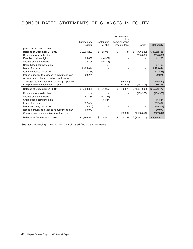# CONSOLIDATED STATEMENTS OF CHANGES IN EQUITY

|                                                |               |              | Accumulated            |                  |              |
|------------------------------------------------|---------------|--------------|------------------------|------------------|--------------|
|                                                | Shareholders' | Contributed  | other<br>comprehensive |                  |              |
|                                                | capital       | surplus      | income (loss)          | <b>Deficit</b>   | Total equity |
| (thousands of Canadian dollars)                |               |              |                        |                  |              |
| Balance at December 31, 2013                   | \$2,004,203   | \$<br>53,081 | \$<br>1,484            | \$<br>(776, 283) | \$1,282,485  |
| Dividends to shareholders                      |               |              |                        | (395,600)        | (395,600)    |
| Exercise of share rights                       | 25,667        | (14, 369)    |                        |                  | 11,298       |
| Vesting of share awards                        | 35,108        | (35, 108)    |                        |                  |              |
| Share-based compensation                       |               | 27,463       |                        |                  | 27,463       |
| Issued for cash                                | 1,495,044     |              |                        |                  | 1,495,044    |
| Issuance costs, net of tax                     | (78, 468)     |              |                        |                  | (78, 468)    |
| Issued pursuant to dividend reinvestment plan  | 99,271        |              |                        |                  | 99,271       |
| Accumulated other comprehensive income         |               |              |                        |                  |              |
| recognized on disposition of foreign operation |               |              | (15, 442)              |                  | (15, 442)    |
| Comprehensive income for the year              |               |              | 213,533                | (132, 807)       | 80,726       |
| Balance at December 31, 2014                   | \$3,580,825   | \$<br>31,067 | \$<br>199,575          | \$ (1,304,690)   | \$2,506,777  |
| Dividends to shareholders                      |               |              |                        | (153, 973)       | (153, 973)   |
| Vesting of share awards                        | 41,836        | (41, 836)    |                        |                  |              |
| Share-based compensation                       |               | 15,344       |                        |                  | 15,344       |
| Issued for cash                                | 632,494       |              |                        |                  | 632,494      |
| Issuance costs, net of tax                     | (19, 301)     |              |                        |                  | (19, 301)    |
| Issued pursuant to dividend reinvestment plan  | 60,977        |              |                        |                  | 60,977       |
| Comprehensive income (loss) for the year       |               |              | 505.807                | (1, 133, 651)    | (627, 844)   |
| Balance at December 31, 2015                   | \$4,296,831   | \$<br>4,575  | \$<br>705.382          | \$ (2,592,314)   | \$2.414.474  |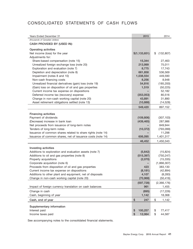# CONSOLIDATED STATEMENTS OF CASH FLOWS

| Years Ended December 31                                                                                 | 2015                  | 2014                         |
|---------------------------------------------------------------------------------------------------------|-----------------------|------------------------------|
| (thousands of Canadian dollars)                                                                         |                       |                              |
| CASH PROVIDED BY (USED IN):                                                                             |                       |                              |
| <b>Operating activities</b>                                                                             |                       |                              |
| Net income (loss) for the year                                                                          | \$(1,133,651)         | (132, 807)<br>\$             |
| Adjustments for:                                                                                        |                       |                              |
| Share-based compensation (note 15)                                                                      | 15,344<br>213,999     | 27,463<br>75,011             |
| Unrealized foreign exchange loss (note 20)<br>Exploration and evaluation (note 7)                       | 8,775                 | 17,743                       |
| Depletion and depreciation (note 8)                                                                     | 661,858               | 536,569                      |
| Impairment (notes 8 and 10)                                                                             | 1,038,554             | 449,590                      |
| Non-cash financing costs                                                                                | 8,256                 | 8,948                        |
| Unrealized financial derivatives (gain) loss (note 19)                                                  | 54,816                | (185, 200)                   |
| (Gain) loss on disposition of oil and gas properties                                                    | 1,519                 | (50, 225)                    |
| Current income tax expense on dispositions                                                              |                       | 52,182                       |
| Deferred income tax (recovery) expense                                                                  | (353,053)             | 80,516                       |
| Change in non-cash working capital (note 20)                                                            | 43,891                | 31,890                       |
| Asset retirement obligations settled (note 13)                                                          | (10, 888)             | (14, 528)                    |
|                                                                                                         | 549,420               | 897,152                      |
| <b>Financing activities</b>                                                                             |                       |                              |
| Payment of dividends                                                                                    | (109, 806)            | (307, 103)                   |
| (Decrease) increase in bank loan                                                                        | (439, 465)            | 287,986                      |
| Net proceeds from issuance of long-term notes                                                           |                       | 849,944                      |
| Tenders of long-term notes                                                                              | (10, 372)             | (793,099)                    |
| Issuance of common shares related to share rights (note 14)                                             |                       | 11,298                       |
| Issuance of common shares, net of issuance costs (note 14)                                              | 606,095               | 1,401,317                    |
|                                                                                                         | 46,452                | 1,450,343                    |
|                                                                                                         |                       |                              |
| Investing activities                                                                                    |                       |                              |
| Additions to exploration and evaluation assets (note 7)<br>Additions to oil and gas properties (note 8) | (5,642)<br>(515, 397) | (15, 824)<br>(750, 247)      |
| Property acquisitions                                                                                   | (2,070)               | (15, 335)                    |
| Corporate acquisition (note 6)                                                                          |                       | (1,866,307)                  |
| Proceeds from disposition of oil and gas properties                                                     | 423                   | 383,130                      |
| Current income tax expense on dispositions                                                              | (8, 181)              | (42, 894)                    |
| Additions to other plant and equipment, net of disposals                                                | 4,107                 | (8, 283)                     |
| Change in non-cash working capital (note 20)                                                            | (70, 968)             | (50, 416)                    |
|                                                                                                         | (597, 728)            | (2,366,176)                  |
| Impact of foreign currency translation on cash balances                                                 | 961                   | 1,455                        |
| Change in cash                                                                                          | (895)                 | (17, 226)                    |
| Cash, beginning of year                                                                                 | 1,142                 | 18,368                       |
| Cash, end of year                                                                                       | \$<br>247             | \$<br>1,142                  |
|                                                                                                         |                       |                              |
| Supplementary information<br>Interest paid                                                              | 100,257               |                              |
| Income taxes paid                                                                                       | \$<br>\$<br>12,064    | \$<br>77,417<br>\$<br>44,587 |
|                                                                                                         |                       |                              |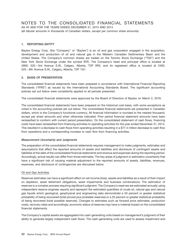## NOTES TO THE CONSOLIDATED FINANCIAL STATEMENTS

AS AT AND FOR THE YEARS ENDED DECEMBER 31, 2015 AND 2014 (all tabular amounts in thousands of Canadian dollars, except per common share amounts)

## **1. REPORTING ENTITY**

Baytex Energy Corp. (the "Company" or "Baytex") is an oil and gas corporation engaged in the acquisition, development and production of oil and natural gas in the Western Canadian Sedimentary Basin and the United States. The Company's common shares are traded on the Toronto Stock Exchange ("TSX") and the New York Stock Exchange under the symbol BTE. The Company's head and principal office is located at 2800, 520 – 3rd Avenue S.W., Calgary, Alberta, T2P 0R3, and its registered office is located at 2400, 525 – 8th Avenue S.W., Calgary, Alberta, T2P 1G1.

## **2. BASIS OF PRESENTATION**

The consolidated financial statements have been prepared in accordance with International Financial Reporting Standards (''IFRS'') as issued by the International Accounting Standards Board. The significant accounting policies set out below were consistently applied to all periods presented.

The consolidated financial statements were approved by the Board of Directors of Baytex on March 2, 2016.

The consolidated financial statements have been prepared on the historical cost basis, with some exceptions as noted in the accounting policies set out below. The consolidated financial statements are presented in Canadian dollars, which is the Company's functional currency. All financial information is rounded to the nearest thousand, except per share amounts and when otherwise indicated. Prior period financial statement amounts have been reclassified to conform with current period presentation. On the consolidated statement of cash flows, financing costs have been reclassified from financing activities to operating activities for the year ended December 31, 2014. This resulted in a decrease to cash flows from operating activities resulting in a \$77.4 million decrease to cash flow from operations and a corresponding increase to cash flow from financing activities.

## *Measurement Uncertainty and Judgments*

The preparation of the consolidated financial statements requires management to make judgments, estimates and assumptions that affect the reported amounts of assets and liabilities and disclosure of contingent assets and liabilities at the date of the consolidated financial statements and revenue and expenses during the reporting period. Accordingly, actual results can differ from those estimates. The key areas of judgment or estimation uncertainty that have a significant risk of causing material adjustment to the reported amounts of assets, liabilities, revenues, expenses, and disclosure of contingencies are discussed below.

## Oil and Gas Activities

Reserves estimates can have a significant effect on net income (loss), assets and liabilities as a result of their impact on depletion, asset retirement obligations, asset impairments and business combinations. The estimation of reserves is a complex process requiring significant judgment. The Company's reserves are estimated annually using independent reserve engineer reports and represent the estimated quantities of crude oil, natural gas and natural gas liquids which geological, geophysical and engineering data demonstrate a 50 percent or greater statistical probability of being recovered (total proved plus probable reserves) or a 25 percent or greater statistical probability of being recovered (total possible reserves). Changes to estimates such as forward price estimates, production costs, recovery rates and accordingly, economic status of reserves may have a material impact on the consolidated financial statements.

The Company's capital assets are aggregated into cash-generating units based on management's judgment of their ability to generate largely independent cash flows. The cash-generating units are used to assess impairment and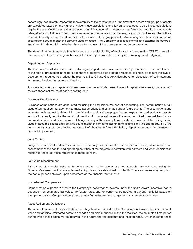accordingly, can directly impact the recoverability of the assets therein. Impairment of assets and groups of assets are calculated based on the higher of value-in-use calculations and fair value less cost to sell. These calculations require the use of estimates and assumptions on highly uncertain matters such as future commodity prices, royalty rates, effects of inflation and technology improvements on operating expenses, production profiles and the outlook of market supply-and-demand conditions for oil and natural gas products. Any changes to these estimates and assumptions could impact the carrying value of assets. The Company assesses internal and external indicators of impairment in determining whether the carrying values of the assets may not be recoverable.

The determination of technical feasibility and commercial viability of exploration and evaluation (''E&E'') assets for the purposes of reclassifying such assets to oil and gas properties is subject to management judgment.

## Depletion and Depreciation

The amounts recorded for depletion of oil and gas properties are based on a unit-of-production method by reference to the ratio of production in the period to the related proved plus probable reserves, taking into account the level of development required to produce the reserves. See Oil and Gas Activities above for discussion of estimates and judgments involved in reserve estimation.

Amounts recorded for depreciation are based on the estimated useful lives of depreciable assets; management reviews these estimates at each reporting date.

#### Business Combinations

Business combinations are accounted for using the acquisition method of accounting. The determination of fair value often requires management to make assumptions and estimates about future events. The assumptions and estimates with respect to determining the fair value of oil and gas properties and exploration and evaluation assets acquired generally require the most judgment and include estimates of reserves acquired, forecast benchmark commodity prices and discount rates. Changes in any of the assumptions or estimates used in determining the fair value of acquired assets and liabilities could impact the amounts assigned to assets, liabilities and goodwill. Future net income (loss) can be affected as a result of changes in future depletion, depreciation, asset impairment or goodwill impairment.

#### Joint Control

Judgment is required to determine when the Company has joint control over a joint operation, which requires an assessment of the capital and operating activities of the projects undertaken with partners and when decisions in relation to those activities require unanimous consent.

#### Fair Value Measurement

Fair values of financial instruments, where active market quotes are not available, are estimated using the Company's assessment of available market inputs and are described in note 19. These estimates may vary from the actual prices achieved upon settlement of the financial instruments.

#### Share-based Compensation

Compensation expense related to the Company's performance awards under the Share Award Incentive Plan is dependent on estimated fair values, forfeiture rates, and for performance awards, a payout multiplier based on past performance. Compensation expense may fluctuate due to changes in management's estimates.

#### Asset Retirement Obligations

The amounts recorded for asset retirement obligations are based on the Company's net ownership interest in all wells and facilities, estimated costs to abandon and reclaim the wells and the facilities, the estimated time period during which these costs will be incurred in the future and the discount and inflation rates. Any changes to these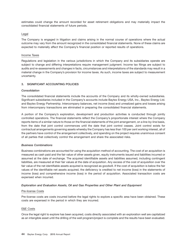estimates could change the amount recorded for asset retirement obligations and may materially impact the consolidated financial statements of future periods.

## Legal

The Company is engaged in litigation and claims arising in the normal course of operations where the actual outcome may vary from the amount recognized in the consolidated financial statements. None of these claims are expected to materially affect the Company's financial position or reported results of operations.

## Income Taxes

Regulations and legislation in the various jurisdictions in which the Company and its subsidiaries operate are subject to change and differing interpretations require management judgment. Income tax filings are subject to audits and re-assessments and changes in facts, circumstances and interpretations of the standards may result in a material change in the Company's provision for income taxes. As such, income taxes are subject to measurement uncertainty.

## **3. SIGNIFICANT ACCOUNTING POLICIES**

## *Consolidation*

The consolidated financial statements include the accounts of the Company and its wholly-owned subsidiaries. Significant subsidiaries included in the Company's accounts include Baytex Energy USA, Inc., Baytex Energy Ltd. and Baytex Energy Partnership. Intercompany balances, net income (loss) and unrealized gains and losses arising from intercompany transactions are eliminated in preparing the consolidated financial statements.

A portion of the Company's exploration, development and production activities is conducted through jointly controlled operations. The financial statements reflect the Company's proportionate interest where the Company reports items of a similar nature to those on the financial statements of the joint arrangement, on a line-by-line basis, from the date that joint control commences until the date that joint control ceases. Joint control exists for contractual arrangements governing assets whereby the Company has less than 100 per cent working interest, all of the partners have control of the arrangement collectively, and spending on the project requires unanimous consent of all parties that collectively control the arrangement and share the associated risks.

## *Business Combinations*

Business combinations are accounted for using the acquisition method of accounting. The cost of an acquisition is measured as cash paid and the fair value of other assets given, equity instruments issued and liabilities incurred or assumed at the date of exchange. The acquired identifiable assets and liabilities assumed, including contingent liabilities, are measured at their fair values at the date of acquisition. Any excess of the cost of acquisition over the fair value of the net identifiable assets acquired is recognized as goodwill. If the cost of acquisition is below the fair values of the identifiable net assets acquired, the deficiency is credited to net income (loss) in the statements of income (loss) and comprehensive income (loss) in the period of acquisition. Associated transaction costs are expensed when incurred.

## *Exploration and Evaluation Assets, Oil and Gas Properties and Other Plant and Equipment*

## Pre-license Costs

Pre-license costs are costs incurred before the legal rights to explore a specific area have been obtained. These costs are expensed in the period in which they are incurred.

## E&E Costs

Once the legal right to explore has been acquired, costs directly associated with an exploration well are capitalized as an intangible asset until the drilling of the well program/project is complete and the results have been evaluated.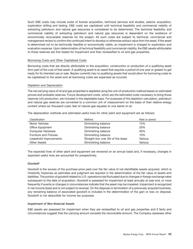Such E&E costs may include costs of license acquisition, technical services and studies, seismic acquisition, exploration drilling and testing. E&E costs are capitalized until technical feasibility and commercial viability of extracting petroleum and natural gas resources is considered to be determined. The technical feasibility and commercial viability of extracting petroleum and natural gas resources is dependent on the existence of economically recoverable reserves for the project. All such costs are subject to technical, commercial and management review to confirm the continued intent to develop or otherwise extract value from the asset. If the asset is determined not to be technically feasible or economically viable, an impairment is charged to exploration and evaluation expense. Upon determination of technical feasibility and commercial viability, the E&E assets attributable to those reserves are first tested for impairment and then reclassified to oil and gas properties.

### Borrowing Costs and Other Capitalized Costs

Borrowing costs that are directly attributable to the acquisition, construction or production of a qualifying asset form part of the cost of that asset. A qualifying asset is an asset that requires a period of one year or greater to get ready for its intended use or sale. Baytex currently has no qualifying assets that would allow for borrowing costs to be capitalized to the asset and all borrowing costs are expensed as incurred.

#### Depletion and Depreciation

The net carrying value of oil and gas properties is depleted using the unit-of-production method based on estimated proved and probable reserves. Future development costs, which are the estimated costs necessary to bring those reserves into production, are included in the depletable base. For purposes of the depletion calculation, petroleum and natural gas reserves are converted to a common unit of measurement on the basis of their relative energy content where six thousand cubic feet of natural gas equates to one barrel of oil.

The depreciation methods and estimated useful lives for other plant and equipment are as follows:

| Classification                | Method                               | Rate or period |
|-------------------------------|--------------------------------------|----------------|
| Motor Vehicles                | Diminishing balance                  | 15%            |
| Office Equipment              | Diminishing balance                  | 20%            |
| Computer Hardware             | Diminishing balance                  | 30%            |
| <b>Furniture and Fixtures</b> | Diminishing balance                  | 10%            |
| Leasehold Improvements        | Straight-line over life of the lease | Various        |
| <b>Other Assets</b>           | Diminishing balance                  | Various        |

The expected lives of other plant and equipment are reviewed on an annual basis and, if necessary, changes in expected useful lives are accounted for prospectively.

## *Goodwill*

Goodwill is the excess of the purchase price paid over the fair value of net identifiable assets acquired, which is inherently imprecise as estimates and judgment are required in the determination of the fair value of assets and liabilities. The portion of goodwill related to U.S. operations had fluctuated due to changes in foreign exchange rates subsequent to the date of acquisition. Goodwill is assessed for impairment at least annually at year end, or more frequently if events or changes in circumstances indicate that the asset may be impaired. Impairment is recognized in net income (loss) and is not subject to reversal. On the disposal or termination of a previously acquired business, any remaining balance of associated goodwill is included in the determination of the gain or loss on disposal. Goodwill is not deductible for income tax purposes.

#### *Impairment of Non-financial Assets*

E&E assets are assessed for impairment when they are reclassified to oil and gas properties and if facts and circumstances suggest that the carrying amount exceeds the recoverable amount. The Company assesses other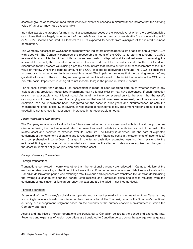assets or groups of assets for impairment whenever events or changes in circumstances indicate that the carrying value of an asset may not be recoverable.

Individual assets are grouped for impairment assessment purposes at the lowest level at which there are identifiable cash flows that are largely independent of the cash flows of other groups of assets (the "cash-generating unit" or ''CGU''). Goodwill acquired is allocated to CGUs expected to benefit from synergies of the related business combination.

The Company assesses its CGUs for impairment when indicators of impairment exist or at least annually for CGUs with goodwill. The Company compares the recoverable amount of the CGU to its carrying amount. A CGU's recoverable amount is the higher of its fair value less costs of disposal and its value-in-use. In assessing the recoverable amount, the estimated future cash flows are adjusted for the risks specific to the CGU and are discounted to their present value using a pre-tax discount rate that reflects current market assessments of the time value of money. Where the carrying amount of a CGU exceeds its recoverable amount, the CGU is considered impaired and is written down to its recoverable amount. The impairment reduces first the carrying amount of any goodwill allocated to the CGU. Any remaining impairment is allocated to the individual assets in the CGU on a pro-rata basis. Impairment is charged to net income (loss) in the period in which it occurs.

For all assets (other than goodwill), an assessment is made at each reporting date as to whether there is any indication that previously recognized impairment may no longer exist or may have decreased. If such indication exists, the recoverable amount is estimated. An impairment may be reversed only to the extent that the asset's carrying amount does not exceed the carrying amount that would have been determined, net of depreciation and depletion, had no impairment been recognized for the asset in prior years and circumstances indicate the impairment no longer exists. Such reversal is recognized in net income (loss). Impairment recognized in relation to goodwill is not reversed for subsequent increases in its recoverable amount.

#### *Asset Retirement Obligations*

The Company recognizes a liability for the future asset retirement costs associated with its oil and gas properties discounted using the risk free interest rate. The present value of the liability is capitalized as part of the cost of the related asset and depleted to expense over its useful life. The liability is accreted until the date of expected settlement of the retirement obligations and is recognized within financing costs in the statements of income (loss) and comprehensive income (loss). Changes in the future cash flow estimates resulting from revisions to the estimated timing or amount of undiscounted cash flows on the discount rates are recognized as changes in the asset retirement obligation provision and related asset.

## *Foreign Currency Translation*

## Foreign transactions

Transactions completed in currencies other than the functional currency are reflected in Canadian dollars at the exchange rates prevailing at the time of the transactions. Foreign currency assets and liabilities are translated to Canadian dollars at the period-end exchange rate. Revenue and expenses are translated to Canadian dollars using the average exchange rate for the period. Both realized and unrealized gains and losses resulting from the settlement or translation of foreign currency transactions are included in net income (loss).

## Foreign operations

As several of the Company's subsidiaries operate and transact primarily in countries other than Canada, they accordingly have functional currencies other than the Canadian dollar. The designation of the Company's functional currency is a management judgment based on the currency of the primary economic environment in which the Company operates.

Assets and liabilities of foreign operations are translated to Canadian dollars at the period-end exchange rate. Revenues and expenses of foreign operations are translated to Canadian dollars using the average exchange rate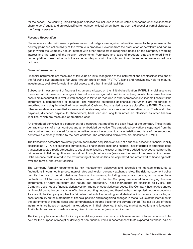for the period. The resulting unrealized gains or losses are included in accumulated other comprehensive income in shareholders' equity and are reclassified to net income (loss) when there has been a disposal or partial disposal of the foreign operation.

### *Revenue Recognition*

Revenue associated with sales of petroleum and natural gas is recognized when title passes to the purchaser at the delivery point and collectability of the revenue is probable. Revenue from the production of petroleum and natural gas in which the Company has an interest with other producers is recognized based on the Company's working interest and the terms of the relevant agreements. Purchases and sales of products that are entered into in contemplation of each other with the same counterparty with the right and intent to settle net are recorded on a net basis.

#### *Financial Instruments*

Financial instruments are measured at fair value on initial recognition of the instrument and are classified into one of the following five categories: fair value through profit or loss (''FVTPL''), loans and receivables, held-to-maturity investments, available-for-sale financial assets and other financial liabilities.

Subsequent measurement of financial instruments is based on their initial classification. FVTPL financial assets are measured at fair value and changes in fair value are recognized in net income (loss). Available-for-sale financial assets are measured at fair value with changes in fair value recorded in other comprehensive income (loss) until the instrument is derecognized or impaired. The remaining categories of financial instruments are recognized at amortized cost using the effective interest method. Cash and financial derivatives are classified at FVTPL. Trade and other receivables are classified as loans and receivables, which are measured at amortized cost. Trade and other payables, dividends payable to shareholders, bank loan and long-term notes are classified as other financial liabilities, which are measured at amortized cost.

An embedded derivative is a component of a contract that modifies the cash flows of the contract. These hybrid contracts consist of a host contract and an embedded derivative. The embedded derivative is separated from the host contract and accounted for as a derivative unless the economic characteristics and risks of the embedded derivative are closely related to the host contract. The embedded derivatives are measured at FVTPL.

The transaction costs that are directly attributable to the acquisition or issue of a financial asset or a financial liability classified as FVTPL are expensed immediately. For a financial asset or a financial liability carried at amortized cost, transaction costs directly attributable to acquiring or issuing the asset or liability are added to, or deducted from, the fair value on initial recognition and amortized through net income (loss) over the term of the financial instrument. Debt issuance costs related to the restructuring of credit facilities are capitalized and amortized as financing costs over the term of the credit facilities.

The Company formally documents its risk management objectives and strategies to manage exposures to fluctuations in commodity prices, interest rates and foreign currency exchange rates. The risk management policy permits the use of certain derivative financial instruments, including swaps and collars, to manage these fluctuations. All transactions of this nature entered into by the Company are related to underlying financial instruments or future petroleum and natural gas production. These instruments are classified as FVTPL. The Company does not use financial derivatives for trading or speculative purposes. The Company has not designated its financial derivative contracts as effective accounting hedges, and therefore has not applied hedge accounting. As a result, the Company applies the fair value method of accounting for all derivative instruments by recording an asset or liability on the statements of financial position and recognizing changes in the fair value of the instrument in the statements of income (loss) and comprehensive income (loss) for the current period. The fair values of these instruments are based on quoted market prices or, in their absence, third-party market indications and forecasts. Attributable transaction costs are recognized in net income (loss) when incurred.

The Company has accounted for its physical delivery sales contracts, which were entered into and continue to be held for the purpose of receipt or delivery of non-financial items in accordance with its expected purchase, sale or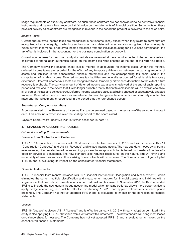usage requirements as executory contracts. As such, these contracts are not considered to be derivative financial instruments and have not been recorded at fair value on the statements of financial position. Settlements on these physical delivery sales contracts are recognized in revenue in the period the product is delivered to the sales point.

#### *Income Taxes*

Current and deferred income taxes are recognized in net income (loss), except when they relate to items that are recognized directly in equity, in which case the current and deferred taxes are also recognized directly in equity. When current income tax or deferred income tax arises from the initial accounting for a business combination, the tax effect is included in the accounting for the business combination as goodwill.

Current income taxes for the current and prior periods are measured at the amount expected to be recoverable from or payable to the taxation authorities based on the income tax rates enacted at the end of the reporting period.

The Company follows the balance sheet liability method of accounting for income taxes. Under this method, deferred income taxes are recorded for the effect of any temporary differences between the carrying amounts of assets and liabilities in the consolidated financial statements and the corresponding tax basis used in the computation of taxable income. Deferred income tax liabilities are generally recognized for all taxable temporary differences. Deferred income tax assets are recognized for all temporary differences deductible to the extent future recovery is probable. The carrying amount of deferred income tax assets is reviewed at the end of each reporting period and reduced to the extent that it is no longer probable that sufficient taxable income will be available to allow all or part of the asset to be recovered. Deferred income taxes are calculated using enacted or substantively enacted tax rates. Deferred income tax balances are adjusted for any changes in the enacted or substantively enacted tax rates and the adjustment is recognized in the period that the rate change occurs.

#### *Share-based Compensation Plans*

Expenses related to the Share Award Incentive Plan are determined based on the fair value of the award on the grant date. This amount is expensed over the vesting period of the share award.

Baytex's Share Award Incentive Plan is further described in note 15.

## **4. CHANGES IN ACCOUNTING POLICIES**

#### *Future Accounting Pronouncements*

#### **Revenue from Contracts with Customers**

IFRS 15 "Revenue from Contracts with Customers" is effective January 1, 2018 and will supersede IAS 11 ''Construction Contracts'' and IAS 18 ''Revenue'' and related interpretations. The new standard moves away from a revenue recognition model based on an earnings process to an approach that is based on transfer of control of a good or service to a customer. The new standard also requires disclosures on the nature, amount, timing and uncertainty of revenues and cash flows arising from contracts with customers. The Company has not yet adopted IFRS 15 and is evaluating its impact on the consolidated financial statements.

#### **Financial Instruments**

IFRS 9 ''Financial Instruments'' replaces IAS 39 ''Financial Instruments: Recognition and Measurement'', which eliminates the current multiple classification and measurement models for financial assets and liabilities with a single model that has only two classifications: amortized cost and fair value. In November 2013, the IASB amended IFRS 9 to include the new general hedge accounting model which remains optional, allows more opportunities to apply hedge accounting, and will be effective on January 1, 2018 and applied retroactively to each period presented. The Company has not yet adopted IFRS 9 and is evaluating its impact on the consolidated financial statements.

#### **Leases**

IFRS 16 "Leases" replaces IAS 17 "Leases" and is effective January 1, 2019 with early adoption permitted if the entity is also applying IFRS 15 "Revenue from Contracts with Customers". The new standard will bring most leases on-balance sheet for lessees. The Company has not yet adopted IFRS 16 and is evaluating its impact on the consolidated financial statements.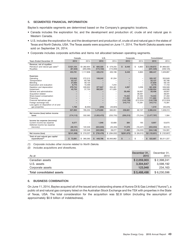## **5. SEGMENTED FINANCIAL INFORMATION**

Baytex's reportable segments are determined based on the Company's geographic locations.

- Canada includes the exploration for, and the development and production of, crude oil and natural gas in Western Canada.
- U.S. includes the exploration for, and the development and production of, crude oil and natural gas in the states of Texas and North Dakota, USA. The Texas assets were acquired on June 11, 2014. The North Dakota assets were sold on September 24, 2014.
- Corporate includes corporate activities and items not allocated between operating segments.

|                                                                                                                                                                                                                                                                                                                                    | Canada                                                    |                                                                      | U.S.                                  |                                                 | Corporate                                                     |                                                                                                             | Consolidated                                                                                                         |                                                                                                                             |
|------------------------------------------------------------------------------------------------------------------------------------------------------------------------------------------------------------------------------------------------------------------------------------------------------------------------------------|-----------------------------------------------------------|----------------------------------------------------------------------|---------------------------------------|-------------------------------------------------|---------------------------------------------------------------|-------------------------------------------------------------------------------------------------------------|----------------------------------------------------------------------------------------------------------------------|-----------------------------------------------------------------------------------------------------------------------------|
| Years Ended December 31                                                                                                                                                                                                                                                                                                            | 2015                                                      | 2014                                                                 | 2015                                  | 2014                                            | 2015                                                          | 2014                                                                                                        | 2015                                                                                                                 | 2014                                                                                                                        |
| Revenue, net of royalties<br>Petroleum and natural gas sales <sup>(1)</sup><br>Royalties                                                                                                                                                                                                                                           | \$521,104<br>(67, 323)                                    | \$1,382,904<br>(265,066)                                             | $\mathbb{S}$<br>600,320<br>(174, 102) | \$ 579,255<br>(174, 059)                        | $\mathbf{s}$<br>8,448                                         | \$<br>6,863                                                                                                 | \$1,129,872<br>(241, 425)                                                                                            | \$1,969,022<br>(439, 125)                                                                                                   |
|                                                                                                                                                                                                                                                                                                                                    | 453.781                                                   | 1.117.838                                                            | 426,218                               | 405,196                                         | 8,448                                                         | 6,863                                                                                                       | 888,447                                                                                                              | 1,529,897                                                                                                                   |
| <b>Expenses</b><br>Operating<br>Transportation<br>Blendina<br>Exploration and evaluation<br>Depletion and depreciation<br>Impairment<br>General and administrative<br>Acquisition-related<br>Share-based compensation<br>Financing<br>Financial derivatives gain<br>Foreign exchange loss<br>Loss (gain) on disposition of oil and | 210,945<br>53,127<br>27,830<br>8.775<br>279,744<br>45,703 | 272,515<br>83,766<br>58,120<br>10.499<br>328,902<br>37,755<br>-<br>- | 109,242<br>377,847<br>992,851         | 81,334<br>7.244<br>204,461<br>411.835<br>-<br>- | 4,267<br>59,406<br>15.344<br>111,660<br>(142, 729)<br>210,713 | -<br>-<br>3,206<br>$\overline{\phantom{0}}$<br>59,957<br>38,591<br>27.463<br>90,033<br>(212, 524)<br>75,381 | 320,187<br>53,127<br>27,830<br>8.775<br>661,858<br>1,038,554<br>59.406<br>15.344<br>111,660<br>(142, 729)<br>210,713 | 353,849<br>83,766<br>58,120<br>17.743<br>536,569<br>449,590<br>59,957<br>38,591<br>27,463<br>90,033<br>(212, 524)<br>75,381 |
| gas properties                                                                                                                                                                                                                                                                                                                     | 1,769<br>627,893                                          | (6, 302)<br>785,255                                                  | (250)<br>1,479,690                    | (43,923)<br>660,951                             | 258,661                                                       | -<br>82,107                                                                                                 | 1,519<br>2,366,244                                                                                                   | (50, 225)<br>1,528,313                                                                                                      |
| Net income (loss) before income<br>taxes                                                                                                                                                                                                                                                                                           | (174, 112)                                                | 332,583                                                              | (1,053,472)                           | (255, 755)                                      | (250, 213)                                                    | (75, 244)                                                                                                   | (1, 477, 797)                                                                                                        | 1,584                                                                                                                       |
| Income tax expense (recovery)<br>Current income tax expense<br>Deferred income tax expense<br>(recovery)                                                                                                                                                                                                                           | 6,577<br>(39, 191)<br>(32, 614)                           | 122,346<br>122,346                                                   | 1,946<br>(324, 940)<br>(322, 994)     | 53,680<br>(25, 403)<br>28,277                   | 384<br>11,078<br>11,462                                       | 195<br>(16, 427)<br>(16, 232)                                                                               | 8,907<br>(353,053)<br>(344, 146)                                                                                     | 53,875<br>80,516<br>134,391                                                                                                 |
| Net income (loss)                                                                                                                                                                                                                                                                                                                  | \$(141, 498)                                              | \$210,237                                                            | \$ (730, 478)                         | \$ (284,032)                                    | $$$ (261,675)                                                 | \$ (59,012)                                                                                                 | \$(1, 133, 651)                                                                                                      | \$(132,807)                                                                                                                 |
| Total oil and natural gas capital<br>expenditures <sup>(2)</sup>                                                                                                                                                                                                                                                                   | \$72,891                                                  | \$<br>360,365                                                        | 449,796<br>\$                         | \$2,950,862                                     | $\mathbf{s}$                                                  | \$                                                                                                          | 522,687<br>\$                                                                                                        | \$3,311,227                                                                                                                 |

*(1) Corporate includes other income related to North Dakota.*

*(2) Includes acquisitions and divestitures.*

| As at                     | December 31,<br>2015 | December 31.<br>2014 |
|---------------------------|----------------------|----------------------|
| Canadian assets           | \$2,059,903          | \$2,398,241          |
| U.S. assets               | 3.304.647            | 3.598.192            |
| Corporate assets          | 123.948              | 234,163              |
| Total consolidated assets | \$5,488,498          | \$6,230,596          |

#### **6. BUSINESS COMBINATION**

On June 11, 2014, Baytex acquired all of the issued and outstanding shares of Aurora Oil & Gas Limited (''Aurora''), a public oil and natural gas company listed on the Australian Stock Exchange and the TSX with properties in the State of Texas, USA. The total consideration for the acquisition was \$2.8 billion (including the assumption of approximately \$0.9 billion of indebtedness).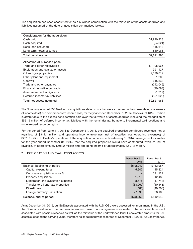The acquisition has been accounted for as a business combination with the fair value of the assets acquired and liabilities assumed at the date of acquisition summarized below:

| Consideration for the acquisition: |             |
|------------------------------------|-------------|
| Cash paid                          | \$1,920,928 |
| Cash acquired                      | (54, 621)   |
| Bank loan assumed                  | 145,618     |
| Long-term notes assumed            | 810,061     |
| <b>Total consideration</b>         | \$2,821,986 |
| Allocation of purchase price:      |             |
| Trade and other receivables        | \$          |
|                                    | 108,965     |
| Exploration and evaluation assets  | 391,127     |
| Oil and gas properties             | 2,520,612   |
| Other plant and equipment          | 1,209       |
| Goodwill                           | 615,338     |
| Trade and other payables           | (242, 045)  |
| Financial derivative contracts     | (20,083)    |
| Asset retirement obligations       | (1,217)     |
| Deferred income tax liabilities    | (551, 920)  |
| Total net assets acquired          | \$2,821,986 |

The Company incurred \$38.6 million of acquisition-related costs that were expensed in the consolidated statements of income (loss) and comprehensive income (loss) for the year ended December 31, 2014. Goodwill of \$615.3 million is attributable to the excess consideration paid over the fair value of assets acquired including the recognition of \$551.9 million of deferred income tax liabilities with the remainder attributable to incremental well locations and undeveloped resource rights.

For the period from June 11, 2014 to December 31, 2014, the acquired properties contributed revenues, net of royalties, of \$349.4 million and operating income (revenues, net of royalties less operating expenses) of \$281.9 million to Baytex's operations. If the acquisition had occurred on January 1, 2014, management estimates for the year ended December 31, 2014, that the acquired properties would have contributed revenues, net of royalties, of approximately \$601.2 million and operating income of approximately \$501.2 million.

## **7. EXPLORATION AND EVALUATION ASSETS**

|                                    | December 31.<br>2015 | December 31.<br>2014 |
|------------------------------------|----------------------|----------------------|
| Balance, beginning of period       | \$542,040            | \$162,987            |
| Capital expenditures               | 5,642                | 15,824               |
| Corporate acquisition (note 6)     |                      | 391,127              |
| Property acquisition               | 1,813                | 12,489               |
| Exploration and evaluation expense | (8, 775)             | (17, 743)            |
| Transfer to oil and gas properties | (38,062)             | (10, 443)            |
| Divestitures                       | (1,588)              | (40, 306)            |
| Foreign currency translation       | 77,899               | 28,105               |
| Balance, end of period             | \$578,969            | \$542,040            |

As at December 31, 2015, our E&E assets associated with the U.S. CGU were assessed for impairment. In the U.S., the Company estimated the recoverable amount based on management's estimate of the recoverable amount associated with possible reserves as well as the fair value of the undeveloped land. Recoverable amounts for E&E assets exceeded the carrying value, therefore no impairment was recorded at December 31, 2015. At December 31,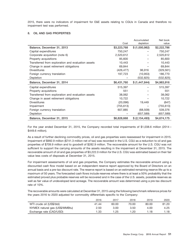2015, there were no indicators of impairment for E&E assets relating to CGUs in Canada and therefore no impairment test was performed.

### **8. OIL AND GAS PROPERTIES**

|                                                    |             | Accumulated    | Net book    |
|----------------------------------------------------|-------------|----------------|-------------|
|                                                    | Cost        | depletion      | value       |
| Balance, December 31, 2013                         | \$3,223,768 | \$ (1,000,982) | \$2,222,786 |
| Capital expenditures                               | 750,247     |                | 750,247     |
| Corporate acquisition (note 6)                     | 2,520,612   |                | 2,520,612   |
| Property acquisitions                              | 85,600      |                | 85,600      |
| Transferred from exploration and evaluation assets | 10,443      |                | 10,443      |
| Change in asset retirement obligations             | 69,844      |                | 69,844      |
| <b>Divestitures</b>                                | (426, 477)  | 96,916         | (329, 561)  |
| Foreign currency translation                       | 197,723     | (10, 953)      | 186,770     |
| Depletion                                          |             | (532, 825)     | (532,825)   |
|                                                    |             |                |             |
| Balance, December 31, 2014                         | \$6,431,760 | \$ (1,447,844) | \$4,983,916 |
| Capital expenditures                               | 515,397     |                | 515,397     |
| Property acquisitions                              | 551         |                | 551         |
| Transferred from exploration and evaluation assets | 38,062      |                | 38,062      |
| Change in asset retirement obligations             | 10,722      |                | 10,722      |
| <b>Divestitures</b>                                | (20,096)    | 19,449         | (647)       |
| Impairment                                         | (755, 613)  |                | (755, 613)  |
| Foreign currency translation                       | 607,885     | (68, 509)      | 539,376     |
| Depletion                                          |             | (657, 589)     | (657,589)   |

For the year ended December 31, 2015, the Company recorded total impairments of \$1,038.6 million (2014 – \$449.6 million).

As a result of further declining commodity prices, oil and gas properties were reassessed for impairment in 2015. Impairment of \$992.9 million (\$741.3 million net of tax) was recorded in the U.S. CGU as a reduction to oil and gas properties of \$709.9 million and to goodwill of \$282.9 million. The recoverable amount for the U.S. CGU was not sufficient to support the carrying amounts of the assets resulting in the impairment at December 31, 2015. The recoverable amount of oil and gas properties of \$3,222.0 million for the U.S. CGU was estimated based on their fair value less costs of disposals at December 31, 2015.

For impairment assessments of oil and gas properties, the Company estimates the recoverable amount using a discounted cash flow model based on an independent reserve report approved by the Board of Directors on an annual basis and a pre-tax discount rate. The reserve report is based on an estimated remaining reserve life up to a maximum of 50 years. The forecasted cash flows include reserves where there is at least a 50% probability that the estimated proved plus probable reserves will be recovered and in the case of the U.S. assets, possible reserves as well as fair value of undeveloped land acreage. The recoverable amount was determined using a pre-tax discount rate of 10%.

The recoverable amounts were calculated at December 31, 2015 using the following benchmark reference prices for the years 2016 to 2020 adjusted for commodity differentials specific to the Company:

|                                | 2016  | 2017  | 2018  | 2019  | 2020  |
|--------------------------------|-------|-------|-------|-------|-------|
| WTI crude oil (US\$/bbl)       | 41.44 | 60.00 | 70.00 | 80.00 | 81.20 |
| NYMEX natural gas (US\$/MMBtu) | 2.50  | 3.00  | 3.50  | 4.00  | 4.25  |
| Exchange rate (CAD/USD)        | 1.33  | 1.25  | 1.20  | 1.18  | 1.18  |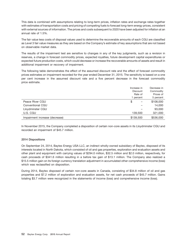This data is combined with assumptions relating to long-term prices, inflation rates and exchange rates together with estimates of transportation costs and pricing of competing fuels to forecast long-term energy prices, consistent with external sources of information. The prices and costs subsequent to 2020 have been adjusted for inflation at an annual rate of 1.5%.

The fair value less costs of disposal values used to determine the recoverable amounts of each CGU are classified as Level 3 fair value measures as they are based on the Company's estimate of key assumptions that are not based on observable market data.

The results of the impairment test are sensitive to changes in any of the key judgments, such as a revision in reserves, a change in forecast commodity prices, expected royalties, future development capital expenditures or expected future production costs, which could decrease or increase the recoverable amounts of assets and result in additional impairment or recovery of impairment.

The following table demonstrates the effect of the assumed discount rate and the effect of forecast commodity prices estimates on impairment recorded for the year ended December 31, 2015. The sensitivity is based on a one per cent increase in the assumed discount rate and a five percent decrease in the forecast commodity price estimate.

|                                | Increase in     | Decrease in |
|--------------------------------|-----------------|-------------|
|                                | <b>Discount</b> | Commodity   |
|                                | Rate of         | Prices of   |
|                                | percent         | 5 percent   |
| Peace River CGU                | \$              | \$108,000   |
| Conventional CGU               |                 | 14,000      |
| Lloydminster CGU               |                 | 93,000      |
| U.S. CGU                       | 139,500         | 321,000     |
| Impairment increase (decrease) | \$139,500       | \$536,000   |

In November 2015, the Company completed a disposition of certain non-core assets in its Lloydminster CGU and recorded an impairment of \$45.7 million.

## **2014 Dispositions**

On September 24, 2014, Baytex Energy USA LLC, an indirect wholly-owned subsidiary of Baytex, disposed of its interests located in North Dakota, which consisted of oil and gas properties, exploration and evaluation assets and other plant and equipment with carrying values of \$294.0 million, \$32.5 million and \$2.0 million, respectively, for cash proceeds of \$341.6 million resulting in a before tax gain of \$13.1 million. The Company also realized a \$15.5 million gain on its foreign currency translation adjustment in accumulated other comprehensive income (loss) which was reclassified on disposition.

During 2014, Baytex disposed of certain non-core assets in Canada, consisting of \$34.8 million of oil and gas properties and \$7.2 million of exploration and evaluation assets, for net cash proceeds of \$45.7 million. Gains totaling \$3.7 million were recognized in the statements of income (loss) and comprehensive income (loss).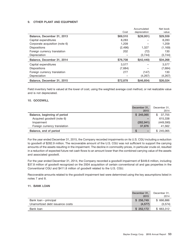## **9. OTHER PLANT AND EQUIPMENT**

|                                | Cost     | Accumulated<br>depreciation | Net book<br>value |
|--------------------------------|----------|-----------------------------|-------------------|
| Balance, December 31, 2013     | \$69,510 | $$$ (39,951)                | \$29,559          |
| Capital expenditures           | 8,283    |                             | 8,283             |
| Corporate acquisition (note 6) | 1,209    |                             | 1,209             |
| <b>Dispositions</b>            | (2, 496) | 1,327                       | (1, 169)          |
| Foreign currency translation   | 202      | (72)                        | 130               |
| Depreciation                   |          | (3,744)                     | (3,744)           |
| Balance, December 31, 2014     | \$76,708 | \$(42, 440)                 | \$34,268          |
| Capital expenditures           | 3.577    |                             | 3.577             |
| <b>Dispositions</b>            | (7,684)  |                             | (7,684)           |
| Foreign currency translation   | 277      | (147)                       | 130               |
| Depreciation                   |          | (4,267)                     | (4,267)           |
| Balance, December 31, 2015     | \$72,878 | \$(46, 854)                 | \$26,024          |

Field inventory held is valued at the lower of cost, using the weighted average cost method, or net realizable value and is not depreciated.

## **10. GOODWILL**

|                              | December 31,                  | December 31.  |
|------------------------------|-------------------------------|---------------|
|                              | 2015                          | 2014          |
| Balance, beginning of period | \$245,065                     | 37.755<br>\$. |
| Acquired goodwill (note 6)   | -                             | 615,338       |
| Impairment                   | (282, 941)                    | (449, 590)    |
| Foreign currency translation | 37,876                        | 41,562        |
| Balance, end of period       | S<br>$\overline{\phantom{0}}$ | \$245,065     |

For the year ended December 31, 2015, the Company recorded impairments on its U.S. CGU including a reduction to goodwill of \$282.9 million. The recoverable amount of the U.S. CGU was not sufficient to support the carrying amounts of the assets resulting in the impairment. The decline in commodity prices, in particular crude oil, resulted in a reduction of expected future net cash flows to an amount lower than the combined carrying value of the assets and associated goodwill.

For the year ended December 31, 2014, the Company recorded a goodwill impairment of \$449.6 million, including \$37.8 million of goodwill recognized on the 2004 acquisition of certain conventional oil and gas properties in the Conventional CGU and \$411.8 million of goodwill related to the U.S. CGU.

Recoverable amounts related to the goodwill impairment test were determined using the key assumptions listed in notes 7 and 8.

#### **11. BANK LOAN**

|                                 | December 31,<br>2015 | December 31,<br>2014 |
|---------------------------------|----------------------|----------------------|
| Bank loan – principal           | \$256,749            | \$666,886            |
| Unamortized debt issuance costs | (4.577)              | (3,574)              |
| Bank loan                       | \$252.172            | \$663,312            |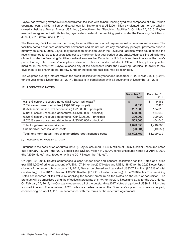Baytex has revolving extendible unsecured credit facilities with its bank lending syndicate comprised of a \$50 million operating loan, a \$750 million syndicated loan for Baytex and a US\$200 million syndicated loan for our whollyowned subsidiary, Baytex Energy USA, Inc., (collectively, the "Revolving Facilities"). On May 25, 2015, Baytex reached an agreement with its lending syndicate to extend the revolving period under the Revolving Facilities to June 4, 2019 (from June 4, 2018).

The Revolving Facilities are not borrowing base facilities and do not require annual or semi-annual reviews. The facilities contain standard commercial covenants and do not require any mandatory principal payments prior to maturity on June 4, 2019. Baytex may request an extension under the Revolving Facilities which could extend the revolving period for up to four years (subject to a maximum four-year period at any time). Advances (including letters of credit) under the Revolving Facilities can be drawn in either Canadian or U.S. funds and bear interest at the bank's prime lending rate, bankers' acceptance discount rates or London Interbank Offered Rates, plus applicable margins. In the event that Baytex exceeds any of the covenants under the Revolving Facilities, its ability to pay dividends to its shareholders, borrow funds or increase the facilities may be restricted.

The weighted average interest rate on the credit facilities for the year ended December 31, 2015 was 3.32% (3.25% for the year ended December 31, 2014). Baytex is in compliance with all covenants at December 31, 2015.

## **12. LONG-TERM NOTES**

|                                                                      | December 31.<br>2015           | December 31.<br>2014 |
|----------------------------------------------------------------------|--------------------------------|----------------------|
| 9.875% senior unsecured notes (US\$7,900 – principal) <sup>(1)</sup> | \$<br>$\overline{\phantom{0}}$ | 9.165<br>S           |
| 7.5% senior unsecured notes (US\$6,400 - principal)                  | 8,858                          | 7,425                |
| 6.75% senior unsecured debentures (US\$150,000 - principal)          | 207,600                        | 174,015              |
| 5.125% senior unsecured debentures (US\$400,000 - principal)         | 553,600                        | 464,040              |
| 6.625% senior unsecured debentures (Cdn\$300,000 - principal)        | 300,000                        | 300,000              |
| 5.625% senior unsecured debentures (US\$400,000 - principal)         | 553,600                        | 464,040              |
| Total long-term notes - principal                                    | 1,623,658                      | 1,418,685            |
| Unamortized debt issuance costs                                      | (20, 901)                      | (19,653)             |
| Total long-term notes – net of unamortized debt issuance costs       | \$1,602,757                    | \$1,399,032          |

*(1) Redeemed on February 27, 2015.*

Pursuant to the acquisition of Aurora (note 6), Baytex assumed US\$365 million of 9.875% senior unsecured notes due February 15, 2017 (the "2017 Notes") and US\$300 million of 7.500% senior unsecured notes due April 1, 2020 (the ''2020 Notes'' and, together with the 2017 Notes, the ''Notes'').

On April 22, 2014, Baytex commenced a cash tender offer and consent solicitation for the Notes at a price (per US\$1,000 of principal amount) of US\$1,107.34 for the 2017 Notes and US\$1,138.97 for the 2020 Notes. Upon closing of the tender offers on June 11, 2014, Baytex purchased and cancelled US\$357.1 million (97.8% of total outstanding) of the 2017 Notes and US\$293.6 million (97.9% of total outstanding) of the 2020 Notes. The remaining Notes are recorded at fair value by applying the tender premium on the Notes on the date of acquisition. The premium will be amortized using the effective interest rate of 6.7% for the 2017 Notes and 5.3% for the 2020 Notes. On February 27, 2015, the Company redeemed all of the outstanding 2017 Notes at a price of US\$8.3 million plus accrued interest. The remaining 2020 notes are redeemable at the Company's option, in whole or in part, commencing on April 1, 2016 in accordance with the terms of the indenture agreements.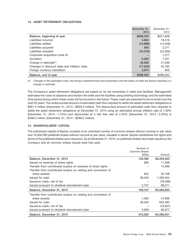## **13. ASSET RETIREMENT OBLIGATIONS**

|                                               | December 31. | December 31. |
|-----------------------------------------------|--------------|--------------|
|                                               | 2015         | 2014         |
| Balance, beginning of year                    | \$286,032    | \$221,628    |
| Liabilities incurred                          | 4,964        | 18,516       |
| Liabilities settled                           | (10, 888)    | (14, 528)    |
| Liabilities acquired                          | 593          | 2,271        |
| Liabilities divested                          | (10, 578)    | (25, 305)    |
| Corporate acquisition (note 6)                |              | 1,217        |
| Accretion                                     | 6,262        | 7.251        |
| Change in estimate <sup>(1)</sup>             | 33,266       | 31,599       |
| Changes in discount rates and inflation rates | (17, 523)    | 42,763       |
| Foreign currency translation                  | 3,874        | 620          |
| Balance, end of year                          | \$296,002    | \$286,032    |

*(1) Changes in the estimated costs, the timing of abandonment and reclamation and the status of wells are factors resulting in a change in estimate.*

The Company's asset retirement obligations are based on its net ownership in wells and facilities. Management estimates the costs to abandon and reclaim the wells and the facilities using existing technology and the estimated time period during which these costs will be incurred in the future. These costs are expected to be incurred over the next 50 years. The undiscounted amount of estimated cash flow required to settle the asset retirement obligations is \$561.4 million (December 31, 2014 – \$630.9 million). The discounted amount of estimated cash flow required to settle the asset retirement obligations at December 31, 2015 using an estimated annual inflation rate of 1.50% (December 31, 2014 – 1.75%) and discounted at a risk free rate of 2.25% (December 31, 2014 – 2.25%) is \$296.0 million (December 31, 2014 – \$286.0 million).

## **14. SHAREHOLDERS' CAPITAL**

The authorized capital of Baytex consists of an unlimited number of common shares without nominal or par value and 10,000,000 preferred shares without nominal or par value, issuable in series. Baytex establishes the rights and terms of the preferred shares upon issuance. As at December 31, 2015, no preferred shares have been issued by the Company and all common shares issued were fully paid.

|                                                                | Number of                      |             |
|----------------------------------------------------------------|--------------------------------|-------------|
|                                                                | <b>Common Shares</b><br>(000s) | Amount      |
| Balance, December 31, 2013                                     | 125,392                        | \$2,004,203 |
| Issued on exercise of share rights                             | 683                            | 11,298      |
| Transfer from contributed surplus on exercise of share rights  |                                | 14,369      |
| Transfer from contributed surplus on vesting and conversion of |                                |             |
| share awards                                                   | 842                            | 35,108      |
| Issued for cash                                                | 38,433                         | 1,495,044   |
| Issuance costs, net of tax                                     |                                | (78, 468)   |
| Issued pursuant to dividend reinvestment plan                  | 2,757                          | 99,271      |
| Balance, December 31, 2014                                     | 168,107                        | \$3,580,825 |
| Transfer from contributed surplus on vesting and conversion of |                                |             |
| share awards                                                   | 1,092                          | 41,836      |
| Issued for cash                                                | 36,455                         | 632,494     |
| Issuance costs, net of tax                                     |                                | (19, 301)   |
| Issued pursuant to dividend reinvestment plan                  | 4,929                          | 60,977      |
| Balance, December 31, 2015                                     | 210,583                        | \$4,296,831 |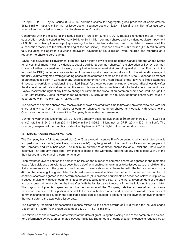On April 2, 2015, Baytex issued 36,455,000 common shares for aggregate gross proceeds of approximately \$632.5 million (\$606.0 million net of issue costs). Issuance costs of \$26.4 million (\$19.3 million after tax) were incurred and recorded as a reduction to shareholders' capital.

Concurrent with the closing of the acquisition of Aurora on June 11, 2014, Baytex exchanged the 38.4 million subscription receipts issued in February 2014, for 38.4 million common shares and a dividend equivalent payment of \$0.88 per subscription receipt (representing the four dividends declared from the date of issuance of the subscription receipts to the date of closing of the acquisition). Issuance costs of \$93.7 million (\$78.5 million, after tax), including the aggregate dividend equivalent payment of \$33.8 million, were incurred and recorded as a reduction to shareholders' capital.

Baytex has a Dividend Reinvestment Plan (the "DRIP") that allows eligible holders in Canada and the United States to reinvest their monthly cash dividends to acquire additional common shares. At the discretion of Baytex, common shares will either be issued from treasury or acquired in the open market at prevailing market prices. Pursuant to the terms of the DRIP, common shares are issued from treasury at a three percent discount to the arithmetic average of the daily volume weighted average trading prices of the common shares on the Toronto Stock Exchange (in respect of participants resident in Canada or any jurisdiction other than the United States) or the New York Stock Exchange (in respect of participants resident in the United States) for the period commencing on the second business day after the dividend record date and ending on the second business day immediately prior to the dividend payment date. Baytex reserves the right at any time to change or eliminate the discount on common shares acquired through the DRIP from treasury. During the year ended December 31, 2015, a total of 4,928,529 common shares were issued in accordance with this plan (2014 – 2,757,315).

The holders of common shares may receive dividends as declared from time to time and are entitled to one vote per share at any meetings of the holders of common shares. All common shares rank equally with regard to the Company's net assets in the event the Company is wound-up or terminated.

During the year ended December 31, 2015, the Company declared dividends of \$0.80 per share (2014 – \$2.64 per share) totaling \$154.0 million (2014 – \$395.6 million) (\$96.6 million, net of DRIP (2014 – \$301.1 million)). The Company suspended the monthly dividend in September 2015 in light of low commodity prices.

## **15. SHARE AWARD INCENTIVE PLAN**

The Company has a full-value award plan (the ''Share Award Incentive Plan'') pursuant to which restricted awards and performance awards (collectively, "share awards") may be granted to the directors, officers and employees of the Company and its subsidiaries. The maximum number of common shares issuable under the Share Award Incentive Plan (and any other long-term incentive plans of the Company) shall not at any time exceed 3.3% of the then-issued and outstanding common shares.

Each restricted award entitles the holder to be issued the number of common shares designated in the restricted award (plus dividend equivalents as described below) with such common shares to be issued as to one-sixth on the first anniversary date of the grant and as to one-sixth every six months thereafter (with the last issuance to occur 42 months following the grant date). Each performance award entitles the holder to be issued the number of common shares designated in the performance award (plus dividend equivalents as described below) multiplied by a payout multiplier with such common shares to be issued as to one-sixth on the first anniversary date of the grant and as to one-sixth every six months thereafter (with the last issuance to occur 42 months following the grant date). The payout multiplier is dependent on the performance of the Company relative to pre-defined corporate performance measures for a particular period. In the case of both restricted and performance awards, the number of common shares to be issued on the applicable issue date is adjusted to account for the payment of dividends from the grant date to the applicable issue date.

The Company recorded compensation expense related to the share awards of \$15.3 million for the year ended December 31, 2015 (year ended December 31, 2014 – \$27.5 million).

The fair value of share awards is determined at the date of grant using the closing price of the common shares and, for performance awards, an estimated payout multiplier. The amount of compensation expense is reduced by an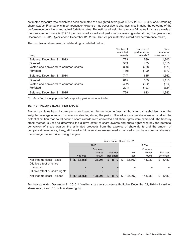estimated forfeiture rate, which has been estimated at a weighted average of 14.6% (2014 – 10.4%) of outstanding share awards. Fluctuations in compensation expense may occur due to changes in estimating the outcome of the performance conditions and actual forfeiture rates. The estimated weighted average fair value for share awards at the measurement date is \$17.17 per restricted award and performance award granted during the year ended December 31, 2015 (year ended December 31, 2014 – \$43.79 per restricted award and performance award).

The number of share awards outstanding is detailed below:

|                                       | Number of  | Number of    | Total        |
|---------------------------------------|------------|--------------|--------------|
|                                       | restricted | performance  | number of    |
| (000s)                                | awards     | awards $(1)$ | share awards |
| Balance, December 31, 2013            | 723        | 580          | 1,303        |
| Granted                               | 533        | 483          | 1,016        |
| Vested and converted to common shares | (320)      | (258)        | (578)        |
| Forfeited                             | (189)      | (190)        | (379)        |
| Balance, December 31, 2014            | 747        | 615          | 1,362        |
| Granted                               | 615        | 503          | 1,118        |
| Vested and converted to common shares | (432)      | (382)        | (814)        |
| Forfeited                             | (201)      | (123)        | (324)        |
| Balance, December 31, 2015            | 729        | 613          | 1,342        |

*(1) Based on underlying units before applying performance multiplier.*

## **16. NET INCOME (LOSS) PER SHARE**

Baytex calculates basic income per share based on the net income (loss) attributable to shareholders using the weighted average number of shares outstanding during the period. Diluted income per share amounts reflect the potential dilution that could occur if share awards were converted and share rights were exercised. The treasury stock method is used to determine the dilutive effect of share awards and share rights whereby the potential conversion of share awards, the estimated proceeds from the exercise of share rights and the amount of compensation expense, if any, attributed to future services are assumed to be used to purchase common shares at the average market price during the year.

|                                 | <b>Years Ended December 31</b> |         |   |           |                  |         |    |           |
|---------------------------------|--------------------------------|---------|---|-----------|------------------|---------|----|-----------|
|                                 |                                | 2015    |   |           | 2014             |         |    |           |
|                                 |                                | Common  |   |           |                  | Common  |    |           |
|                                 |                                | shares  |   | Net loss  | <b>Net</b>       | shares  |    | Net loss  |
|                                 | Net loss                       | (000s)  |   | per share | loss             | (000s)  |    | per share |
| Net income (loss) – basic       | \$(1,133,651)                  | 198,207 | S | (5.72)    | \$<br>(132, 807) | 148,932 | \$ | (0.89)    |
| Dilutive effect of share        |                                |         |   |           |                  |         |    |           |
| awards                          |                                |         |   |           |                  |         |    |           |
| Dilutive effect of share rights |                                |         |   |           |                  |         |    |           |
| Net income (loss) – diluted     | \$(1,133,651)                  | 198.207 |   | (5.72)    | (132, 807)<br>S  | 148,932 | \$ | (0.89)    |

For the year ended December 31, 2015, 1.3 million share awards were anti-dilutive (December 31, 2014 – 1.4 million share awards and 0.1 million share rights).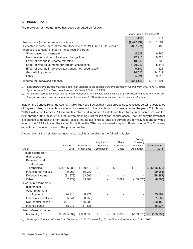## **17. INCOME TAXES**

The provision for income taxes has been computed as follows:

|                                                                                         | <b>Years Ended December 31</b> |    |         |
|-----------------------------------------------------------------------------------------|--------------------------------|----|---------|
|                                                                                         | 2015                           |    | 2014    |
| Net income (loss) before income taxes                                                   | \$(1,477,797)                  | \$ | 1,584   |
| Expected income taxes at the statutory rate of $26.24\%$ (2014 – 25.47%) <sup>(1)</sup> | (387, 774)                     |    | 403     |
| Increase (decrease) in income taxes resulting from:                                     |                                |    |         |
| Share-based compensation                                                                | 4,027                          |    | 6,465   |
| Non-taxable portion of foreign exchange loss                                            | 27,910                         |    | 9.323   |
| Effect of change in income tax rates <sup>(1)</sup>                                     | 13.246                         |    | 800     |
| Effect of rate adjustments for foreign jurisdictions                                    | (120, 943)                     |    | (8,544) |
| Effect of change in deferred tax benefit not recognized <sup>(2)</sup>                  | 40,142                         |    | 1.521   |
| Goodwill impairment                                                                     | 74,025                         |    | 114,511 |
| Other                                                                                   | 5.221                          |    | 9.912   |
| Income tax (recovery) expense                                                           | (344.146)<br>S                 | S  | 134.391 |

*(1) Expected income tax rate increased due to an increase in the corporate income tax rate in Alberta (from 10% to 12%), offset by a decrease in the Texas franchise tax rate (from 1.00% to 0.75%).*

*(2) A deferred income tax asset has not been recognized for allowable capital losses of \$149 million related to the unrealized foreign exchange losses arising from the translation of U.S. dollar denominated senior unsecured notes.*

In 2014, the Canada Revenue Agency ("CRA") advised Baytex that it was proposing to reassess certain subsidiaries of Baytex to deny non-capital loss deductions relevant to the calculation of income taxes for the years 2011 through 2013. Baytex has filed its 2014 income tax return and intends to file its future tax returns on the same basis as the 2011 through 2013 tax returns, cumulatively claiming \$591 million of non-capital losses. The Company believes that it is entitled to deduct the non-capital losses, that its tax filings to-date are correct and formally responded with a letter to the CRA indicating the same. At this time, the CRA has not issued a reply to Baytex's letter. The Company expects to continue to defend the position as filed.

A continuity of the net deferred income tax liability is detailed in the following tables:

|                              |                  |              |                 |                 | Foreign      |                  |
|------------------------------|------------------|--------------|-----------------|-----------------|--------------|------------------|
|                              |                  |              | Acquired in     | Share           | Currency     |                  |
|                              | January 1,       | Recognized   | <b>Business</b> | <b>Issuance</b> | Translation  | December 31,     |
| As at                        | 2015             | in Net Loss  | Combination     | Costs           | Adjustment   | 2015             |
| Taxable temporary            |                  |              |                 |                 |              |                  |
| differences:                 |                  |              |                 |                 |              |                  |
| Petroleum and                |                  |              |                 |                 |              |                  |
| natural gas                  |                  |              |                 |                 |              |                  |
| properties                   | \$(1, 136, 083)  | 30,613<br>\$ | \$              | \$              | \$           | \$(1,105,470)    |
| Financial derivatives        | (45, 950)        | 15,989       |                 |                 |              | (29, 961)        |
| Deferred income              | (81, 979)        | 53,592       |                 |                 |              | (28, 387)        |
| Other                        | (7, 222)         | 103,403      |                 | 7,099           | (109, 875)   | (6, 595)         |
| Deductible temporary         |                  |              |                 |                 |              |                  |
| differences:                 |                  |              |                 |                 |              |                  |
| Asset retirement             |                  |              |                 |                 |              |                  |
| obligations                  | 74,918           | 8,271        |                 |                 |              | 83,189           |
| Financial derivatives        | 5,341            | (3,759)      |                 |                 |              | 1,582            |
| Non-capital losses           | 227,370          | 156,080      |                 |                 |              | 383,450          |
| Finance costs                | 58,073           | (11, 136)    |                 |                 |              | 46,937           |
| Net deferred income          |                  |              |                 |                 |              |                  |
| tax liability <sup>(1)</sup> | (905, 532)<br>\$ | \$353,053    | \$              | 7,099<br>S      | \$(109, 875) | \$<br>(655, 255) |

*(1) Non-capital loss carry-forwards at December 31, 2015 totaled \$1,110.0 million and expire from 2023 to 2035.*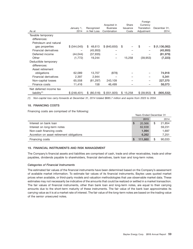| As at                        | January 1,<br>2014 | Recognized<br>in Net Loss | Acquired in<br><b>Business</b><br>Combination | Share<br><b>Issuance</b><br>Costs | <u>i</u> vielyn<br>Currency<br>Translation<br>Adjustment | December 31,<br>2014 |
|------------------------------|--------------------|---------------------------|-----------------------------------------------|-----------------------------------|----------------------------------------------------------|----------------------|
| Taxable temporary            |                    |                           |                                               |                                   |                                                          |                      |
| differences:                 |                    |                           |                                               |                                   |                                                          |                      |
| Petroleum and natural        |                    |                           |                                               |                                   |                                                          |                      |
|                              |                    |                           |                                               |                                   |                                                          |                      |
| gas properties               | \$ (344,045)       | 48,613<br>\$              | \$ (840, 650)                                 | \$                                | \$                                                       | \$ (1,136,082)       |
| <b>Financial derivatives</b> |                    | (45, 950)                 |                                               |                                   |                                                          | (45, 950)            |
| Deferred income              | (44, 044)          | (37, 935)                 |                                               |                                   |                                                          | (81, 979)            |
| Other                        | (1, 772)           | 19,244                    | -                                             | 15,258                            | (39, 953)                                                | (7, 223)             |
| Deductible temporary         |                    |                           |                                               |                                   |                                                          |                      |
| differences:                 |                    |                           |                                               |                                   |                                                          |                      |
| Asset retirement             |                    |                           |                                               |                                   |                                                          |                      |
| obligations                  | 62,089             | 13,707                    | (878)                                         |                                   |                                                          | 74,918               |
| Financial derivatives        | 2,397              | 2,944                     |                                               |                                   |                                                          | 5,341                |
| Non-capital losses           | 65,558             | (81, 297)                 | 243,109                                       |                                   |                                                          | 227,370              |
| Finance costs                | 11,416             | 158                       | 46,499                                        | -                                 |                                                          | 58,073               |
| Net deferred income tax      |                    |                           |                                               |                                   |                                                          |                      |
| liability $(1)$              | \$ (248, 401)      | (80, 516)<br>\$           | \$ (551,920)                                  | 15,258<br>\$                      | \$ (39,953)                                              | (905, 532)<br>S      |

*(1) Non-capital loss carry-forwards at December 31, 2014 totaled \$685.7 million and expire from 2023 to 2034.*

## **18. FINANCING COSTS**

Financing costs are comprised of the following:

|                                           | <b>Years Ended December 31</b> |         |    |        |
|-------------------------------------------|--------------------------------|---------|----|--------|
|                                           |                                | 2015    |    | 2014   |
| Interest on bank loan                     | S                              | 20.566  | \$ | 21,854 |
| Interest on long-term notes               |                                | 82.838  |    | 59,231 |
| Non-cash financing costs                  |                                | 1.994   |    | 1,697  |
| Accretion on asset retirement obligations |                                | 6.262   |    | 7,251  |
| Financing costs                           |                                | 111.660 | \$ | 90,033 |

## **19. FINANCIAL INSTRUMENTS AND RISK MANAGEMENT**

The Company's financial assets and liabilities are comprised of cash, trade and other receivables, trade and other payables, dividends payable to shareholders, financial derivatives, bank loan and long-term notes.

## *Categories of Financial Instruments*

The estimated fair values of the financial instruments have been determined based on the Company's assessment of available market information. To estimate fair values of its financial instruments, Baytex uses quoted market prices when available, or third-party models and valuation methodologies that use observable market data. These estimates may not necessarily be indicative of the amounts that could be realized or settled in a market transaction. The fair values of financial instruments, other than bank loan and long-term notes, are equal to their carrying amounts due to the short-term maturity of these instruments. The fair value of the bank loan approximates its carrying value as it is at a market rate of interest. The fair value of the long-term notes are based on the trading value of the senior unsecured notes.

Foreign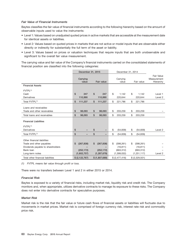## *Fair Value of Financial Instruments*

Baytex classifies the fair value of financial instruments according to the following hierarchy based on the amount of observable inputs used to value the instruments:

- Level 1: Values based on unadjusted quoted prices in active markets that are accessible at the measurement date for identical assets or liabilities.
- Level 2: Values based on quoted prices in markets that are not active or model inputs that are observable either directly or indirectly for substantially the full term of the asset or liability.
- Level 3: Values based on prices or valuation techniques that require inputs that are both unobservable and significant to the overall fair value measurement.

The carrying value and fair value of the Company's financial instruments carried on the consolidated statements of financial position are classified into the following categories:

|                                   | December 31, 2015 |                   |                |               |    | December 31, 2014 |    |                |                                        |
|-----------------------------------|-------------------|-------------------|----------------|---------------|----|-------------------|----|----------------|----------------------------------------|
|                                   |                   | Carrying<br>value |                | Fair value    |    | Carrying<br>value |    | Fair value     | Fair Value<br>Measurement<br>Hierarchy |
| <b>Financial Assets</b>           |                   |                   |                |               |    |                   |    |                |                                        |
| $FVTPL^{(1)}$                     |                   |                   |                |               |    |                   |    |                |                                        |
| Cash                              | \$                | 247               | \$             | 247           | \$ | 1,142             | \$ | 1.142          | Level 1                                |
| Derivatives                       |                   | 110,990           |                | 110,990       |    | 220,644           |    | 220,644        | Level 2                                |
| Total FVTPL <sup>(1)</sup>        | \$                | 111.237           | \$             | 111.237       | \$ | 221.786           | \$ | 221.786        |                                        |
|                                   |                   |                   |                |               |    |                   |    |                |                                        |
| Loans and receivables             |                   |                   |                |               |    |                   |    |                |                                        |
| Trade and other receivables       | \$                | 98.093            | \$             | 98,093        | \$ | 203,259           | \$ | 203,259        |                                        |
| Total loans and receivables       | \$                | 98,093            | $\mathfrak{S}$ | 98,093        | \$ | 203,259           | \$ | 203,259        |                                        |
| <b>Financial Liabilities</b>      |                   |                   |                |               |    |                   |    |                |                                        |
| $FVTPL^{(1)}$                     |                   |                   |                |               |    |                   |    |                |                                        |
| Derivatives                       | \$                |                   | \$             |               | \$ | (54, 839)         | \$ | (54, 839)      | Level 2                                |
| Total FVTPL <sup>(1)</sup>        | \$                | -                 | \$             |               | \$ | (54, 839)         | \$ | (54, 839)      |                                        |
| Other financial liabilities       |                   |                   |                |               |    |                   |    |                |                                        |
| Trade and other payables          | \$                | (267, 838)        | \$             | (267, 838)    | \$ | (398, 261)        | \$ | (398, 261)     |                                        |
| Dividends payable to shareholders |                   |                   |                |               |    | (16, 811)         |    | (16, 811)      |                                        |
| Bank loan                         |                   | (252, 172)        |                | (252, 172)    |    | (663, 312)        |    | (663, 312)     |                                        |
| Long-term notes                   |                   | (1,602,757)       |                | (1, 287, 679) |    | (1,399,032)       |    | (1,251,117)    | Level 2                                |
| Total other financial liabilities |                   | \$ (2,122,767)    |                | \$(1,807,689) |    | \$ (2,477,416)    |    | \$ (2,329,501) |                                        |

*(1) FVTPL means fair value through profit or loss.*

There were no transfers between Level 1 and 2 in either 2015 or 2014.

## *Financial Risk*

Baytex is exposed to a variety of financial risks, including market risk, liquidity risk and credit risk. The Company monitors and, when appropriate, utilizes derivative contracts to manage its exposure to these risks. The Company does not enter into derivative contracts for speculative purposes.

## *Market Risk*

Market risk is the risk that the fair value or future cash flows of financial assets or liabilities will fluctuate due to movements in market prices. Market risk is comprised of foreign currency risk, interest rate risk and commodity price risk.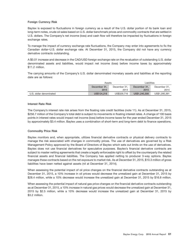## **Foreign Currency Risk**

Baytex is exposed to fluctuations in foreign currency as a result of the U.S. dollar portion of its bank loan and long-term notes, crude oil sales based on U.S. dollar benchmark prices and commodity contracts that are settled in U.S. dollars. The Company's net income (loss) and cash flow will therefore be impacted by fluctuations in foreign exchange rates.

To manage the impact of currency exchange rate fluctuations, the Company may enter into agreements to fix the Canadian dollar–U.S. dollar exchange rate. At December 31, 2015, the Company did not have any currency derivative contracts outstanding.

A \$0.01 increase and decrease in the CAD/USD foreign exchange rate on the revaluation of outstanding U.S. dollar denominated assets and liabilities, would impact net income (loss) before income taxes by approximately \$11.2 million.

The carrying amounts of the Company's U.S. dollar denominated monetary assets and liabilities at the reporting date are as follows:

|                         | Assets       |                              | Liabilities   |               |
|-------------------------|--------------|------------------------------|---------------|---------------|
|                         | December 31. | December 31.<br>December 31. |               |               |
|                         | 2015         | 2014                         | 2015          | 2014          |
| U.S. dollar denominated | US\$124,218  | US\$329.716                  | US\$1,240,308 | US\$1,295,391 |

#### **Interest Rate Risk**

The Company's interest rate risk arises from the floating rate credit facilities (note 11). As at December 31, 2015, \$256.7 million of the Company's total debt is subject to movements in floating interest rates. A change of 100 basis points in interest rates would impact net income (loss) before income taxes for the year ended December 31, 2015 by approximately \$3.4 million. Baytex uses a combination of short-term and long-term debt to finance operations.

## **Commodity Price Risk**

Baytex monitors and, when appropriate, utilizes financial derivative contracts or physical delivery contracts to manage the risk associated with changes in commodity prices. The use of derivatives are governed by a Risk Management Policy approved by the Board of Directors of Baytex which sets out limits on the use of derivatives. Baytex does not use financial derivatives for speculative purposes. Baytex's financial derivative contracts are subject to master netting agreements that create a legally enforceable right to offset by the counterparty the related financial assets and financial liabilities. The Company has applied netting to producer 3-way options. Baytex manages these contracts based on the net exposure to market risk. As at December 31, 2015, \$10.3 million of gross liabilities have been netted against assets (nil at December 31, 2014).

When assessing the potential impact of oil price changes on the financial derivative contracts outstanding as at December 31, 2015, a 10% increase in oil prices would decrease the unrealized gain at December 31, 2015 by \$28.4 million, while a 10% decrease would increase the unrealized gain at December 31, 2015 by \$16.8 million.

When assessing the potential impact of natural gas price changes on the financial derivative contracts outstanding as at December 31, 2015, a 10% increase in natural gas prices would decrease the unrealized gain at December 31, 2015 by \$2.5 million, while a 10% decrease would increase the unrealized gain at December 31, 2015 by \$3.2 million.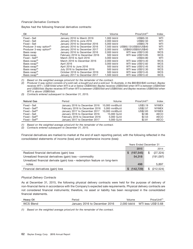## *Financial Derivative Contracts*

Baytex had the following financial derivative contracts:

| Oil                                  | Period                         | Volume      | $Price/Unit^{(1)}$                  | Index      |
|--------------------------------------|--------------------------------|-------------|-------------------------------------|------------|
| Fixed - Sell                         | January 2016 to March 2016     | 1.000 bbl/d | US\$65.33                           | WTI        |
| Fixed - Sell                         | January 2016 to June 2016      | 2.000 bbl/d | US\$62.50                           | WTI        |
| Fixed - Sell                         | January 2016 to December 2016  | 5,000 bbl/d | US\$63.79                           | WTI        |
| Producer 3-way option <sup>(2)</sup> | January 2016 to December 2016  |             | 7.500 bbl/d US\$60.13/US\$50/US\$40 | WTI        |
| Producer 3-way option <sup>(2)</sup> | January 2016 to December 2017  | 2.000 bbl/d | US\$60/US\$50/US\$40                | WTI        |
| Basis swap                           | January 2016 to December 2016  | 2.000 bbl/d | WTI less US\$13.00                  | <b>WCS</b> |
| Basis swap                           | February 2016 to December 2016 | $500$ bbl/d | WTI less US\$13.85                  | <b>WCS</b> |
| $Fixed - Sell^{(3)}$                 | March 2016 to April 2016       | 3,000 bbl/d | US\$34.80                           | WTI        |
| Basis swap <sup>(3)</sup>            | March 2016 to December 2016    | 2.000 bbl/d | WTI less US\$13.40                  | <b>WCS</b> |
| Basis swap $(3)$                     | April 2016                     | 3,000 bbl/d | WTI less US\$12.82                  | <b>WCS</b> |
| Basis swap $(3)$                     | April 2016 to June 2016        | 500 bbl/d   | WTI less US\$12.45                  | <b>WCS</b> |
| Basis swap $(3)$                     | July 2016 to September 2016    | $500$ bbl/d | WTI less US\$12.30                  | <b>WCS</b> |
| Basis swap $(3)$                     | October 2016 to December 2016  | $500$ bbl/d | WTI less US\$13.45                  | <b>WCS</b> |
| Basis swap <sup>(3)</sup>            | January 2017 to December 2017  | 1.500 bbl/d | WTI less US\$13.42                  | <b>WCS</b> |

*(1) Based on the weighted average price/unit for the remainder of the contract.*

*(2) Producer 3-way option consists of a sold call, a bought put and a sold put. To illustrate, in the \$60/\$50/\$40 contract, Baytex receives WTI + US\$10/bbl when WTI is at or below US\$40/bbl; Baytex receives US\$50/bbl when WTI is between US\$40/bbl and US\$50/bbl; Baytex receives WTI when WTI is between US\$50/bbl and US\$60/bbl; and Baytex receives US\$60/bbl when WTI is above US\$60/bbl.*

*(3) Contracts entered subsequent to December 31, 2015.*

| <b>Natural Gas</b>   | Period                         | Volume         | Price/Unit <sup>(1)</sup> | Index        |
|----------------------|--------------------------------|----------------|---------------------------|--------------|
| Fixed – Sell         | January 2016 to December 2016  | 10.000 mmBtu/d | US\$3.19                  | <b>NYMEX</b> |
| $Fixed - Sell^{(2)}$ | February 2016 to December 2016 | 5.000 mmBtu/d  | US\$2.57                  | <b>NYMEX</b> |
| $Fixed - Sell^{(2)}$ | January 2017 to December 2017  | 10,000 mmBtu/d | <b>US\$2.83</b>           | <b>NYMEX</b> |
| Fixed – Sell         | January 2016 to December 2016  | 15,000 GJ/d    | \$2.96                    | AECO         |
| $Fixed - Sell^{(2)}$ | February 2016 to December 2016 | 5.000 GJ/d     | \$2.53                    | AECO         |
| $Fixed - Sell^{(2)}$ | January 2017 to December 2017  | 5.000 GJ/d     | \$2.81                    | <b>AECO</b>  |

*(1) Based on the weighted average price/unit for the remainder of the contract.*

*(2) Contracts entered subsequent to December 31, 2015.*

Financial derivatives are marked-to-market at the end of each reporting period, with the following reflected in the consolidated statements of income (loss) and comprehensive income (loss):

|                                                                             |    | <b>Years Ended December 31</b> |    |            |
|-----------------------------------------------------------------------------|----|--------------------------------|----|------------|
|                                                                             |    | 2015                           |    | 2014       |
| Realized financial derivatives (gain) loss                                  | S  | (197, 545)                     | \$ | (27, 324)  |
| Unrealized financial derivatives (gain) loss - commodity                    |    | 54,318                         |    | (191, 097) |
| Unrealized financial derivate (gain) loss – redemption feature on long-term |    |                                |    |            |
| notes                                                                       |    | 498                            |    | 5,897      |
| Financial derivatives (gain) loss                                           | S. | (142, 729)                     | S  | (212, 524) |

#### *Physical Delivery Contracts*

As at December 31, 2015, the following physical delivery contracts were held for the purpose of delivery of non-financial items in accordance with the Company's expected sale requirements. Physical delivery contracts are not considered financial instruments; therefore, no asset or liability has been recognized in the consolidated financial statements.

| Heavy Oil        | Period                        | Volume      | Price/Unit <sup>(1</sup> |
|------------------|-------------------------------|-------------|--------------------------|
| <b>WCS Blend</b> | January 2016 to December 2016 | 2.000 bbl/d | WTI less US\$13.68       |

*(1) Based on the weighted average price/unit for the remainder of the contract.*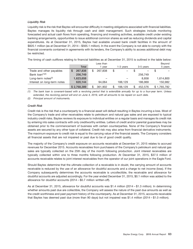## *Liquidity Risk*

Liquidity risk is the risk that Baytex will encounter difficulty in meeting obligations associated with financial liabilities. Baytex manages its liquidity risk through cash and debt management. Such strategies include monitoring forecasted and actual cash flows from operating, financing and investing activities, available credit under existing banking arrangements, opportunities to issue additional common shares as well as reducing dividends and capital expenditures. As at December 31, 2015, Baytex had available unused bank credit facilities in the amount of \$820.1 million (as at December 31, 2014 – \$565.1 million). In the event the Company is not able to comply with the financial covenants contained in agreements with its lenders, the Company's ability to access additional debt may be restricted.

The timing of cash outflows relating to financial liabilities as at December 31, 2015 is outlined in the table below:

|                             |              | Less than     |           |           | Beyond      |
|-----------------------------|--------------|---------------|-----------|-----------|-------------|
|                             | <b>Total</b> | vear          | 1-3 years | 3-5 years | 5 years     |
| Trade and other payables    | 267,838<br>S | \$<br>267.838 | \$        |           |             |
| Bank $\text{Ioan}^{(1)(2)}$ | 256,749      |               |           | 256,749   |             |
| Long-term notes $(2)$       | 1,623,658    |               |           | 8.858     | 1,614,800   |
| Interest on long-term notes | 620.144      | 94.064        | 188.129   | 186.969   | 150.982     |
|                             | \$2,768,389  | 361.902       | 188.129   | 452,576   | \$1,765,782 |

*(1) The bank loan is covenant-based with a revolving period that is extendible annually for up to a four-year term. Unless extended, the revolving period will end on June 4, 2019, with all amounts to be repaid on such date.*

*(2) Principal amount of instruments.*

## *Credit Risk*

Credit risk is the risk that a counterparty to a financial asset will default resulting in Baytex incurring a loss. Most of the Company's trade and other receivables relate to petroleum and natural gas sales and are exposed to typical industry credit risks. Baytex reviews its exposure to individual entities on a regular basis and manages its credit risk by entering into sales contracts with only creditworthy entities. Letters of credit and/or parental guarantees may be obtained prior to the commencement of business with certain counterparties. None of the Company's financial assets are secured by any other type of collateral. Credit risk may also arise from financial derivative instruments. The maximum exposure to credit risk is equal to the carrying value of the financial assets. The Company considers all financial assets that are not impaired or past due to be of good credit quality.

The majority of the Company's credit exposure on accounts receivable at December 31, 2015 relates to accrued revenues for December 2015. Accounts receivables from purchasers of the Company's petroleum and natural gas sales are typically collected on the 25th day of the month following production. Joint interest receivables are typically collected within one to three months following production. At December 31, 2015, \$37.5 million of accounts receivable relates to joint interest receivables from the operator of our joint operations in the Eagle Ford.

Should Baytex determine that the ultimate collection of a receivable is in doubt, the carrying amount of accounts receivable is reduced by the use of an allowance for doubtful accounts and a charge to net income (loss). If the Company subsequently determines the accounts receivable is uncollectible, the receivable and allowance for doubtful accounts are adjusted accordingly. For the year ended December 31, 2015, \$0.1 million was added to the allowance for doubtful accounts (2014 – \$0.7 million written-off).

As at December 31, 2015, allowance for doubtful accounts was \$1.4 million (2014 – \$1.3 million). In determining whether amounts past due are collectible, the Company will assess the nature of the past due amounts as well as the credit worthiness and past payment history of the counterparty. As at December 31, 2015, accounts receivable that Baytex has deemed past due (more than 90 days) but not impaired was \$1.4 million (2014 – \$1.0 million).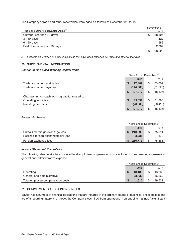The Company's trade and other receivables were aged as follows at December 31, 2015:

| Trade and Other Receivables Aging <sup>(1)</sup> |   | December 31,<br>2015 |
|--------------------------------------------------|---|----------------------|
| Current (less than 30 days)                      | S | 88,827               |
| 31-60 days                                       |   | 1,422                |
| 61-90 days                                       |   | 589                  |
| Past due (more than 90 days)                     |   | 2,787                |
|                                                  |   | 93,625               |

*(1) Excludes \$4.5 million of prepaid expenses that have been classified as Trade and other receivables.*

## **20. SUPPLEMENTAL INFORMATION**

## *Change in Non-Cash Working Capital Items*

|                                                 | <b>Years Ended December 31</b> |            |    |           |  |
|-------------------------------------------------|--------------------------------|------------|----|-----------|--|
|                                                 |                                | 2015       |    | 2014      |  |
| Trade and other receivables                     | S                              | 117,489    | \$ | 63,002    |  |
| Trade and other payables                        |                                | (144, 566) |    | (81, 528) |  |
|                                                 | S                              | (27,077)   | \$ | (18, 526) |  |
| Changes in non-cash working capital related to: |                                |            |    |           |  |
| Operating activities                            | S                              | 43.891     | \$ | 31,890    |  |
| Investing activities                            |                                | (70, 968)  |    | (50, 416) |  |
|                                                 |                                | (27,077)   | \$ | (18, 526) |  |

## *Foreign Exchange*

|                                      | Years Ended December 31 |         |  |        |
|--------------------------------------|-------------------------|---------|--|--------|
|                                      |                         | 2015    |  | 2014   |
| Unrealized foreign exchange loss     |                         | 213.999 |  | 75,011 |
| Realized foreign exchange(gain) loss |                         | (3.286) |  | 370    |
| Foreign exchange loss                |                         | 210.713 |  | 75,381 |

## *Income Statement Presentation*

The following table details the amount of total employee compensation costs included in the operating expense and general and administrative expense.

|                                   |  | <b>Years Ended December 31</b> |    |        |
|-----------------------------------|--|--------------------------------|----|--------|
|                                   |  | 2015                           |    | 2014   |
| Operating                         |  | 13.180                         | \$ | 13.262 |
| General and administrative        |  | 28.432                         |    | 36,269 |
| Total employee compensation costs |  | 41.612                         |    | 49.531 |

## **21. COMMITMENTS AND CONTINGENCIES**

Baytex has a number of financial obligations that are incurred in the ordinary course of business. These obligations are of a recurring nature and impact the Company's cash flow from operations in an ongoing manner. A significant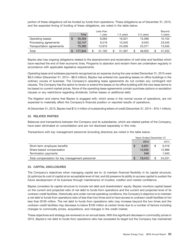portion of these obligations will be funded by funds from operations. These obligations as of December 31, 2015, and the expected timing of funding of these obligations, are noted in the table below.

|                           |              | Less than |           |           | Beyond       |
|---------------------------|--------------|-----------|-----------|-----------|--------------|
|                           | <b>Total</b> | vear      | 1-3 years | 3-5 years | 5 years      |
| Operating leases          | 50,305       | 8.063     | 16.501    | 15.589    | 10,152       |
| Processing agreements     | 52.147       | 9.219     | 10,340    | 9.043     | 23,545       |
| Transportation agreements | 75.392       | 13.910    | 24.556    | 23,371    | 13,555       |
| Total                     | 177.844      | 31.192    | 51.397    | 48,003    | \$<br>47.252 |

Baytex also has ongoing obligations related to the abandonment and reclamation of well sites and facilities which have reached the end of their economic lives. Programs to abandon and reclaim them are undertaken regularly in accordance with applicable legislative requirements.

Operating lease and sublease payments recognized as an expense during the year ended December 31, 2015 were \$8.0 million (December 31, 2014 – \$8.0 million). Baytex has entered into operating leases on office buildings in the ordinary course of business. The Company's operating lease agreements do not contain any contingent rent clauses. The Company has the option to renew or extend the leases on its office building with the new lease terms to be based on current market prices. None of the operating lease agreements contain purchase options or escalation clauses or any restrictions regarding dividends, further leases or additional debt.

The litigation and claims that Baytex is engaged with, which arose in the normal course of operations, are not expected to materially affect the Company's financial position or reported results of operations.

At December 31, 2015, Baytex had \$12.4 million of outstanding letters of credit (December 31, 2014 – \$10.1 million).

## **22. RELATED PARTIES**

Balances and transactions between the Company and its subsidiaries, which are related parties of the Company, have been eliminated on consolidation and are not disclosed separately in this note.

Transactions with key management personnel (including directors) are noted in the table below:

|                                                 | <b>Years Ended December 31</b> |        |    |        |
|-------------------------------------------------|--------------------------------|--------|----|--------|
|                                                 |                                | 2015   |    | 2014   |
| Short-term employee benefits                    | S                              | 6.831  | \$ | 9.319  |
| Share-based compensation                        |                                | 12.032 |    | 12,989 |
| Termination payments                            |                                | 549    |    | 1,943  |
| Total compensation for key management personnel |                                | 19.412 | \$ | 24.251 |

## **23. CAPITAL DISCLOSURES**

The Company's objectives when managing capital are to: (i) maintain financial flexibility in its capital structure; (ii) optimize its cost of capital at an acceptable level of risk; and (iii) preserve its ability to access capital to sustain the future development of its business through maintenance of investor, creditor and market confidence.

Baytex considers its capital structure to include net debt and shareholders' equity. Baytex monitors capital based on the current and projected ratio of net debt to funds from operations and the current and projected level of its undrawn credit facilities. Historically and under normal operating conditions, the Company's objective is to maintain a net debt to funds from operations ratio of less than two times and to have access to undrawn credit facilities of not less than \$100 million. The net debt to funds from operations ratio may increase beyond the two times and the undrawn credit facilities may decrease to below \$100 million at certain times due to a number of factors including changes to commodity prices, acquisitions, and changes in the credit market.

These objectives and strategy are reviewed on an annual basis. With the significant decrease in commodity prices in 2015, Baytex's net debt to funds from operations ratio has exceeded its target but the Company has maintained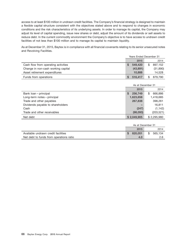access to at least \$100 million in undrawn credit facilities. The Company's financial strategy is designed to maintain a flexible capital structure consistent with the objectives stated above and to respond to changes in economic conditions and the risk characteristics of its underlying assets. In order to manage its capital, the Company may adjust its level of capital spending, issue new shares or debt, adjust the amount of its dividends or sell assets to reduce debt. In the current commodity environment the Company's objective is to have access to undrawn credit facilities of not less than \$100 million and to manage its capital to maintain liquidity.

As at December 31, 2015, Baytex is in compliance with all financial covenants relating to its senior unsecured notes and Revolving Facilities.

|                                     | <b>Years Ended December 31</b> |           |    |           |
|-------------------------------------|--------------------------------|-----------|----|-----------|
|                                     |                                | 2015      |    | 2014      |
| Cash flow from operating activities | S                              | 549,420   | \$ | 897.152   |
| Change in non-cash working capital  |                                | (43, 891) |    | (31, 890) |
| Asset retirement expenditures       |                                | 10,888    |    | 14,528    |
| Funds from operations               |                                | 516,417   |    | 879.790   |

|                                   | As at December 31        |               |  |
|-----------------------------------|--------------------------|---------------|--|
|                                   | 2015                     | 2014          |  |
| Bank loan – principal             | 256,749<br>S             | \$<br>666,886 |  |
| Long-term notes - principal       | 1,623,658                | 1,418,685     |  |
| Trade and other payables          | 267,838                  | 398,261       |  |
| Dividends payable to shareholders | $\overline{\phantom{0}}$ | 16,811        |  |
| Cash                              | (247)                    | (1, 142)      |  |
| Trade and other receivables       | (98,093)                 | (203, 521)    |  |
| Net debt                          | \$2.049.905              | \$2.295.980   |  |

|                                         | As at December 31 |         |    |         |
|-----------------------------------------|-------------------|---------|----|---------|
|                                         |                   | 2015    |    | 2014    |
| Available undrawn credit facilities     |                   | 820.051 | \$ | 565.134 |
| Net debt to funds from operations ratio |                   | 4.0     |    | 2.6     |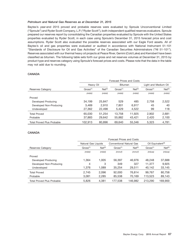#### *Petroleum and Natural Gas Reserves as at December 31, 2015*

Baytex's year-end 2015 proved and probable reserves were evaluated by Sproule Unconventional Limited (''Sproule'') and Ryder Scott Company, L.P. (''Ryder Scott''), both independent qualified reserves evaluators. Sproule prepared our reserves report by consolidating the Canadian properties evaluated by Sproule with the United States properties evaluated by Ryder Scott, in each case using Sproule's December 31, 2015 forecast price and cost assumptions. Ryder Scott also evaluated the possible reserves associated with our Eagle Ford assets. All of Baytex's oil and gas properties were evaluated or audited in accordance with National Instrument 51-101 ''Standards of Disclosure for Oil and Gas Activities'' of the Canadian Securities Administrators (''NI 51-101''). Reserves associated with our thermal heavy oil projects at Peace River, Gemini (Cold Lake) and Kerrobert have been classified as bitumen. The following table sets forth our gross and net reserves volumes at December 31, 2015 by product type and reserves category using Sproule's forecast prices and costs. Please note that the data in the table may not add due to rounding.

### **CANADA**

|                                   | Forecast Prices and Costs |                    |                      |                    |                      |                    |
|-----------------------------------|---------------------------|--------------------|----------------------|--------------------|----------------------|--------------------|
|                                   | Heavy Oil                 |                    | <b>Bitumen</b>       |                    | Light and Medium Oil |                    |
| Reserves Category                 | Gross <sup>(1)</sup>      | Net <sup>(2)</sup> | Gross <sup>(1)</sup> | Net <sup>(2)</sup> | Gross <sup>(1)</sup> | Net <sup>(2)</sup> |
|                                   | (mbb)                     | (mbb)              | (mbb)                | (mbb)              | (mbb)                | (mbb)              |
| Proved                            |                           |                    |                      |                    |                      |                    |
| Developed Producing               | 34.199                    | 25,847             | 529                  | 485                | 2.758                | 2,522              |
| Developed Non-Producing           | 3.469                     | 2.910              | 7.801                | 6.917              | 45                   | 40                 |
| Undeveloped                       | 27,362                    | 22,498             | 5,429                | 4,522              | 99                   | 118                |
| <b>Total Proved</b>               | 65,030                    | 51.254             | 13.758               | 11.925             | 2.902                | 2,681              |
| Probable                          | 37,883                    | 29,642             | 55,882               | 43,421             | 2,420                | 2,100              |
| <b>Total Proved Plus Probable</b> | 102,913                   | 80,896             | 69,640               | 55,346             | 5,323                | 4,781              |

## **CANADA**

|                                   | Forecast Prices and Costs |                    |                          |                    |                               |                    |
|-----------------------------------|---------------------------|--------------------|--------------------------|--------------------|-------------------------------|--------------------|
|                                   | Natural Gas Liquids       |                    | Conventional Natural Gas |                    | Oil Equivalent <sup>(3)</sup> |                    |
| Reserves Category                 | Gross <sup>(1)</sup>      | Net <sup>(2)</sup> | Gross <sup>(1)</sup>     | Net <sup>(2)</sup> | Gross <sup>(1)</sup>          | Net <sup>(2)</sup> |
|                                   | (mbb)                     | (mbb)              | (mmcf)                   | (mmcf)             | (mboe)                        | (mboe)             |
| Proved                            |                           |                    |                          |                    |                               |                    |
| Developed Producing               | 1.364                     | 1.005              | 56.397                   | 46.976             | 48.248                        | 37,688             |
| Developed Non-Producing           | 4                         | 3                  | 349                      | 327                | 11.377                        | 9.925              |
| Undeveloped                       | 1,376                     | 1,089              | 35,254                   | 29,511             | 40,142                        | 33,145             |
| <b>Total Proved</b>               | 2,745                     | 2.096              | 92,000                   | 76.814             | 99.767                        | 80.758             |
| Probable                          | 3,081                     | 2,285              | 85,538                   | 70,169             | 113,523                       | 89,143             |
| <b>Total Proved Plus Probable</b> | 5.826                     | 4.381              | 177,538                  | 146.982            | 213,290                       | 169.900            |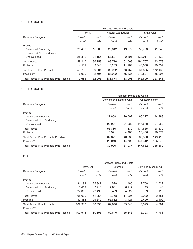## **UNITED STATES**

|                                                 | Forecast Prices and Costs |                    |                      |                    |                      |                    |
|-------------------------------------------------|---------------------------|--------------------|----------------------|--------------------|----------------------|--------------------|
|                                                 | <b>Tight Oil</b>          |                    | Natural Gas Liquids  |                    | Shale Gas            |                    |
| Reserves Category                               | Gross <sup>(1)</sup>      | Net <sup>(2)</sup> | Gross <sup>(1)</sup> | Net <sup>(2)</sup> | Gross <sup>(1)</sup> | Net <sup>(2)</sup> |
|                                                 | (mbb)                     | (mbb)              | (mbb)                | (mbb)              | (mmcf)               | (mmcf)             |
| Proved                                          |                           |                    |                      |                    |                      |                    |
| Developed Producing                             | 20,403                    | 15,003             | 25,812               | 19,072             | 56,753               | 41,948             |
| Developed Non-Producing                         |                           |                    |                      |                    |                      |                    |
| Undeveloped                                     | 28,812                    | 21,155             | 57,897               | 42.491             | 138.014              | 101,130            |
| <b>Total Proved</b>                             | 49.215                    | 36.158             | 83.710               | 61.563             | 194.767              | 143.078            |
| Probable                                        | 4,551                     | 3,343              | 16,263               | 11,904             | 40.038               | 29,357             |
| Total Proved Plus Probable                      | 53.765                    | 39,501             | 99.972               | 73,467             | 234.805              | 172.435            |
| $Possible^{(4)(5)}$                             | 16,920                    | 12,505             | 88,902               | 65,436             | 210,894              | 155,206            |
| <b>Total Proved Plus Probable Plus Possible</b> | 70.685                    | 52,006             | 188.874              | 138,903            | 445.699              | 327.641            |

## **UNITED STATES**

|                                            | Forecast Prices and Costs       |                    |                               |                    |  |
|--------------------------------------------|---------------------------------|--------------------|-------------------------------|--------------------|--|
|                                            | <b>Conventional Natural Gas</b> |                    | Oil Equivalent <sup>(3)</sup> |                    |  |
| Reserves Category                          | Gross <sup>(1)</sup>            | Net <sup>(2)</sup> | Gross <sup>(1)</sup>          | Net <sup>(2)</sup> |  |
|                                            | (mmcf)                          | (mmcf)             | (mboe)                        | (mbb)              |  |
| Proved                                     |                                 |                    |                               |                    |  |
| Developed Producing                        | 27,859                          | 20,502             | 60.317                        | 44,483             |  |
| Developed Non-Producing                    |                                 |                    |                               |                    |  |
| Undeveloped                                | 29,021                          | 21,330             | 114,548                       | 84,056             |  |
| <b>Total Proved</b>                        | 56,880                          | 41,832             | 174.865                       | 128,539            |  |
| Probable                                   | 5.991                           | 4.406              | 28,486                        | 20,874             |  |
| <b>Total Proved Plus Probable Possible</b> | 62.871                          | 46.238             | 203,350                       | 149,413            |  |
| Possible $(4)(5)$                          | 20,049                          | 14,799             | 144.312                       | 106.276            |  |
| Total Proved Plus Probable Plus Possible   | 82,920                          | 61.037             | 347.662                       | 255,689            |  |

## **TOTAL**

|                                          | Forecast Prices and Costs |                    |                      |                    |                      |                    |
|------------------------------------------|---------------------------|--------------------|----------------------|--------------------|----------------------|--------------------|
|                                          | Heavy Oil                 |                    | <b>Bitumen</b>       |                    | Light and Medium Oil |                    |
| Reserves Category                        | Gross <sup>(1)</sup>      | Net <sup>(2)</sup> | Gross <sup>(1)</sup> | Net <sup>(2)</sup> | Gross <sup>(1)</sup> | Net <sup>(2)</sup> |
|                                          | (mbb)                     | (mbb)              | (mbb)                | (mbb)              | (mbb)                | (mbb)              |
| Proved                                   |                           |                    |                      |                    |                      |                    |
| Developed Producing                      | 34.199                    | 25,847             | 529                  | 485                | 2.758                | 2,522              |
| Developed Non-Producing                  | 3.469                     | 2.910              | 7.801                | 6.917              | 45                   | 40                 |
| Undeveloped                              | 27,362                    | 22,498             | 5,429                | 4,522              | 99                   | 118                |
| <b>Total Proved</b>                      | 65,030                    | 51.254             | 13.758               | 11.925             | 2.902                | 2,681              |
| Probable                                 | 37,883                    | 29,642             | 55,882               | 43,421             | 2,420                | 2,100              |
| <b>Total Proved Plus Probable</b>        | 102.913                   | 80,896             | 69.640               | 55,346             | 5.323                | 4,781              |
| Possible $(4)(5)$                        |                           |                    |                      |                    |                      |                    |
| Total Proved Plus Probable Plus Possible | 102.913                   | 80.896             | 69.640               | 55,346             | 5.323                | 4,781              |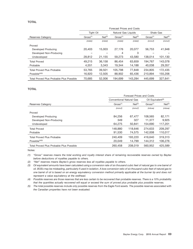### **TOTAL**

|                                                 | <b>Forecast Prices and Costs</b> |                    |                      |                    |                      |                    |
|-------------------------------------------------|----------------------------------|--------------------|----------------------|--------------------|----------------------|--------------------|
|                                                 | Tight Oil                        |                    | Natural Gas Liquids  |                    | Shale Gas            |                    |
| <b>Reserves Category</b>                        | Gross <sup>(1)</sup>             | Net <sup>(2)</sup> | Gross <sup>(1)</sup> | Net <sup>(2)</sup> | Gross <sup>(1)</sup> | Net <sup>(2)</sup> |
|                                                 | (mbb)                            | (mbb)              | (mbb)                | (mbb)              | (mmcf)               | (mmcf)             |
| Proved                                          |                                  |                    |                      |                    |                      |                    |
| Developed Producing                             | 20.403                           | 15,003             | 27.176               | 20,077             | 56.753               | 41,948             |
| Developed Non-Producing                         |                                  |                    | 4                    | 3                  |                      |                    |
| Undeveloped                                     | 28,812                           | 21,155             | 59,273               | 43,580             | 138.014              | 101,130            |
| <b>Total Proved</b>                             | 49.215                           | 36.158             | 86.454               | 63.659             | 194.767              | 143.078            |
| Probable                                        | 4,551                            | 3,343              | 19,344               | 14,188             | 40.038               | 29,357             |
| <b>Total Proved Plus Probable</b>               | 53.765                           | 39.501             | 105.798              | 77.848             | 234.805              | 172.435            |
| Possible $(4)(5)$                               | 16.920                           | 12,505             | 88,902               | 65.436             | 210.894              | 155,206            |
| <b>Total Proved Plus Probable Plus Possible</b> | 70.685                           | 52,006             | 194.699              | 143.284            | 445.699              | 327.641            |

#### **TOTAL**

|                                                 | Forecast Prices and Costs       |                    |                               |                    |  |
|-------------------------------------------------|---------------------------------|--------------------|-------------------------------|--------------------|--|
|                                                 | <b>Conventional Natural Gas</b> |                    | Oil Equivalent <sup>(3)</sup> |                    |  |
| Reserves Category                               | Gross <sup>(1)</sup>            | Net <sup>(2)</sup> | Gross <sup>(1)</sup>          | Net <sup>(2)</sup> |  |
|                                                 | (mmcf)                          | (mmcf)             | (mboe)                        | (mboe)             |  |
| Proved                                          |                                 |                    |                               |                    |  |
| Developed Producing                             | 84,256                          | 67.477             | 108.565                       | 82,171             |  |
| Developed Non-Producing                         | 349                             | 327                | 11.377                        | 9,925              |  |
| Undeveloped                                     | 64,275                          | 50.841             | 154.690                       | 117,201            |  |
| <b>Total Proved</b>                             | 148,880                         | 118,646            | 274.633                       | 209.297            |  |
| Probable                                        | 91.530                          | 74.575             | 142.008                       | 110,017            |  |
| Total Proved Plus Probable                      | 240,409                         | 193,220            | 416.640                       | 319.313            |  |
| Possible $(4)(5)$                               | 20,049                          | 14.799             | 144.312                       | 106,276            |  |
| <b>Total Proved Plus Probable Plus Possible</b> | 260,458                         | 208.019            | 560,952                       | 425.589            |  |

Notes:

*(1) ''Gross'' reserves means the total working and royalty interest share of remaining recoverable reserves owned by Baytex before deductions of royalties payable to others.*

*(2) ''Net'' reserves means Baytex's gross reserves less all royalties payable to others.*

*(3) Oil equivalent amounts have been calculated using a conversion rate of six thousand cubic feet of natural gas to one barrel of oil. BOEs may be misleading, particularly if used in isolation. A boe conversion ratio of six thousand cubic feet of natural gas to one barrel of oil is based on an energy equivalency conversion method primarily applicable at the burner tip and does not represent a value equivalency at the wellhead.*

*(4) Possible reserves are those reserves that are less certain to be recovered than probable reserves. There is a 10% probability that the quantities actually recovered will equal or exceed the sum of proved plus probable plus possible reserves.*

*(5) The total possible reserves include only possible reserves from the Eagle Ford assets. The possible reserves associated with the Canadian properties have not been evaluated.*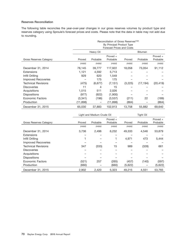## **Reserves Reconciliation**

The following table reconciles the year-over-year changes in our gross reserves volumes by product type and reserves category using Sproule's forecast prices and costs. Please note that the data in table may not add due to rounding.

|                         | Reconciliation of Gross Reserves <sup>(1)(2)</sup> |           |                           |         |                |            |  |
|-------------------------|----------------------------------------------------|-----------|---------------------------|---------|----------------|------------|--|
|                         | By Principal Product Type                          |           |                           |         |                |            |  |
|                         |                                                    |           | Forecast Prices and Costs |         |                |            |  |
|                         |                                                    | Heavy Oil |                           |         | <b>Bitumen</b> |            |  |
|                         |                                                    |           | Proved +                  |         |                | Proved $+$ |  |
| Gross Reserves Category | Proved                                             | Probable  | Probable                  | Proved  | Probable       | Probable   |  |
|                         | (mbb)                                              | (mbb)     | (mbb)                     | (mbb)   | (mbb)          | (mbb)      |  |
| December 31, 2014       | 78,145                                             | 39,777    | 117,922                   | 18,058  | 73,054         | 91,112     |  |
| <b>Extensions</b>       | 1,121                                              | 4,592     | 5,713                     |         |                |            |  |
| Infill Drilling         | 929                                                | 620       | 1,549                     |         |                |            |  |
| Improved Recoveries     |                                                    | 175       | 175                       |         |                |            |  |
| Technical Revisions     | (475)                                              | (6,677)   | (7, 151)                  | (3,225) | (17, 194)      | (20, 419)  |  |
| <b>Discoveries</b>      | 11                                                 | 4         | 15                        |         |                |            |  |
| Acquisitions            | 1,515                                              | 511       | 2,026                     |         |                |            |  |
| <b>Dispositions</b>     | (977)                                              | (922)     | (1,900)                   |         |                |            |  |
| <b>Economic Factors</b> | (3,341)                                            | (196)     | (3,537)                   | (211)   | 22             | (189)      |  |
| Production              | (11, 898)                                          |           | (11, 898)                 | (864)   |                | (864)      |  |
| December 31, 2015       | 65,030                                             | 37,883    | 102,913                   | 13,758  | 55,882         | 69,640     |  |

|                                | Light and Medium Crude Oil |          |            | <b>Tight Oil</b> |          |            |
|--------------------------------|----------------------------|----------|------------|------------------|----------|------------|
|                                |                            |          | Proved $+$ |                  |          | Proved $+$ |
| <b>Gross Reserves Category</b> | Proved                     | Probable | Probable   | Proved           | Probable | Probable   |
|                                | (mbb)                      | (mbb)    | (mbb)      | (mbb)            | (mbb)    | (mbb)      |
| December 31, 2014              | 3,736                      | 2,496    | 6,232      | 49,333           | 4,546    | 53,879     |
| <b>Extensions</b>              |                            |          |            |                  |          |            |
| Infill Drilling                |                            |          |            | 4,971            | 473      | 5,444      |
| <b>Improved Recoveries</b>     |                            |          |            |                  |          |            |
| <b>Technical Revisions</b>     | 347                        | (333)    | 15         | 989              | (328)    | 661        |
| <b>Discoveries</b>             |                            |          |            |                  |          |            |
| Acquisitions                   |                            |          |            |                  |          |            |
| <b>Dispositions</b>            |                            |          |            |                  |          |            |
| <b>Economic Factors</b>        | (521)                      | 257      | (265)      | (457)            | (140)    | (597)      |
| Production                     | (660)                      |          | (660)      | (5,622)          |          | (5,622)    |
| December 31, 2015              | 2,902                      | 2.420    | 5,323      | 49.215           | 4.551    | 53.765     |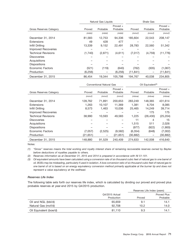|                                |         | Natural Gas Liquids |          | Shale Gas |          |           |
|--------------------------------|---------|---------------------|----------|-----------|----------|-----------|
|                                |         |                     |          |           | Proved + |           |
| <b>Gross Reserves Category</b> | Proved  | Probable            | Probable | Proved    | Probable | Probable  |
|                                | (mbb)   | (mbb)               | (mbb)    | (mmcf)    | (mmcf)   | (mmcf)    |
| December 31, 2014              | 81,583  | 12,753              | 94,336   | 185,604   | 22,543   | 208,147   |
| <b>Extensions</b>              | 49      | 428                 | 477      |           |          |           |
| Infill Drilling                | 13,339  | 9,152               | 22,491   | 28,783    | 22,560   | 51,342    |
| <b>Improved Recoveries</b>     |         |                     |          |           |          |           |
| <b>Technical Revisions</b>     | (1,740) | (2,871)             | (4,611)  | (7,017)   | (4, 759) | (11, 776) |
| <b>Discoveries</b>             |         |                     |          |           |          |           |
| Acquisitions                   |         |                     |          |           |          |           |
| <b>Dispositions</b>            |         |                     |          |           |          |           |
| <b>Economic Factors</b>        | (521)   | (119)               | (640)    | (762)     | (305)    | (1,067)   |
| Production                     | (6,256) |                     | (6,256)  | (11, 841) |          | (11, 841) |
| December 31, 2015              | 86.454  | 19.344              | 105.798  | 194.767   | 40.038   | 234.805   |

|                                |           | <b>Conventional Natural Gas</b> |                      | Oil Equivalent <sup>(3)</sup> |           |                        |  |
|--------------------------------|-----------|---------------------------------|----------------------|-------------------------------|-----------|------------------------|--|
| <b>Gross Reserves Category</b> | Proved    | Probable                        | Proved +<br>Probable | Proved                        | Probable  | Proved $+$<br>Probable |  |
|                                | (mmcf)    | (mmcf)                          | (mmcf)               | (mboe)                        | (mboe)    | (mboe)                 |  |
| December 31, 2014              | 128,762   | 71,891                          | 200,653              | 283,249                       | 148,365   | 431,614                |  |
| Extensions                     | 1,263     | 10,107                          | 11,369               | 1.381                         | 6.704     | 8,085                  |  |
| Infill Drilling                | 8,573     | 1,463                           | 10,036               | 25,465                        | 14,249    | 39,714                 |  |
| Improved Recoveries            |           |                                 |                      |                               | 175       | 175                    |  |
| <b>Technical Revisions</b>     | 38,990    | 10,593                          | 49,583               | 1,225                         | (26, 430) | (25, 204)              |  |
| <b>Discoveries</b>             |           |                                 |                      | 11                            | 4         | 15                     |  |
| Acquisitions                   |           |                                 |                      | 1,515                         | 511       | 2,026                  |  |
| <b>Dispositions</b>            |           |                                 |                      | (977)                         | (922)     | (1,900)                |  |
| Economic Factors               | (7,057)   | (2,525)                         | (9,582)              | (6,354)                       | (648)     | (7,002)                |  |
| Production                     | (21, 651) |                                 | (21, 651)            | (30, 882)                     |           | (30, 882)              |  |
| December 31, 2015              | 148.880   | 91.529                          | 240,409              | 274,633                       | 142.008   | 416.640                |  |

Notes:

*(2) Reserves information as at December 31, 2015 and 2014 is prepared in accordance with NI 51-101.*

*(3) Oil equivalent amounts have been calculated using a conversion rate of six thousand cubic feet of natural gas to one barrel of oil. BOEs may be misleading, particularly if used in isolation. A boe conversion ratio of six thousand cubic feet of natural gas to one barrel of oil is based on an energy equivalency conversion method primarily applicable at the burner tip and does not represent a value equivalency at the wellhead.*

### *Reserves Life Index*

The following table sets forth our reserves life index, which is calculated by dividing our proved and proved plus probable reserves at year-end 2015 by Q4/2015 production.

|                        |                              | Reserves Life Index (years) |                                |
|------------------------|------------------------------|-----------------------------|--------------------------------|
|                        | Q4/2015 Actual<br>Production | Proved                      | <b>Proved Plus</b><br>Probable |
| Oil and NGL (bbl/d)    | 65,659                       | 9.1                         | 14.1                           |
| Natural Gas (mcf/d)    | 92.708                       | 10.2                        | 14.0                           |
| Oil Equivalent (boe/d) | 81.110                       | 9.3                         | 14.1                           |

*<sup>(1) &#</sup>x27;'Gross'' reserves means the total working and royalty interest share of remaining recoverable reserves owned by Baytex before deductions of royalties payable to others.*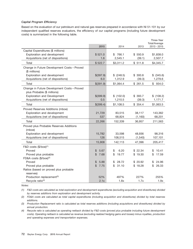#### *Capital Program Efficiency*

Based on the evaluation of our petroleum and natural gas reserves prepared in accordance with NI 51-101 by our independent qualified reserves evaluators, the efficiency of our capital programs (including future development costs) is summarized in the following table.

|                                                                       | 2015                   | 2014         | 2013         | Three-Year<br>Total/Average<br>2013 - 2015 |
|-----------------------------------------------------------------------|------------------------|--------------|--------------|--------------------------------------------|
| Capital Expenditures (\$ millions)                                    |                        |              |              |                                            |
| Exploration and development                                           | \$521.0                | \$766.1      | \$550.9      | \$1,838.0                                  |
| Acquisitions (net of dispositions)                                    | 1.6                    | 2,545.1      | (39.1)       | 2,507.7                                    |
|                                                                       |                        |              |              |                                            |
| Total                                                                 | \$522.7                | \$3,311.2    | \$511.8      | \$4,345.7                                  |
| Change in Future Development Costs - Proved                           |                        |              |              |                                            |
| (\$ millions)                                                         |                        |              |              |                                            |
| Exploration and development                                           | \$(397.9)              | $$$ (248.5)  | \$300.8      | \$ (345.6)                                 |
| Acquisitions (net of dispositions)                                    | 6.0                    | 1,312.9      | (39.3)       | 1,279.6                                    |
| Total                                                                 | \$(391.9)              | \$1,064.4    | \$261.5      | \$934.0                                    |
| Change in Future Development Costs - Proved                           |                        |              |              |                                            |
| plus Probable (\$ millions)                                           |                        |              |              |                                            |
| <b>Exploration and Development</b>                                    | \$(399.9)              | \$(102.0)    | \$393.7      | \$(108.2)                                  |
| Acquisitions (net of dispositions)                                    | 0.5                    | 1,210.5      | (39.3)       | 1,171.7                                    |
| Total                                                                 | \$(399.4)              | \$1,108.5    | \$354.4      | \$1,063.5                                  |
| Proved Reserves Additions (mboe)                                      |                        |              |              |                                            |
| Exploration and development                                           | 21,729                 | 83,515       | 38,117       | 143,362                                    |
| Acquisitions (net of dispositions)                                    | 537                    | 68,824       | (1, 160)     | 68,201                                     |
| Total                                                                 | 22,266                 | 152,339      | 36,957       | 211,563                                    |
| Proved plus Probable Reserves Additions<br>(mboe)                     |                        |              |              |                                            |
| Exploration and development                                           | 15,782                 | 33,598       | 48,936       | 98,316                                     |
| Acquisitions (net of dispositions)                                    | 126                    | 108,515      | (1, 540)     | 107,101                                    |
| Total                                                                 |                        |              |              |                                            |
|                                                                       | 15,908                 | 142,113      | 47,396       | 205,417                                    |
| $F&D \text{ costs } (\$/boe)^{(1)}$                                   |                        |              |              |                                            |
| Proved                                                                | \$<br>5.67             | \$<br>6.20   | \$22.34      | 10.41<br>\$                                |
| Proved plus probable                                                  | $\mathfrak{L}$<br>7.68 | \$<br>19.77  | \$19.30      | \$<br>17.59                                |
| FD&A costs (\$/boe) <sup>(2)</sup>                                    |                        |              |              |                                            |
| Proved                                                                | \$<br>5.88             | \$<br>28.72  | \$20.92      | 24.96<br>\$                                |
| Proved plus probable                                                  | \$<br>7.75             | \$<br>31.10  | \$18.28      | \$<br>26.33                                |
| Ratios (based on proved plus probable                                 |                        |              |              |                                            |
| reserves)                                                             |                        |              |              |                                            |
| Production replacement <sup>(3)</sup><br>Recycle ratio <sup>(4)</sup> | 52%<br>2.1x            | 497%<br>1.8x | 227%<br>1.7x | 255%<br>1.9x                               |
|                                                                       |                        |              |              |                                            |

*Notes:*

*(1) F&D costs are calculated as total exploration and development expenditures (excluding acquisition and divestitures) divided by reserves additions from exploration and development activity.*

*(2) FD&A costs are calculated as total capital expenditures (including acquisition and divestitures) divided by total reserves additions.*

*(3) Production Replacement ratio is calculated as total reserves additions (including acquisitions and divestitures) divided by annual production.*

*(4) Recycle ratio is calculated as operating netback divided by F&D costs (proved plus probable including future development costs). Operating netback is calculated as revenue (excluding realized hedging gains and losses) minus royalties, production and operating expenses and transportation expenses.*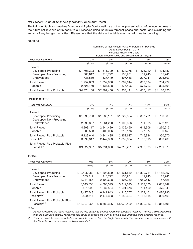### *Net Present Value of Reserves (Forecast Prices and Costs)*

The following table summarizes Sproule and Ryder Scott's estimate of the net present value before income taxes of the future net revenue attributable to our reserves using Sproule's forecast prices and costs (and excluding the impact of any hedging activities). Please note that the data in the table may not add due to rounding.

#### **CANADA**

|                                                | Summary of Net Present Value of Future Net Revenue<br>As at December 31, 2015 |                    |                    |                    |                   |  |  |  |  |
|------------------------------------------------|-------------------------------------------------------------------------------|--------------------|--------------------|--------------------|-------------------|--|--|--|--|
|                                                | Forecast Prices and Costs<br>Before Income Taxes and Discounted at (%/year)   |                    |                    |                    |                   |  |  |  |  |
|                                                |                                                                               |                    |                    |                    |                   |  |  |  |  |
| <b>Reserves Category</b>                       | 0%                                                                            | 5%                 | 10%                | 15%                | 20%               |  |  |  |  |
|                                                | (\$000s)                                                                      | (\$000s)           | (\$000s)           | (\$000s)           | (\$000s)          |  |  |  |  |
| Proved                                         | \$                                                                            | \$                 | \$                 | \$                 | \$                |  |  |  |  |
| Developed Producing<br>Developed Non-Producing | 708,303<br>305,817                                                            | 611,709<br>210,792 | 534,278<br>150,901 | 473,010<br>111,743 | 424,180<br>85,246 |  |  |  |  |
| Undeveloped                                    | 738,519                                                                       | 537,449            | 397,466            | 297,941            | 225,503           |  |  |  |  |
| <b>Total Proved</b>                            | 1,752,639                                                                     | 1,359,950          | 1,082,644          | 882,694            | 734,929           |  |  |  |  |
| Probable                                       | 2,621,469                                                                     | 1,437,508          | 875,496            | 573,723            | 395,191           |  |  |  |  |
|                                                |                                                                               |                    |                    |                    |                   |  |  |  |  |
| <b>Total Proved Plus Probable</b>              | \$4,374,108                                                                   | \$2,797,458        | \$1,958,141        | \$1,456,417        | \$1,130,120       |  |  |  |  |
|                                                |                                                                               |                    |                    |                    |                   |  |  |  |  |
| UNITED STATES                                  |                                                                               |                    |                    |                    |                   |  |  |  |  |
| <b>Reserves Category</b>                       | 0%                                                                            | 5%                 | 10%                | 15%                | 20%               |  |  |  |  |
|                                                | (\$000s)                                                                      | (\$000s)           | (\$000s)           | (\$000s)           | (\$000s)          |  |  |  |  |
| Proved                                         |                                                                               |                    |                    |                    |                   |  |  |  |  |
| Developed Producing                            | \$1,696,780                                                                   | \$1,283,191        | \$1,027,554        | 857,701<br>\$      | \$<br>738,088     |  |  |  |  |
| Developed Non-Producing                        |                                                                               |                    |                    |                    |                   |  |  |  |  |
| Undeveloped                                    | 2,596,337                                                                     | 1,661,238          | 1,108,896          | 761,605            | 532,125           |  |  |  |  |
| <b>Total Proved</b>                            | 4,293,117                                                                     | 2,944,429          | 2,136,450          | 1,619,306          | 1,270,213         |  |  |  |  |
| Probable                                       | 830,523                                                                       | 400,056            | 216,176            | 127,677            | 80,458            |  |  |  |  |
| <b>Total Proved Plus Probable</b>              | 5,123,640                                                                     | 3,344,485          | 2,352,627          | 1,746,984          | 1,350,670         |  |  |  |  |
| Possible <sup>(1)</sup>                        | 3,899,317                                                                     | 2,447,383          | 1,659,634          | 1,186,615          | 880,408           |  |  |  |  |
| <b>Total Proved Plus Probable Plus</b>         |                                                                               |                    |                    |                    |                   |  |  |  |  |
| Possible <sup>(1)</sup>                        | \$9,022,957                                                                   | \$5,791,868        | \$4,012,261        | \$2,933,599        | \$2,231,078       |  |  |  |  |
|                                                |                                                                               |                    |                    |                    |                   |  |  |  |  |
| TOTAL                                          |                                                                               |                    |                    |                    |                   |  |  |  |  |
|                                                |                                                                               |                    |                    |                    |                   |  |  |  |  |
| <b>Reserves Category</b>                       | 0%                                                                            | 5%                 | 10%                | 15%                | 20%               |  |  |  |  |
|                                                | $($ \$000s)                                                                   | $($ \$000s $)$     | $($ \$000s)        | (\$000s)           | $($ \$000s)       |  |  |  |  |
| Proved                                         |                                                                               |                    |                    |                    |                   |  |  |  |  |
| Developed Producing                            | \$2,405,083                                                                   | \$1,894,899        | \$1,561,832        | \$1,330,711        | \$1,162,267       |  |  |  |  |
| Developed Non-Producing                        | 305,817                                                                       | 210,792            | 150,901            | 111,743            | 85,246            |  |  |  |  |
| Undeveloped                                    | 3,334,856                                                                     | 2,198,688          | 1,506,362          | 1,059,546          | 757,628           |  |  |  |  |
| <b>Total Proved</b>                            | 6,045,756                                                                     | 4,304,379          | 3,219,095          | 2,502,000          | 2,005,142         |  |  |  |  |
| Probable                                       | 3,451,992                                                                     | 1,837,564          | 1,091,673          | 701,400            | 475,648           |  |  |  |  |
| <b>Total Proved Plus Probable</b>              | 9,497,748                                                                     | 6,141,943          | 4,310,767          | 3,203,401          | 2,480,790         |  |  |  |  |
| Possible <sup>(1)(2)</sup>                     | 3,899,317                                                                     | 2,447,383          | 1,659,634          | 1,186,615          | 880,408           |  |  |  |  |
| <b>Total Proved Plus Probable Plus</b>         |                                                                               |                    |                    |                    |                   |  |  |  |  |
| Possible $(1)(2)$                              | \$13,397,065                                                                  | \$8,589,326        | \$5,970,402        | \$4,390,016        | \$3,361,198       |  |  |  |  |
|                                                |                                                                               |                    |                    |                    |                   |  |  |  |  |

*Notes:*

*(1) Possible reserves are those reserves that are less certain to be recovered than probable reserves. There is a 10% probability that the quantities actually recovered will equal or exceed the sum of proved plus probable plus possible reserves.*

*(2) The total possible reserves include only possible reserves from the Eagle Ford assets. The possible reserves associated with the Canadian properties have not been evaluated.*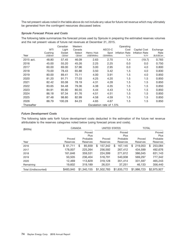The net present values noted in the table above do not include any value for future net revenue which may ultimately be generated from the contingent resources discussed below.

#### *Sproule Forecast Prices and Costs*

The following table summarizes the forecast prices used by Sproule in preparing the estimated reserves volumes and the net present values of future net revenues at December 31, 2015.

|            |          | Canadian | Western |            |                         | Operating             |                       |            |
|------------|----------|----------|---------|------------|-------------------------|-----------------------|-----------------------|------------|
|            | WTI      | Light    | Canada  |            | AECO-C                  | Cost                  | Capital Cost          | Exchange   |
|            | Cushing  | Sweet    | Select  | Henry Hub  | Spot                    | <b>Inflation Rate</b> | <b>Inflation Rate</b> | Rate       |
| Year       | US\$/bbl | C\$/bbI  | C\$/bbI | US\$/MMbtu | C\$/MMbtu               | $%$ /Yr               | $%$ /Yr               | \$US/\$Cdn |
| 2015 act.  | 48.80    | 57.45    | 46.09   | 2.63       | 2.70                    | 1.4                   | (19.7)                | 0.783      |
| 2016       | 45.00    | 55.20    | 45.26   | 2.25       | 2.25                    | 0.0                   | 0.0                   | 0.750      |
| 2017       | 60.00    | 69.00    | 57.96   | 3.00       | 2.95                    | 0.0                   | 4.0                   | 0.800      |
| 2018       | 70.00    | 78.43    | 65.88   | 3.50       | 3.42                    | 1.5                   | 4.0                   | 0.830      |
| 2019       | 80.00    | 89.41    | 75.11   | 4.00       | 3.91                    | 1.5                   | 4.0                   | 0.850      |
| 2020       | 81.20    | 91.71    | 77.03   | 4.25       | 4.20                    | 1.5                   | 1.5                   | 0.850      |
| 2021       | 82.42    | 93.08    | 78.19   | 4.31       | 4.28                    | 1.5                   | 1.5                   | 0.850      |
| 2022       | 83.65    | 94.48    | 79.36   | 4.38       | 4.35                    | 1.5                   | 1.5                   | 0.850      |
| 2023       | 84.91    | 95.90    | 80.55   | 4.44       | 4.43                    | 1.5                   | 1.5                   | 0.850      |
| 2024       | 86.18    | 97.34    | 81.76   | 4.51       | 4.51                    | 1.5                   | 1.5                   | 0.850      |
| 2025       | 87.48    | 98.80    | 82.99   | 4.58       | 4.59                    | 1.5                   | 1.5                   | 0.850      |
| 2026       | 88.79    | 100.28   | 84.23   | 4.65       | 4.67                    | 1.5                   | 1.5                   | 0.850      |
| Thereafter |          |          |         |            | Escalation rate of 1.5% |                       |                       |            |

### *Future Development Costs*

The following table sets forth future development costs deducted in the estimation of the future net revenue attributable to the reserves categories noted below (using forecast prices and costs).

| (\$000s)             | CANADA    |    | <b>UNITED STATES</b> |    |             | <b>TOTAL</b> |             |    |             |    |             |
|----------------------|-----------|----|----------------------|----|-------------|--------------|-------------|----|-------------|----|-------------|
|                      |           |    | Proved               |    |             |              | Proved      |    |             |    | Proved      |
|                      |           |    | Plus                 |    |             |              | Plus        |    |             |    | Plus        |
|                      | Proved    |    | Probable             |    | Proved      |              | Probable    |    | Proved      |    | Probable    |
| Year                 | Reserves  |    | Reserves             |    | Reserves    |              | Reserves    |    | Reserves    |    | Reserves    |
| 2016                 | \$61,711  | \$ | 85,939               | \$ | 157,342     | \$           | 167,145     | \$ | 219,053     | \$ | 253,084     |
| 2017                 | 178,007   |    | 225,264              |    | 256,592     |              | 267,412     |    | 434,599     |    | 492,676     |
| 2018                 | 161,646   |    | 359,531              |    | 224,399     |              | 271,612     |    | 386,045     |    | 631,143     |
| 2019                 | 50,505    |    | 236,404              |    | 518,791     |              | 540,938     |    | 569,297     |    | 777,342     |
| 2020                 | 12,469    |    | 113,829              |    | 319,128     |              | 351,414     |    | 331,597     |    | 465,243     |
| Remaining            | 19,602    |    | 319,189              |    | 26,531      |              | 37.251      |    | 46,133      |    | 356,440     |
| Total (Undiscounted) | \$483,940 |    | \$1,340,155          |    | \$1,502,783 |              | \$1,635,772 |    | \$1,986,723 |    | \$2,975,927 |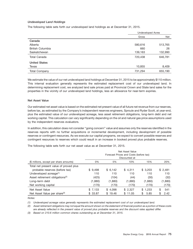#### *Undeveloped Land Holdings*

The following table sets forth our undeveloped land holdings as at December 31, 2015.

|                         | <b>Undeveloped Acres</b> |         |
|-------------------------|--------------------------|---------|
|                         | Gross                    | Net     |
| Canada                  |                          |         |
| Alberta                 | 580,616                  | 513,765 |
| <b>British Columbia</b> | 660                      | 26      |
| Saskatchewan            | 139,163                  | 132,990 |
| <b>Total Canada</b>     | 720,438                  | 646,781 |
| <b>United States</b>    |                          |         |
| Texas                   | 10,855                   | 8,409   |
| <b>Total Company</b>    | 731,294                  | 655,190 |

We estimate the value of our net undeveloped land holdings at December 31, 2015 to be approximately \$110 million. This internal evaluation generally represents the estimated replacement cost of our undeveloped land. In determining replacement cost, we analyzed land sale prices paid at Provincial Crown and State land sales for the properties in the vicinity of our undeveloped land holdings, less an allowance for near-term expiries.

#### **Net Asset Value**

Our estimated net asset value is based on the estimated net present value of all future net revenue from our reserves, before tax, as estimated by the Company's independent reserves engineers, Sproule and Ryder Scott, at year-end, plus the estimated value of our undeveloped acreage, less asset retirement obligations, long-term debt and net working capital. This calculation can vary significantly depending on the oil and natural gas price assumptions used by the independent reserves evaluators.

In addition, this calculation does not consider ''going concern'' value and assumes only the reserves identified in the reserves reports with no further acquisitions or incremental development, including development of possible reserves or contingent resources. As we execute our capital programs, we expect to convert possible reserves and contingent resources to reserves which could result in an increase in booked proved plus probable reserves.

The following table sets forth our net asset value as at December 31, 2015.

|                                             | Net Asset Value<br>Forecast Prices and Costs (before tax)<br>Discounted at |         |             |            |            |  |  |  |
|---------------------------------------------|----------------------------------------------------------------------------|---------|-------------|------------|------------|--|--|--|
| (\$ millions, except per share amounts)     | 0%                                                                         | 5%      | 10%         | 15%        | 20%        |  |  |  |
| Total net present value of proved plus      |                                                                            |         |             |            |            |  |  |  |
| probable reserves (before tax)              | \$9,498                                                                    | \$6,142 | \$4,311     | \$3,203    | \$2,481    |  |  |  |
| Undeveloped acreage <sup>(1)</sup>          | 110                                                                        | 110     | 110         | 110        | 110        |  |  |  |
| Asset retirement obligations <sup>(2)</sup> | (425)                                                                      | (104)   | (44)        | (30)       | (32)       |  |  |  |
| Long-term debt                              | (1,880)                                                                    | (1,880) | (1,880)     | (1,880)    | (1,880)    |  |  |  |
| Net working capital                         | (170)                                                                      | (170)   | (170)       | (170)      | (170)      |  |  |  |
| Net Asset Value                             | \$7,133                                                                    | \$4,098 | \$2,327     | \$1,233    | \$<br>541  |  |  |  |
| Net Asset Value per share <sup>(3)</sup>    | \$33.87                                                                    | \$19.46 | \$<br>11.05 | \$<br>5.85 | \$<br>2.42 |  |  |  |

*Notes:*

*(1) Undeveloped acreage value generally represents the estimated replacement cost of our undeveloped land.*

*(2) Asset retirement obligations may not equal the amount shown on the statement of financial position as a portion of these costs are already reflected in the present value of proved plus probable reserves and the discount rates applied differ.*

*(3) Based on 210.6 million common shares outstanding as at December 31, 2015.*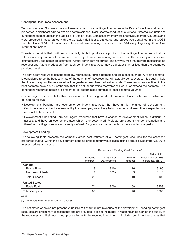#### **Contingent Resources Assessment**

We commissioned Sproule to conduct an evaluation of our contingent resources in the Peace River Area and certain properties in Northeast Alberta. We also commissioned Ryder Scott to conduct an audit of our internal evaluation of our contingent resources in the Eagle Ford Area of Texas. Both assessments were effective December 31, 2015, and were prepared in accordance with the Canadian definitions, standards and procedures contained in the COGE Handbook and NI 51-101. For additional information on contingent resources, see ''Advisory Regarding Oil and Gas Information'' below.

There is no certainty that it will be commercially viable to produce any portion of the contingent resources or that we will produce any portion of the volumes currently classified as contingent resources. The recovery and resource estimates provided herein are estimates. Actual contingent resources (and any volumes that may be reclassified as reserves) and future production from such contingent resources may be greater than or less than the estimates provided herein.

The contingent resources described below represent our gross interests and are a best estimate. A ''best estimate'' is considered to be the best estimate of the quantity of resources that will actually be recovered. It is equally likely that the actual quantities recovered will be greater or less than the best estimate. Those resources identified in the best estimate have a 50% probability that the actual quantities recovered will equal or exceed the estimate. The contingent resources herein are presented as deterministic cumulative best estimate volumes.

Our contingent resources fall within the development pending and development unclarified sub-classes, which are defined as follows:

- Development Pending are economic contingent resources that have a high chance of development. Contingencies are directly influenced by the developer, are actively being pursued and resolution is expected in a reasonable time period.
- Development Unclarified are contingent resources that have a chance of development which is difficult to assess, and have an economic status which is undetermined. Projects are currently under evaluation and therefore contingencies are not clearly defined. Progress is expected within a reasonable time period.

#### Development Pending

The following table presents the company gross best estimate of our contingent resources for the assessed properties that fall within the development pending project maturity sub-class, using Sproule's December 31, 2015 forecast prices and costs.

|                      | Development Pending (Best Estimate) <sup>(1)</sup> |             |         |                     |  |  |  |  |  |
|----------------------|----------------------------------------------------|-------------|---------|---------------------|--|--|--|--|--|
|                      | <b>Risked NPV</b>                                  |             |         |                     |  |  |  |  |  |
|                      | Unrisked                                           | Chance of   | Risked  | Discounted at 10%   |  |  |  |  |  |
|                      | (mmboe)                                            | Development | (mmboe) | (before tax) (\$MM) |  |  |  |  |  |
| Canada               |                                                    |             |         |                     |  |  |  |  |  |
| Peace River          | 19                                                 | 81%         | 16      | \$90                |  |  |  |  |  |
| Northeast Alberta    | 4                                                  | 86%         | 3       | \$10                |  |  |  |  |  |
| Total Canada         | 23                                                 |             | 19      | \$100               |  |  |  |  |  |
| <b>United States</b> |                                                    |             |         |                     |  |  |  |  |  |
| Eagle Ford           | 74                                                 | 80%         | 59      | \$459               |  |  |  |  |  |
| <b>Total Company</b> | 96                                                 |             | 78      | \$560               |  |  |  |  |  |

*Note:*

*(1) Numbers may not add due to rounding.*

The estimates of risked net present value (''NPV'') of future net revenues of the development pending contingent resources are preliminary assessments and are provided to assist the reader in reaching an opinion on the quality of the resources and likelihood of our proceeding with the required investment. It includes contingent resources that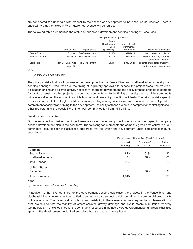are considered too uncertain with respect to the chance of development to be classified as reserves. There is uncertainty that the risked NPV of future net revenue will be realized.

The following table summarizes the status of our risked development pending contingent resources.

|                   |                      | Development Pending - Status |                              |                 |                                   |  |  |  |  |  |
|-------------------|----------------------|------------------------------|------------------------------|-----------------|-----------------------------------|--|--|--|--|--|
|                   |                      |                              | Future                       |                 |                                   |  |  |  |  |  |
|                   |                      |                              | Development                  | Timing of First |                                   |  |  |  |  |  |
|                   |                      |                              | Costs                        | Commercial      |                                   |  |  |  |  |  |
|                   | Product Type         | <b>Project Status</b>        | $$$ millions) <sup>(1)</sup> | Production      | Recovery Technology               |  |  |  |  |  |
| Peace River       | Bitumen              | Pre-Development              | 136<br>\$                    | 2019-2021       | Cyclic steam stimulation          |  |  |  |  |  |
| Northeast Alberta | Heavy Oil            | Pre-Development              | 54<br>\$                     | 2021-2027       | Horizontal drilling and cold      |  |  |  |  |  |
|                   |                      |                              |                              |                 | production methods                |  |  |  |  |  |
| Eagle Ford        | Tight Oil, Shale Gas | Pre-Development              | \$1.114                      | 2016-2024       | Horizontal multi-stage fracturing |  |  |  |  |  |
|                   | and NGL              |                              |                              |                 | and production operations         |  |  |  |  |  |

*Note:*

*(1) Undiscounted and unrisked.*

The principal risks that would influence the development of the Peace River and Northeast Alberta development pending contingent resources are: the timing of regulatory approvals to expand the project areas, the results of delineation drilling and seismic activity necessary for project development, the ability of these projects to compete for capital against our other projects, our corporate commitment to the timing of development, and the commodity price levels affecting the economic viability bitumen and heavy oil production in Alberta. The principal risks specific to the development of the Eagle Ford development pending contingent resources are: our reliance on the Operator's commitment of capital and timing to the development, the ability of these projects to compete for capital against our other projects, and the possibility of inter-well communication from infill drilling.

#### Development Unclarified

Our development unclarified contingent resources are conceptual project scenarios with no specific company defined development plan in the near term. The following table presents the company gross best estimate of our contingent resources for the assessed properties that fall within the development unclarified project maturity sub-classes.

|                      | Development Unclarified (Best Estimate) <sup>(1)</sup> |                          |                   |  |  |
|----------------------|--------------------------------------------------------|--------------------------|-------------------|--|--|
|                      | Unrisked<br>(mmboe)                                    | Chance of<br>Development | Risked<br>(mmboe) |  |  |
| Canada               |                                                        |                          |                   |  |  |
| Peace River          | 813                                                    | 61%                      | 492               |  |  |
| Northeast Alberta    | 141                                                    | 48%                      | 68                |  |  |
| Total Canada         | 954                                                    |                          | 560               |  |  |
| <b>United States</b> |                                                        |                          |                   |  |  |
| Eagle Ford           | 61                                                     | 50%                      | 31                |  |  |
| <b>Total Company</b> | 1,015                                                  |                          | 590               |  |  |

*Note:*

*(1) Numbers may not add due to rounding.*

In addition to the risks identified for the development pending sub-class, the projects in the Peace River and Northeast Alberta development unclarified sub-class are also subject to risks pertaining to commercial productivity of the reservoirs. The geological complexity and variability in these reservoirs may require the implementation of pilot projects to test the viability of steam-assisted gravity drainage and cyclic steam stimulation recovery technologies. The risks outlined for the contingent resources in the Eagle Ford development pending sub-class also apply to the development unclarified sub-class but are greater in magnitude.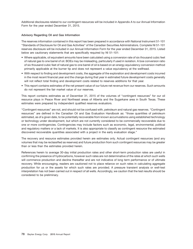Additional disclosures related to our contingent resources will be included in Appendix A to our Annual Information Form for the year ended December 31, 2015.

#### **Advisory Regarding Oil and Gas Information**

The reserves information contained in this report has been prepared in accordance with National Instrument 51-101 ''Standards of Disclosure for Oil and Gas Activities'' of the Canadian Securities Administrators. Complete NI 51-101 reserves disclosure will be included in our Annual Information Form for the year ended December 31, 2015. Listed below are cautionary statements that are specifically required by NI 51-101:

- Where applicable, oil equivalent amounts have been calculated using a conversion rate of six thousand cubic feet of natural gas to one barrel of oil. BOEs may be misleading, particularly if used in isolation. A boe conversion ratio of six thousand cubic feet of natural gas to one barrel of oil is based on an energy equivalency conversion method primarily applicable at the burner tip and does not represent a value equivalency at the wellhead.
- With respect to finding and development costs, the aggregate of the exploration and development costs incurred in the most recent financial year and the change during that year in estimated future development costs generally will not reflect total finding and development costs related to reserves additions for that year.
- This report contains estimates of the net present value of our future net revenue from our reserves. Such amounts do not represent the fair market value of our reserves.

This report contains estimates as of December 31, 2015 of the volumes of ''contingent resources'' for our oil resource plays in Peace River and Northeast areas of Alberta and the Sugarkane area in South Texas. These estimates were prepared by independent qualified reserves evaluators.

''Contingent resources'' are not, and should not be confused with, petroleum and natural gas reserves. ''Contingent resources'' are defined in the Canadian Oil and Gas Evaluation Handbook as: ''those quantities of petroleum estimated, as of a given date, to be potentially recoverable from known accumulations using established technology or technology under development, but which are not currently considered to be commercially recoverable due to one or more contingencies. Contingencies may include factors such as economic, legal, environmental, political and regulatory matters or a lack of markets. It is also appropriate to classify as contingent resource the estimated discovered recoverable quantities associated with a project in the early evaluation stage.''

The recovery and resource estimates provided herein are estimates only. Actual contingent resources (and any volumes that may be reclassified as reserves) and future production from such contingent resources may be greater than or less than the estimates provided herein.

References herein to average 30-day initial production rates and other short-term production rates are useful in confirming the presence of hydrocarbons, however such rates are not determinative of the rates at which such wells will commence production and decline thereafter and are not indicative of long term performance or of ultimate recovery. While encouraging, readers are cautioned not to place reliance on such rates in calculating aggregate production for us or the assets for which such rates are provided. A pressure transient analysis or well-test interpretation has not been carried out in respect of all wells. Accordingly, we caution that the test results should be considered to be preliminary.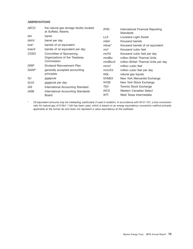### *ABBREVIATIONS*

| AECO        | the natural gas storage facility located<br>at Suffield, Alberta | <b>IFRS</b>  | International Financial Reporting<br><b>Standards</b> |
|-------------|------------------------------------------------------------------|--------------|-------------------------------------------------------|
| bbl         | barrel                                                           | LLS.         | Louisiana Light Sweet                                 |
| bbl/d       | barrel per day                                                   | mbbl         | thousand barrels                                      |
| boe*        | barrels of oil equivalent                                        | $mboe*$      | thousand barrels of oil equivalent                    |
| boe/d       | barrels of oil equivalent per day                                | mcf          | thousand cubic feet                                   |
| COSO        | Committee of Sponsoring                                          | mcf/d        | thousand cubic feet per day                           |
|             | Organizations of the Treadway                                    | mmBtu        | million British Thermal Units                         |
|             | Commission                                                       | mmBtu/d      | million British Thermal Units per day                 |
| DRIP        | Dividend Reinvestment Plan                                       | mmcf         | million cubic feet                                    |
| GAAP        | generally accepted accounting                                    | mmcf/d       | million cubic feet per day                            |
|             | principles                                                       | NGL          | natural gas liquids                                   |
| GJ          | gigajoule                                                        | <b>NYMEX</b> | New York Mercantile Exchange                          |
| GJ/d        | gigajoule per day                                                | <b>NYSE</b>  | New York Stock Exchange                               |
| IAS         | International Accounting Standard                                | TSX          | Toronto Stock Exchange                                |
| <b>IASB</b> | International Accounting Standards                               | <b>WCS</b>   | Western Canadian Select                               |
|             | Board                                                            | WTI          | West Texas Intermediate                               |

*\* Oil equivalent amounts may be misleading, particularly if used in isolation. In accordance with NI 51-101, a boe conversion ratio for natural gas of 6 Mcf: 1 bbl has been used, which is based on an energy equivalency conversion method primarily applicable at the burner tip and does not represent a value equivalency at the wellhead.*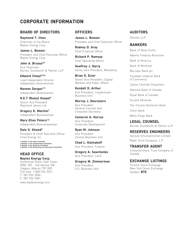# **CORPORATE INFORMATION**

## **BOARD OF DIRECTORS OFFICERS AUDITORS**

Baytex Energy Corp. **BANKERS** 

James L. Bowzer<br>
Chief Financial Officer<br>
President and Chief Executive Officer<br>
Bank of Nova Scotia President and Chief Executive Officer Alberta Treasury Branches **Richard P. Ramsay** Baytex Energy Corp.

**John A. Brussa3,4 Geoffrey J. Darcy**<br>
Vice Chairman<br>
Burnet Duckworth & Palmer IIP Senior Vice President, Marketing Bank also Rank plant Burnet, Duckworth & Palmer LLP Senior Vice President, Marketing Barclays Bank plc

Independent Businessman Vice President, Lloydminster

**R.E.T (Rusty) Goepel4 Murray J. Desrosiers** Societ ´ e G ´ en´ erale ´ Senior Vice President

**Gregory K. Melchin<sup>1</sup>** Deneral Counser and Union Bank

**Mary Ellen Peters<sup>1,2</sup> Container Countries (Countries Countries Countries Countries Countries Countries Countries Countries Countries Countries Countries Countries Countries Countries Countries Countries Countries Count** 

**Dale O. Shwed<sup>3</sup> Ryan M. Johnson**<br>President & Chief Executive Officer Vice President, Sproule Unconventional Limited Crew Energy Inc. Central Business Unit

1 Member of the Audit Committee<br>2 Member of the Reserves Committee **Compensation Committee Compensation Committee Compensation Committee Compe**<br>3 Member of the Reserves Committee of the Rommittee Vice President, Finance **T** 

**Baytex Energy Corp.** Centennial Place, East Tower **Gregory M. Zimmerman EXCHANGE LISTINGS** 2800, 520 - 3rd Avenue SW Toronto Stock Exchange Vice President, Toll-free: 1-800-524-5521 Symbol: **BTE** T: 587-952-3000 F: 587-952-3001 www.baytexenergy.com

**Raymond T. Chan James L. Bowzer Deloitte LLP** Chairman of the Board **President and Chief Executive Officer** 

**Rodney D. Gray**

Chief Operating Officer

**Edward Chwyl<sup>2,3,4</sup> Brian G. Ector** Canadian Imperial Bank<br>Lead Independent Director Senior Vice President, Capital of Commerce Lead Independent Director Senior Vice President, Capital of Commerce Senior Vice President, Capital of Commerce

**Naveen Dargan<sup>1,2</sup>**<br>
Indenendent Businessman<br>
Vice President, Lloydminster<br>
Vice President, Lloydminster

General Counsel and

Independent Businessman **Cameron A. Hercus** Wells Fargo Bank **Mary Ellen Peters<sup>1,2</sup>** Vice President

Caisse Centrale Desjardins

Royal Bank of Canada

The Toronto-Dominion Bank

Burnet, Duckworth & Palmer LLP

**HEAD OFFICE Computershare Trust Company of Same Computershare Trust Company of Canada** Canada

New York Stock Exchange